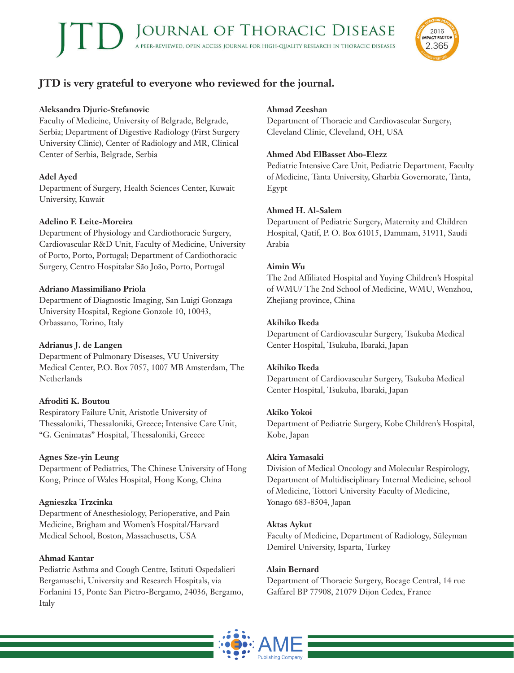

# **JTD is very grateful to everyone who reviewed for the journal.**

# **Aleksandra Djuric-Stefanovic**

Faculty of Medicine, University of Belgrade, Belgrade, Serbia; Department of Digestive Radiology (First Surgery University Clinic), Center of Radiology and MR, Clinical Center of Serbia, Belgrade, Serbia

# **Adel Ayed**

Department of Surgery, Health Sciences Center, Kuwait University, Kuwait

# **Adelino F. Leite-Moreira**

Department of Physiology and Cardiothoracic Surgery, Cardiovascular R&D Unit, Faculty of Medicine, University of Porto, Porto, Portugal; Department of Cardiothoracic Surgery, Centro Hospitalar São João, Porto, Portugal

# **Adriano Massimiliano Priola**

Department of Diagnostic Imaging, San Luigi Gonzaga University Hospital, Regione Gonzole 10, 10043, Orbassano, Torino, Italy

# **Adrianus J. de Langen**

Department of Pulmonary Diseases, VU University Medical Center, P.O. Box 7057, 1007 MB Amsterdam, The **Netherlands** 

# **Afroditi K. Boutou**

Respiratory Failure Unit, Aristotle University of Thessaloniki, Thessaloniki, Greece; Intensive Care Unit, "G. Genimatas" Hospital, Thessaloniki, Greece

# **Agnes Sze-yin Leung**

Department of Pediatrics, The Chinese University of Hong Kong, Prince of Wales Hospital, Hong Kong, China

# **Agnieszka Trzcinka**

Department of Anesthesiology, Perioperative, and Pain Medicine, Brigham and Women's Hospital/Harvard Medical School, Boston, Massachusetts, USA

# **Ahmad Kantar**

Pediatric Asthma and Cough Centre, Istituti Ospedalieri Bergamaschi, University and Research Hospitals, via Forlanini 15, Ponte San Pietro-Bergamo, 24036, Bergamo, Italy

# **Ahmad Zeeshan**

Department of Thoracic and Cardiovascular Surgery, Cleveland Clinic, Cleveland, OH, USA

# **Ahmed Abd ElBasset Abo-Elezz**

Pediatric Intensive Care Unit, Pediatric Department, Faculty of Medicine, Tanta University, Gharbia Governorate, Tanta, Egypt

# **Ahmed H. Al-Salem**

Department of Pediatric Surgery, Maternity and Children Hospital, Qatif, P. O. Box 61015, Dammam, 31911, Saudi Arabia

# **Aimin Wu**

The 2nd Affiliated Hospital and Yuying Children's Hospital of WMU/ The 2nd School of Medicine, WMU, Wenzhou, Zhejiang province, China

# **Akihiko Ikeda**

Department of Cardiovascular Surgery, Tsukuba Medical Center Hospital, Tsukuba, Ibaraki, Japan

# **Akihiko Ikeda**

Department of Cardiovascular Surgery, Tsukuba Medical Center Hospital, Tsukuba, Ibaraki, Japan

# **Akiko Yokoi**

Department of Pediatric Surgery, Kobe Children's Hospital, Kobe, Japan

# **Akira Yamasaki**

Division of Medical Oncology and Molecular Respirology, Department of Multidisciplinary Internal Medicine, school of Medicine, Tottori University Faculty of Medicine, Yonago 683-8504, Japan

# **Aktas Aykut**

Faculty of Medicine, Department of Radiology, Süleyman Demirel University, Isparta, Turkey

# **Alain Bernard**

Department of Thoracic Surgery, Bocage Central, 14 rue Gaffarel BP 77908, 21079 Dijon Cedex, France

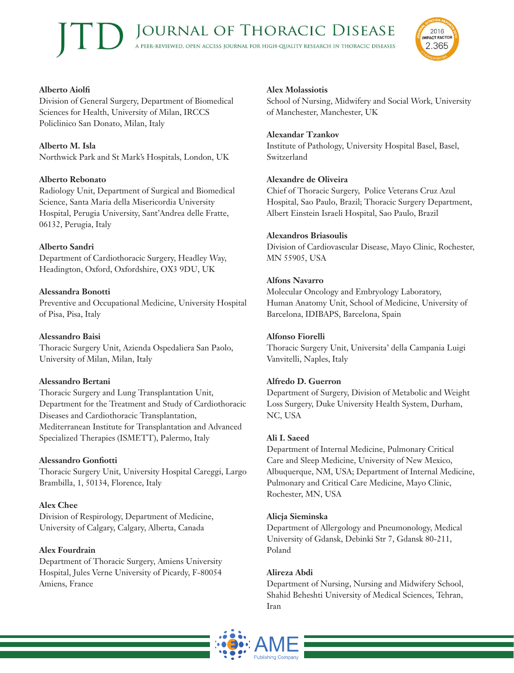

# **Alberto Aiolfi**

Division of General Surgery, Department of Biomedical Sciences for Health, University of Milan, IRCCS Policlinico San Donato, Milan, Italy

# **Alberto M. Isla**

Northwick Park and St Mark's Hospitals, London, UK

## **Alberto Rebonato**

Radiology Unit, Department of Surgical and Biomedical Science, Santa Maria della Misericordia University Hospital, Perugia University, Sant'Andrea delle Fratte, 06132, Perugia, Italy

## **Alberto Sandri**

Department of Cardiothoracic Surgery, Headley Way, Headington, Oxford, Oxfordshire, OX3 9DU, UK

## **Alessandra Bonotti**

Preventive and Occupational Medicine, University Hospital of Pisa, Pisa, Italy

#### **Alessandro Baisi**

Thoracic Surgery Unit, Azienda Ospedaliera San Paolo, University of Milan, Milan, Italy

#### **Alessandro Bertani**

Thoracic Surgery and Lung Transplantation Unit, Department for the Treatment and Study of Cardiothoracic Diseases and Cardiothoracic Transplantation, Mediterranean Institute for Transplantation and Advanced Specialized Therapies (ISMETT), Palermo, Italy

#### **Alessandro Gonfiotti**

Thoracic Surgery Unit, University Hospital Careggi, Largo Brambilla, 1, 50134, Florence, Italy

#### **Alex Chee**

Division of Respirology, Department of Medicine, University of Calgary, Calgary, Alberta, Canada

#### **Alex Fourdrain**

Department of Thoracic Surgery, Amiens University Hospital, Jules Verne University of Picardy, F-80054 Amiens, France

#### **Alex Molassiotis**

School of Nursing, Midwifery and Social Work, University of Manchester, Manchester, UK

#### **Alexandar Tzankov**

Institute of Pathology, University Hospital Basel, Basel, Switzerland

#### **Alexandre de Oliveira**

Chief of Thoracic Surgery, Police Veterans Cruz Azul Hospital, Sao Paulo, Brazil; Thoracic Surgery Department, Albert Einstein Israeli Hospital, Sao Paulo, Brazil

#### **Alexandros Briasoulis**

Division of Cardiovascular Disease, Mayo Clinic, Rochester, MN 55905, USA

## **Alfons Navarro**

Molecular Oncology and Embryology Laboratory, Human Anatomy Unit, School of Medicine, University of Barcelona, IDIBAPS, Barcelona, Spain

#### **Alfonso Fiorelli**

Thoracic Surgery Unit, Universita' della Campania Luigi Vanvitelli, Naples, Italy

#### **Alfredo D. Guerron**

Department of Surgery, Division of Metabolic and Weight Loss Surgery, Duke University Health System, Durham, NC, USA

#### **Ali I. Saeed**

Department of Internal Medicine, Pulmonary Critical Care and Sleep Medicine, University of New Mexico, Albuquerque, NM, USA; Department of Internal Medicine, Pulmonary and Critical Care Medicine, Mayo Clinic, Rochester, MN, USA

#### **Alicja Sieminska**

Department of Allergology and Pneumonology, Medical University of Gdansk, Debinki Str 7, Gdansk 80-211, Poland

#### **Alireza Abdi**

Department of Nursing, Nursing and Midwifery School, Shahid Beheshti University of Medical Sciences, Tehran, Iran

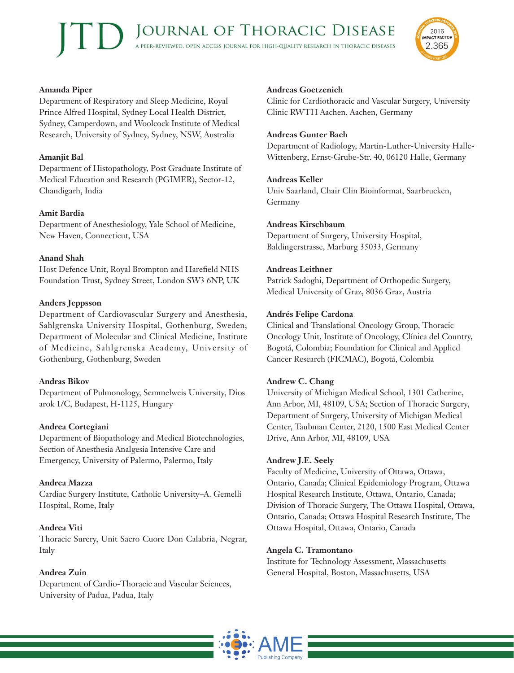

#### **Amanda Piper**

Department of Respiratory and Sleep Medicine, Royal Prince Alfred Hospital, Sydney Local Health District, Sydney, Camperdown, and Woolcock Institute of Medical Research, University of Sydney, Sydney, NSW, Australia

# **Amanjit Bal**

Department of Histopathology, Post Graduate Institute of Medical Education and Research (PGIMER), Sector-12, Chandigarh, India

# **Amit Bardia**

Department of Anesthesiology, Yale School of Medicine, New Haven, Connecticut, USA

# **Anand Shah**

Host Defence Unit, Royal Brompton and Harefield NHS Foundation Trust, Sydney Street, London SW3 6NP, UK

# **Anders Jeppsson**

Department of Cardiovascular Surgery and Anesthesia, Sahlgrenska University Hospital, Gothenburg, Sweden; Department of Molecular and Clinical Medicine, Institute of Medicine, Sahlgrenska Academy, University of Gothenburg, Gothenburg, Sweden

# **Andras Bikov**

Department of Pulmonology, Semmelweis University, Dios arok 1/C, Budapest, H-1125, Hungary

# **Andrea Cortegiani**

Department of Biopathology and Medical Biotechnologies, Section of Anesthesia Analgesia Intensive Care and Emergency, University of Palermo, Palermo, Italy

# **Andrea Mazza**

Cardiac Surgery Institute, Catholic University–A. Gemelli Hospital, Rome, Italy

# **Andrea Viti**

Thoracic Surery, Unit Sacro Cuore Don Calabria, Negrar, Italy

# **Andrea Zuin**

Department of Cardio-Thoracic and Vascular Sciences, University of Padua, Padua, Italy

# **Andreas Goetzenich**

Clinic for Cardiothoracic and Vascular Surgery, University Clinic RWTH Aachen, Aachen, Germany

# **Andreas Gunter Bach**

Department of Radiology, Martin-Luther-University Halle-Wittenberg, Ernst-Grube-Str. 40, 06120 Halle, Germany

# **Andreas Keller**

Univ Saarland, Chair Clin Bioinformat, Saarbrucken, Germany

## **Andreas Kirschbaum**

Department of Surgery, University Hospital, Baldingerstrasse, Marburg 35033, Germany

# **Andreas Leithner**

Patrick Sadoghi, Department of Orthopedic Surgery, Medical University of Graz, 8036 Graz, Austria

# **Andrés Felipe Cardona**

Clinical and Translational Oncology Group, Thoracic Oncology Unit, Institute of Oncology, Clínica del Country, Bogotá, Colombia; Foundation for Clinical and Applied Cancer Research (FICMAC), Bogotá, Colombia

# **Andrew C. Chang**

University of Michigan Medical School, 1301 Catherine, Ann Arbor, MI, 48109, USA; Section of Thoracic Surgery, Department of Surgery, University of Michigan Medical Center, Taubman Center, 2120, 1500 East Medical Center Drive, Ann Arbor, MI, 48109, USA

#### **Andrew J.E. Seely**

Faculty of Medicine, University of Ottawa, Ottawa, Ontario, Canada; Clinical Epidemiology Program, Ottawa Hospital Research Institute, Ottawa, Ontario, Canada; Division of Thoracic Surgery, The Ottawa Hospital, Ottawa, Ontario, Canada; Ottawa Hospital Research Institute, The Ottawa Hospital, Ottawa, Ontario, Canada

# **Angela C. Tramontano**

Institute for Technology Assessment, Massachusetts General Hospital, Boston, Massachusetts, USA

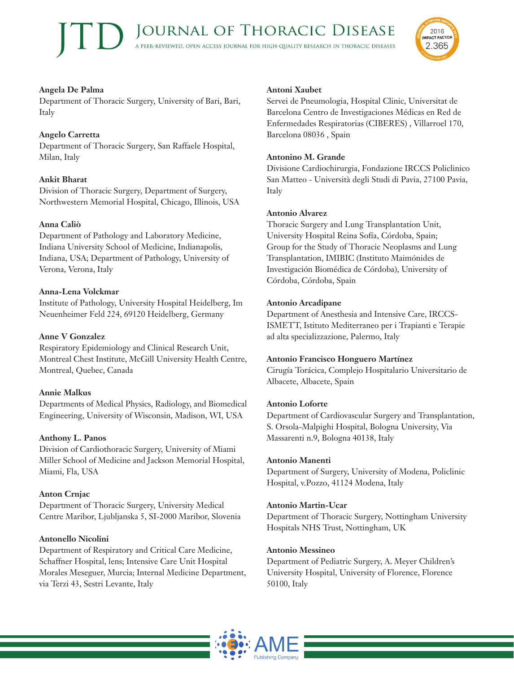

## **Angela De Palma**

Department of Thoracic Surgery, University of Bari, Bari, Italy

## **Angelo Carretta**

Department of Thoracic Surgery, San Raffaele Hospital, Milan, Italy

# **Ankit Bharat**

Division of Thoracic Surgery, Department of Surgery, Northwestern Memorial Hospital, Chicago, Illinois, USA

## **Anna Caliò**

Department of Pathology and Laboratory Medicine, Indiana University School of Medicine, Indianapolis, Indiana, USA; Department of Pathology, University of Verona, Verona, Italy

## **Anna-Lena Volckmar**

Institute of Pathology, University Hospital Heidelberg, Im Neuenheimer Feld 224, 69120 Heidelberg, Germany

#### **Anne V Gonzalez**

Respiratory Epidemiology and Clinical Research Unit, Montreal Chest Institute, McGill University Health Centre, Montreal, Quebec, Canada

#### **Annie Malkus**

Departments of Medical Physics, Radiology, and Biomedical Engineering, University of Wisconsin, Madison, WI, USA

#### **Anthony L. Panos**

Division of Cardiothoracic Surgery, University of Miami Miller School of Medicine and Jackson Memorial Hospital, Miami, Fla, USA

#### **Anton Crnjac**

Department of Thoracic Surgery, University Medical Centre Maribor, Ljubljanska 5, SI-2000 Maribor, Slovenia

#### **Antonello Nicolini**

Department of Respiratory and Critical Care Medicine, Schaffner Hospital, lens; Intensive Care Unit Hospital Morales Meseguer, Murcia; Internal Medicine Department, via Terzi 43, Sestri Levante, Italy

#### **Antoni Xaubet**

Servei de Pneumologia, Hospital Clinic, Universitat de Barcelona Centro de Investigaciones Médicas en Red de Enfermedades Respiratorias (CIBERES) , Villarroel 170, Barcelona 08036 , Spain

#### **Antonino M. Grande**

Divisione Cardiochirurgia, Fondazione IRCCS Policlinico San Matteo - Università degli Studi di Pavia, 27100 Pavia, Italy

#### **Antonio Alvarez**

Thoracic Surgery and Lung Transplantation Unit, University Hospital Reina Sofía, Córdoba, Spain; Group for the Study of Thoracic Neoplasms and Lung Transplantation, IMIBIC (Instituto Maimónides de Investigación Biomédica de Córdoba), University of Córdoba, Córdoba, Spain

#### **Antonio Arcadipane**

Department of Anesthesia and Intensive Care, IRCCS-ISMETT, Istituto Mediterraneo per i Trapianti e Terapie ad alta specializzazione, Palermo, Italy

#### **Antonio Francisco Honguero Martínez**

Cirugía Torácica, Complejo Hospitalario Universitario de Albacete, Albacete, Spain

#### **Antonio Loforte**

Department of Cardiovascular Surgery and Transplantation, S. Orsola-Malpighi Hospital, Bologna University, Via Massarenti n.9, Bologna 40138, Italy

#### **Antonio Manenti**

Department of Surgery, University of Modena, Policlinic Hospital, v.Pozzo, 41124 Modena, Italy

#### **Antonio Martin-Ucar**

Department of Thoracic Surgery, Nottingham University Hospitals NHS Trust, Nottingham, UK

#### **Antonio Messineo**

Department of Pediatric Surgery, A. Meyer Children's University Hospital, University of Florence, Florence 50100, Italy

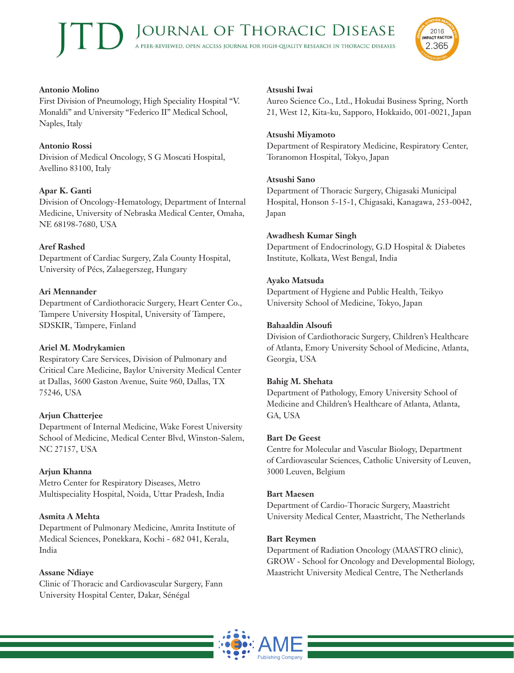

#### **Antonio Molino**

First Division of Pneumology, High Speciality Hospital "V. Monaldi" and University "Federico II" Medical School, Naples, Italy

# **Antonio Rossi**

Division of Medical Oncology, S G Moscati Hospital, Avellino 83100, Italy

# **Apar K. Ganti**

Division of Oncology-Hematology, Department of Internal Medicine, University of Nebraska Medical Center, Omaha, NE 68198-7680, USA

# **Aref Rashed**

Department of Cardiac Surgery, Zala County Hospital, University of Pécs, Zalaegerszeg, Hungary

# **Ari Mennander**

Department of Cardiothoracic Surgery, Heart Center Co., Tampere University Hospital, University of Tampere, SDSKIR, Tampere, Finland

# **Ariel M. Modrykamien**

Respiratory Care Services, Division of Pulmonary and Critical Care Medicine, Baylor University Medical Center at Dallas, 3600 Gaston Avenue, Suite 960, Dallas, TX 75246, USA

# **Arjun Chatterjee**

Department of Internal Medicine, Wake Forest University School of Medicine, Medical Center Blvd, Winston-Salem, NC 27157, USA

# **Arjun Khanna**

Metro Center for Respiratory Diseases, Metro Multispeciality Hospital, Noida, Uttar Pradesh, India

# **Asmita A Mehta**

Department of Pulmonary Medicine, Amrita Institute of Medical Sciences, Ponekkara, Kochi - 682 041, Kerala, India

# **Assane Ndiaye**

Clinic of Thoracic and Cardiovascular Surgery, Fann University Hospital Center, Dakar, Sénégal

## **Atsushi Iwai**

Aureo Science Co., Ltd., Hokudai Business Spring, North 21, West 12, Kita-ku, Sapporo, Hokkaido, 001-0021, Japan

## **Atsushi Miyamoto**

Department of Respiratory Medicine, Respiratory Center, Toranomon Hospital, Tokyo, Japan

# **Atsushi Sano**

Department of Thoracic Surgery, Chigasaki Municipal Hospital, Honson 5-15-1, Chigasaki, Kanagawa, 253-0042, Japan

# **Awadhesh Kumar Singh**

Department of Endocrinology, G.D Hospital & Diabetes Institute, Kolkata, West Bengal, India

# **Ayako Matsuda**

Department of Hygiene and Public Health, Teikyo University School of Medicine, Tokyo, Japan

# **Bahaaldin Alsoufi**

Division of Cardiothoracic Surgery, Children's Healthcare of Atlanta, Emory University School of Medicine, Atlanta, Georgia, USA

# **Bahig M. Shehata**

Department of Pathology, Emory University School of Medicine and Children's Healthcare of Atlanta, Atlanta, GA, USA

#### **Bart De Geest**

Centre for Molecular and Vascular Biology, Department of Cardiovascular Sciences, Catholic University of Leuven, 3000 Leuven, Belgium

#### **Bart Maesen**

Department of Cardio-Thoracic Surgery, Maastricht University Medical Center, Maastricht, The Netherlands

# **Bart Reymen**

Department of Radiation Oncology (MAASTRO clinic), GROW - School for Oncology and Developmental Biology, Maastricht University Medical Centre, The Netherlands

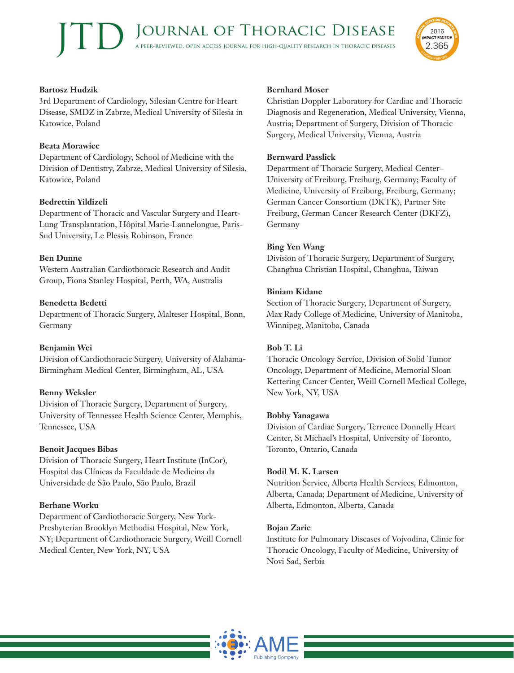

## **Bartosz Hudzik**

3rd Department of Cardiology, Silesian Centre for Heart Disease, SMDZ in Zabrze, Medical University of Silesia in Katowice, Poland

# **Beata Morawiec**

Department of Cardiology, School of Medicine with the Division of Dentistry, Zabrze, Medical University of Silesia, Katowice, Poland

# **Bedrettin Yildizeli**

Department of Thoracic and Vascular Surgery and Heart-Lung Transplantation, Hôpital Marie-Lannelongue, Paris-Sud University, Le Plessis Robinson, France

## **Ben Dunne**

Western Australian Cardiothoracic Research and Audit Group, Fiona Stanley Hospital, Perth, WA, Australia

## **Benedetta Bedetti**

Department of Thoracic Surgery, Malteser Hospital, Bonn, Germany

#### **Benjamin Wei**

Division of Cardiothoracic Surgery, University of Alabama-Birmingham Medical Center, Birmingham, AL, USA

# **Benny Weksler**

Division of Thoracic Surgery, Department of Surgery, University of Tennessee Health Science Center, Memphis, Tennessee, USA

#### **Benoit Jacques Bibas**

Division of Thoracic Surgery, Heart Institute (InCor), Hospital das Clínicas da Faculdade de Medicina da Universidade de São Paulo, São Paulo, Brazil

# **Berhane Worku**

Department of Cardiothoracic Surgery, New York-Presbyterian Brooklyn Methodist Hospital, New York, NY; Department of Cardiothoracic Surgery, Weill Cornell Medical Center, New York, NY, USA

#### **Bernhard Moser**

Christian Doppler Laboratory for Cardiac and Thoracic Diagnosis and Regeneration, Medical University, Vienna, Austria; Department of Surgery, Division of Thoracic Surgery, Medical University, Vienna, Austria

#### **Bernward Passlick**

Department of Thoracic Surgery, Medical Center– University of Freiburg, Freiburg, Germany; Faculty of Medicine, University of Freiburg, Freiburg, Germany; German Cancer Consortium (DKTK), Partner Site Freiburg, German Cancer Research Center (DKFZ), Germany

## **Bing Yen Wang**

Division of Thoracic Surgery, Department of Surgery, Changhua Christian Hospital, Changhua, Taiwan

#### **Biniam Kidane**

Section of Thoracic Surgery, Department of Surgery, Max Rady College of Medicine, University of Manitoba, Winnipeg, Manitoba, Canada

#### **Bob T. Li**

Thoracic Oncology Service, Division of Solid Tumor Oncology, Department of Medicine, Memorial Sloan Kettering Cancer Center, Weill Cornell Medical College, New York, NY, USA

#### **Bobby Yanagawa**

Division of Cardiac Surgery, Terrence Donnelly Heart Center, St Michael's Hospital, University of Toronto, Toronto, Ontario, Canada

#### **Bodil M. K. Larsen**

Nutrition Service, Alberta Health Services, Edmonton, Alberta, Canada; Department of Medicine, University of Alberta, Edmonton, Alberta, Canada

#### **Bojan Zaric**

Institute for Pulmonary Diseases of Vojvodina, Clinic for Thoracic Oncology, Faculty of Medicine, University of Novi Sad, Serbia

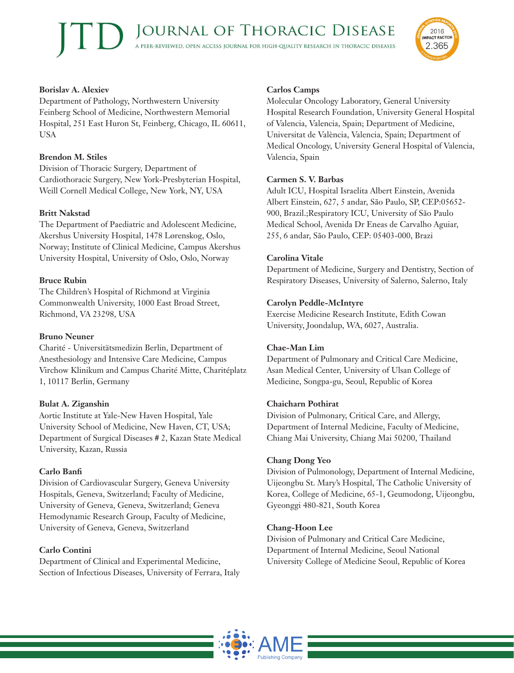#### **Borislav A. Alexiev**

Department of Pathology, Northwestern University Feinberg School of Medicine, Northwestern Memorial Hospital, 251 East Huron St, Feinberg, Chicago, IL 60611, USA

# **Brendon M. Stiles**

Division of Thoracic Surgery, Department of Cardiothoracic Surgery, New York-Presbyterian Hospital, Weill Cornell Medical College, New York, NY, USA

## **Britt Nakstad**

The Department of Paediatric and Adolescent Medicine, Akershus University Hospital, 1478 Lørenskog, Oslo, Norway; Institute of Clinical Medicine, Campus Akershus University Hospital, University of Oslo, Oslo, Norway

## **Bruce Rubin**

The Children's Hospital of Richmond at Virginia Commonwealth University, 1000 East Broad Street, Richmond, VA 23298, USA

#### **Bruno Neuner**

Charité - Universitätsmedizin Berlin, Department of Anesthesiology and Intensive Care Medicine, Campus Virchow Klinikum and Campus Charité Mitte, Charitéplatz 1, 10117 Berlin, Germany

#### **Bulat A. Ziganshin**

Aortic Institute at Yale-New Haven Hospital, Yale University School of Medicine, New Haven, CT, USA; Department of Surgical Diseases # 2, Kazan State Medical University, Kazan, Russia

#### **Carlo Banfi**

Division of Cardiovascular Surgery, Geneva University Hospitals, Geneva, Switzerland; Faculty of Medicine, University of Geneva, Geneva, Switzerland; Geneva Hemodynamic Research Group, Faculty of Medicine, University of Geneva, Geneva, Switzerland

#### **Carlo Contini**

Department of Clinical and Experimental Medicine, Section of Infectious Diseases, University of Ferrara, Italy

#### **Carlos Camps**

Molecular Oncology Laboratory, General University Hospital Research Foundation, University General Hospital of Valencia, Valencia, Spain; Department of Medicine, Universitat de València, Valencia, Spain; Department of Medical Oncology, University General Hospital of Valencia, Valencia, Spain

2016 **IMPACT FACTOR** 

2.365

#### **Carmen S. V. Barbas**

Adult ICU, Hospital Israelita Albert Einstein, Avenida Albert Einstein, 627, 5 andar, São Paulo, SP, CEP:05652- 900, Brazil.;Respiratory ICU, University of São Paulo Medical School, Avenida Dr Eneas de Carvalho Aguiar, 255, 6 andar, São Paulo, CEP: 05403-000, Brazi

#### **Carolina Vitale**

Department of Medicine, Surgery and Dentistry, Section of Respiratory Diseases, University of Salerno, Salerno, Italy

#### **Carolyn Peddle-McIntyre**

Exercise Medicine Research Institute, Edith Cowan University, Joondalup, WA, 6027, Australia.

#### **Chae-Man Lim**

Department of Pulmonary and Critical Care Medicine, Asan Medical Center, University of Ulsan College of Medicine, Songpa-gu, Seoul, Republic of Korea

#### **Chaicharn Pothirat**

Division of Pulmonary, Critical Care, and Allergy, Department of Internal Medicine, Faculty of Medicine, Chiang Mai University, Chiang Mai 50200, Thailand

#### **Chang Dong Yeo**

Division of Pulmonology, Department of Internal Medicine, Uijeongbu St. Mary's Hospital, The Catholic University of Korea, College of Medicine, 65-1, Geumodong, Uijeongbu, Gyeonggi 480-821, South Korea

#### **Chang-Hoon Lee**

Division of Pulmonary and Critical Care Medicine, Department of Internal Medicine, Seoul National University College of Medicine Seoul, Republic of Korea

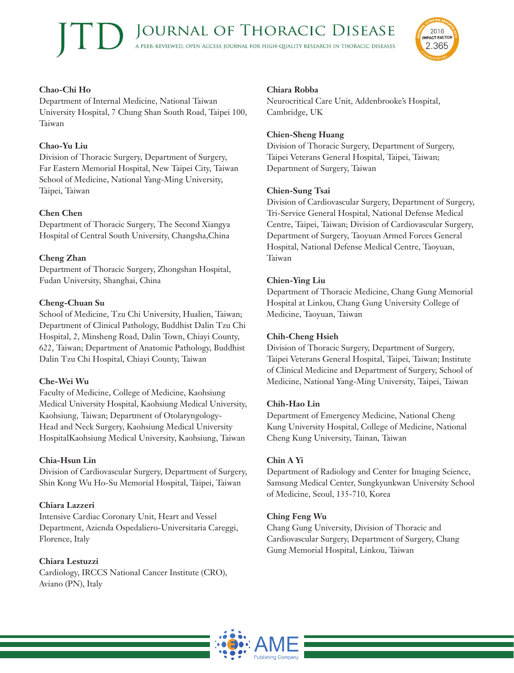

# **Chao-Chi Ho**

Department of Internal Medicine, National Taiwan University Hospital, 7 Chung Shan South Road, Taipei 100, Taiwan

## **Chao-Yu Liu**

Division of Thoracic Surgery, Department of Surgery, Far Eastern Memorial Hospital, New Taipei City, Taiwan School of Medicine, National Yang-Ming University, Taipei, Taiwan

## **Chen Chen**

Department of Thoracic Surgery, The Second Xiangya Hospital of Central South University, Changsha,China

## **Cheng Zhan**

Department of Thoracic Surgery, Zhongshan Hospital, Fudan University, Shanghai, China

## **Cheng-Chuan Su**

School of Medicine, Tzu Chi University, Hualien, Taiwan; Department of Clinical Pathology, Buddhist Dalin Tzu Chi Hospital, 2, Minsheng Road, Dalin Town, Chiayi County, 622, Taiwan; Department of Anatomic Pathology, Buddhist Dalin Tzu Chi Hospital, Chiayi County, Taiwan

# **Che-Wei Wu**

Faculty of Medicine, College of Medicine, Kaohsiung Medical University Hospital, Kaohsiung Medical University, Kaohsiung, Taiwan; Department of Otolaryngology-Head and Neck Surgery, Kaohsiung Medical University HospitalKaohsiung Medical University, Kaohsiung, Taiwan

#### **Chia-Hsun Lin**

Division of Cardiovascular Surgery, Department of Surgery, Shin Kong Wu Ho-Su Memorial Hospital, Taipei, Taiwan

#### **Chiara Lazzeri**

Intensive Cardiac Coronary Unit, Heart and Vessel Department, Azienda Ospedaliero-Universitaria Careggi, Florence, Italy

# **Chiara Lestuzzi**

Cardiology, IRCCS National Cancer Institute (CRO), Aviano (PN), Italy

#### **Chiara Robba**

Neurocritical Care Unit, Addenbrooke's Hospital, Cambridge, UK

#### **Chien-Sheng Huang**

Division of Thoracic Surgery, Department of Surgery, Taipei Veterans General Hospital, Taipei, Taiwan; Department of Surgery, Taiwan

#### **Chien-Sung Tsai**

Division of Cardiovascular Surgery, Department of Surgery, Tri-Service General Hospital, National Defense Medical Centre, Taipei, Taiwan; Division of Cardiovascular Surgery, Department of Surgery, Taoyuan Armed Forces General Hospital, National Defense Medical Centre, Taoyuan, Taiwan

#### **Chien-Ying Liu**

Department of Thoracic Medicine, Chang Gung Memorial Hospital at Linkou, Chang Gung University College of Medicine, Taoyuan, Taiwan

#### **Chih-Cheng Hsieh**

Division of Thoracic Surgery, Department of Surgery, Taipei Veterans General Hospital, Taipei, Taiwan; Institute of Clinical Medicine and Department of Surgery, School of Medicine, National Yang-Ming University, Taipei, Taiwan

#### **Chih-Hao Lin**

Department of Emergency Medicine, National Cheng Kung University Hospital, College of Medicine, National Cheng Kung University, Tainan, Taiwan

#### **Chin A Yi**

Department of Radiology and Center for Imaging Science, Samsung Medical Center, Sungkyunkwan University School of Medicine, Seoul, 135-710, Korea

#### **Ching Feng Wu**

Chang Gung University, Division of Thoracic and Cardiovascular Surgery, Department of Surgery, Chang Gung Memorial Hospital, Linkou, Taiwan

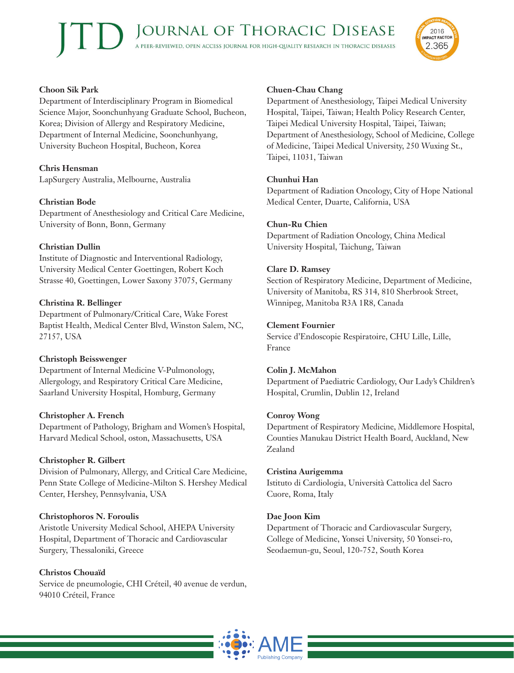

#### **Choon Sik Park**

Department of Interdisciplinary Program in Biomedical Science Major, Soonchunhyang Graduate School, Bucheon, Korea; Division of Allergy and Respiratory Medicine, Department of Internal Medicine, Soonchunhyang, University Bucheon Hospital, Bucheon, Korea

# **Chris Hensman**

LapSurgery Australia, Melbourne, Australia

## **Christian Bode**

Department of Anesthesiology and Critical Care Medicine, University of Bonn, Bonn, Germany

## **Christian Dullin**

Institute of Diagnostic and Interventional Radiology, University Medical Center Goettingen, Robert Koch Strasse 40, Goettingen, Lower Saxony 37075, Germany

#### **Christina R. Bellinger**

Department of Pulmonary/Critical Care, Wake Forest Baptist Health, Medical Center Blvd, Winston Salem, NC, 27157, USA

#### **Christoph Beisswenger**

Department of Internal Medicine V-Pulmonology, Allergology, and Respiratory Critical Care Medicine, Saarland University Hospital, Homburg, Germany

#### **Christopher A. French**

Department of Pathology, Brigham and Women's Hospital, Harvard Medical School, oston, Massachusetts, USA

#### **Christopher R. Gilbert**

Division of Pulmonary, Allergy, and Critical Care Medicine, Penn State College of Medicine-Milton S. Hershey Medical Center, Hershey, Pennsylvania, USA

#### **Christophoros N. Foroulis**

Aristotle University Medical School, AHEPA University Hospital, Department of Thoracic and Cardiovascular Surgery, Thessaloniki, Greece

#### **Christos Chouaïd**

Service de pneumologie, CHI Créteil, 40 avenue de verdun, 94010 Créteil, France

#### **Chuen-Chau Chang**

Department of Anesthesiology, Taipei Medical University Hospital, Taipei, Taiwan; Health Policy Research Center, Taipei Medical University Hospital, Taipei, Taiwan; Department of Anesthesiology, School of Medicine, College of Medicine, Taipei Medical University, 250 Wuxing St., Taipei, 11031, Taiwan

#### **Chunhui Han**

Department of Radiation Oncology, City of Hope National Medical Center, Duarte, California, USA

## **Chun-Ru Chien**

Department of Radiation Oncology, China Medical University Hospital, Taichung, Taiwan

#### **Clare D. Ramsey**

Section of Respiratory Medicine, Department of Medicine, University of Manitoba, RS 314, 810 Sherbrook Street, Winnipeg, Manitoba R3A 1R8, Canada

## **Clement Fournier**

Service d'Endoscopie Respiratoire, CHU Lille, Lille, France

#### **Colin J. McMahon**

Department of Paediatric Cardiology, Our Lady's Children's Hospital, Crumlin, Dublin 12, Ireland

#### **Conroy Wong**

Department of Respiratory Medicine, Middlemore Hospital, Counties Manukau District Health Board, Auckland, New Zealand

#### **Cristina Aurigemma**

Istituto di Cardiologia, Università Cattolica del Sacro Cuore, Roma, Italy

#### **Dae Joon Kim**

Department of Thoracic and Cardiovascular Surgery, College of Medicine, Yonsei University, 50 Yonsei-ro, Seodaemun-gu, Seoul, 120-752, South Korea

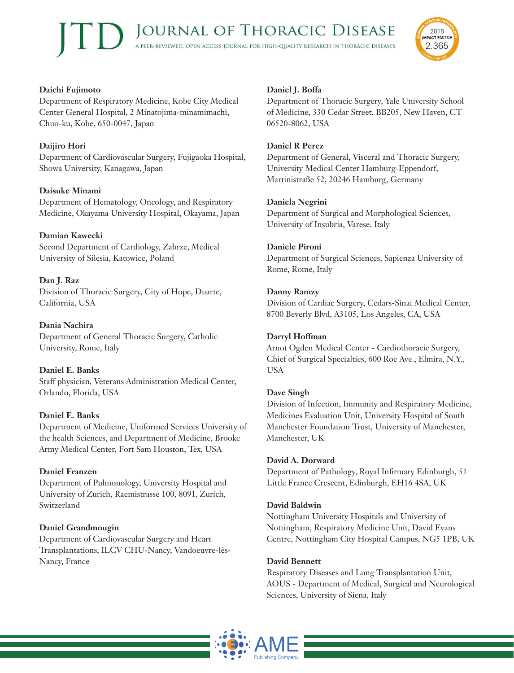

# **Daichi Fujimoto**

Department of Respiratory Medicine, Kobe City Medical Center General Hospital, 2 Minatojima-minamimachi, Chuo-ku, Kobe, 650-0047, Japan

# **Daijiro Hori**

Department of Cardiovascular Surgery, Fujigaoka Hospital, Showa University, Kanagawa, Japan

# **Daisuke Minami**

Department of Hematology, Oncology, and Respiratory Medicine, Okayama University Hospital, Okayama, Japan

# **Damian Kawecki**

Second Department of Cardiology, Zabrze, Medical University of Silesia, Katowice, Poland

# **Dan J. Raz**

Division of Thoracic Surgery, City of Hope, Duarte, California, USA

# **Dania Nachira**

Department of General Thoracic Surgery, Catholic University, Rome, Italy

# **Daniel E. Banks**

Staff physician, Veterans Administration Medical Center, Orlando, Florida, USA

# **Daniel E. Banks**

Department of Medicine, Uniformed Services University of the health Sciences, and Department of Medicine, Brooke Army Medical Center, Fort Sam Houston, Tex, USA

# **Daniel Franzen**

Department of Pulmonology, University Hospital and University of Zurich, Raemistrasse 100, 8091, Zurich, Switzerland

# **Daniel Grandmougin**

Department of Cardiovascular Surgery and Heart Transplantations, ILCV CHU-Nancy, Vandoeuvre-lès-Nancy, France

# **Daniel J. Boffa**

Department of Thoracic Surgery, Yale University School of Medicine, 330 Cedar Street, BB205, New Haven, CT 06520-8062, USA

# **Daniel R Perez**

Department of General, Visceral and Thoracic Surgery, University Medical Center Hamburg-Eppendorf, Martinistraße 52, 20246 Hamburg, Germany

# **Daniela Negrini**

Department of Surgical and Morphological Sciences, University of Insubria, Varese, Italy

# **Daniele Pironi**

Department of Surgical Sciences, Sapienza University of Rome, Rome, Italy

# **Danny Ramzy**

Division of Cardiac Surgery, Cedars-Sinai Medical Center, 8700 Beverly Blvd, A3105, Los Angeles, CA, USA

# **Darryl Hoffman**

Arnot Ogden Medical Center - Cardiothoracic Surgery, Chief of Surgical Specialties, 600 Roe Ave., Elmira, N.Y., USA

# **Dave Singh**

Division of Infection, Immunity and Respiratory Medicine, Medicines Evaluation Unit, University Hospital of South Manchester Foundation Trust, University of Manchester, Manchester, UK

#### **David A. Dorward**

Department of Pathology, Royal Infirmary Edinburgh, 51 Little France Crescent, Edinburgh, EH16 4SA, UK

# **David Baldwin**

Nottingham University Hospitals and University of Nottingham, Respiratory Medicine Unit, David Evans Centre, Nottingham City Hospital Campus, NG5 1PB, UK

#### **David Bennett**

Respiratory Diseases and Lung Transplantation Unit, AOUS - Department of Medical, Surgical and Neurological Sciences, University of Siena, Italy

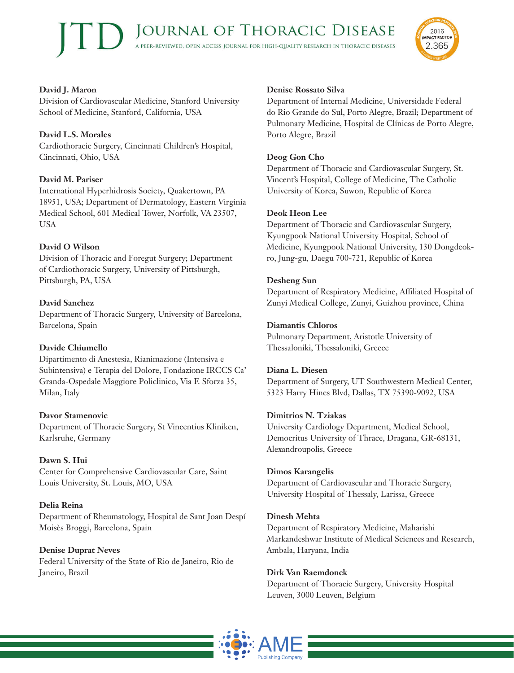

# **David J. Maron**

Division of Cardiovascular Medicine, Stanford University School of Medicine, Stanford, California, USA

# **David L.S. Morales**

Cardiothoracic Surgery, Cincinnati Children's Hospital, Cincinnati, Ohio, USA

# **David M. Pariser**

International Hyperhidrosis Society, Quakertown, PA 18951, USA; Department of Dermatology, Eastern Virginia Medical School, 601 Medical Tower, Norfolk, VA 23507, USA

# **David O Wilson**

Division of Thoracic and Foregut Surgery; Department of Cardiothoracic Surgery, University of Pittsburgh, Pittsburgh, PA, USA

# **David Sanchez**

Department of Thoracic Surgery, University of Barcelona, Barcelona, Spain

# **Davide Chiumello**

Dipartimento di Anestesia, Rianimazione (Intensiva e Subintensiva) e Terapia del Dolore, Fondazione IRCCS Ca' Granda-Ospedale Maggiore Policlinico, Via F. Sforza 35, Milan, Italy

# **Davor Stamenovic**

Department of Thoracic Surgery, St Vincentius Kliniken, Karlsruhe, Germany

# **Dawn S. Hui**

Center for Comprehensive Cardiovascular Care, Saint Louis University, St. Louis, MO, USA

# **Delia Reina**

Department of Rheumatology, Hospital de Sant Joan Despí Moisès Broggi, Barcelona, Spain

# **Denise Duprat Neves**

Federal University of the State of Rio de Janeiro, Rio de Janeiro, Brazil

# **Denise Rossato Silva**

Department of Internal Medicine, Universidade Federal do Rio Grande do Sul, Porto Alegre, Brazil; Department of Pulmonary Medicine, Hospital de Clínicas de Porto Alegre, Porto Alegre, Brazil

# **Deog Gon Cho**

Department of Thoracic and Cardiovascular Surgery, St. Vincent's Hospital, College of Medicine, The Catholic University of Korea, Suwon, Republic of Korea

# **Deok Heon Lee**

Department of Thoracic and Cardiovascular Surgery, Kyungpook National University Hospital, School of Medicine, Kyungpook National University, 130 Dongdeokro, Jung-gu, Daegu 700-721, Republic of Korea

## **Desheng Sun**

Department of Respiratory Medicine, Affiliated Hospital of Zunyi Medical College, Zunyi, Guizhou province, China

# **Diamantis Chloros**

Pulmonary Department, Aristotle University of Thessaloniki, Thessaloniki, Greece

# **Diana L. Diesen**

Department of Surgery, UT Southwestern Medical Center, 5323 Harry Hines Blvd, Dallas, TX 75390-9092, USA

# **Dimitrios N. Tziakas**

University Cardiology Department, Medical School, Democritus University of Thrace, Dragana, GR-68131, Alexandroupolis, Greece

# **Dimos Karangelis**

Department of Cardiovascular and Thoracic Surgery, University Hospital of Thessaly, Larissa, Greece

# **Dinesh Mehta**

Department of Respiratory Medicine, Maharishi Markandeshwar Institute of Medical Sciences and Research, Ambala, Haryana, India

# **Dirk Van Raemdonck**

Department of Thoracic Surgery, University Hospital Leuven, 3000 Leuven, Belgium

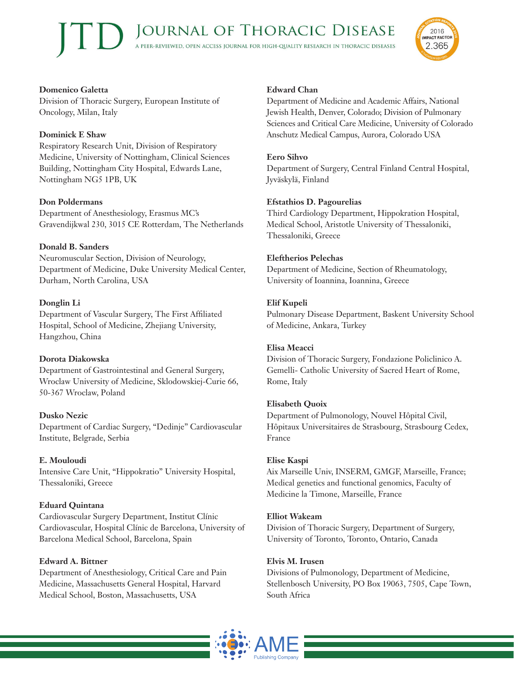

# **Domenico Galetta**

Division of Thoracic Surgery, European Institute of Oncology, Milan, Italy

## **Dominick E Shaw**

Respiratory Research Unit, Division of Respiratory Medicine, University of Nottingham, Clinical Sciences Building, Nottingham City Hospital, Edwards Lane, Nottingham NG5 1PB, UK

## **Don Poldermans**

Department of Anesthesiology, Erasmus MC's Gravendijkwal 230, 3015 CE Rotterdam, The Netherlands

## **Donald B. Sanders**

Neuromuscular Section, Division of Neurology, Department of Medicine, Duke University Medical Center, Durham, North Carolina, USA

## **Donglin Li**

Department of Vascular Surgery, The First Affiliated Hospital, School of Medicine, Zhejiang University, Hangzhou, China

# **Dorota Diakowska**

Department of Gastrointestinal and General Surgery, Wroclaw University of Medicine, Sklodowskiej-Curie 66, 50-367 Wroclaw, Poland

# **Dusko Nezic**

Department of Cardiac Surgery, "Dedinje" Cardiovascular Institute, Belgrade, Serbia

#### **E. Mouloudi**

Intensive Care Unit, "Hippokratio" University Hospital, Thessaloniki, Greece

#### **Eduard Quintana**

Cardiovascular Surgery Department, Institut Clínic Cardiovascular, Hospital Clínic de Barcelona, University of Barcelona Medical School, Barcelona, Spain

#### **Edward A. Bittner**

Department of Anesthesiology, Critical Care and Pain Medicine, Massachusetts General Hospital, Harvard Medical School, Boston, Massachusetts, USA

#### **Edward Chan**

Department of Medicine and Academic Affairs, National Jewish Health, Denver, Colorado; Division of Pulmonary Sciences and Critical Care Medicine, University of Colorado Anschutz Medical Campus, Aurora, Colorado USA

#### **Eero Sihvo**

Department of Surgery, Central Finland Central Hospital, Jyväskylä, Finland

#### **Efstathios D. Pagourelias**

Third Cardiology Department, Hippokration Hospital, Medical School, Aristotle University of Thessaloniki, Thessaloniki, Greece

## **Eleftherios Pelechas**

Department of Medicine, Section of Rheumatology, University of Ioannina, Ioannina, Greece

#### **Elif Kupeli**

Pulmonary Disease Department, Baskent University School of Medicine, Ankara, Turkey

#### **Elisa Meacci**

Division of Thoracic Surgery, Fondazione Policlinico A. Gemelli- Catholic University of Sacred Heart of Rome, Rome, Italy

#### **Elisabeth Quoix**

Department of Pulmonology, Nouvel Hôpital Civil, Hôpitaux Universitaires de Strasbourg, Strasbourg Cedex, France

#### **Elise Kaspi**

Aix Marseille Univ, INSERM, GMGF, Marseille, France; Medical genetics and functional genomics, Faculty of Medicine la Timone, Marseille, France

#### **Elliot Wakeam**

Division of Thoracic Surgery, Department of Surgery, University of Toronto, Toronto, Ontario, Canada

#### **Elvis M. Irusen**

Divisions of Pulmonology, Department of Medicine, Stellenbosch University, PO Box 19063, 7505, Cape Town, South Africa

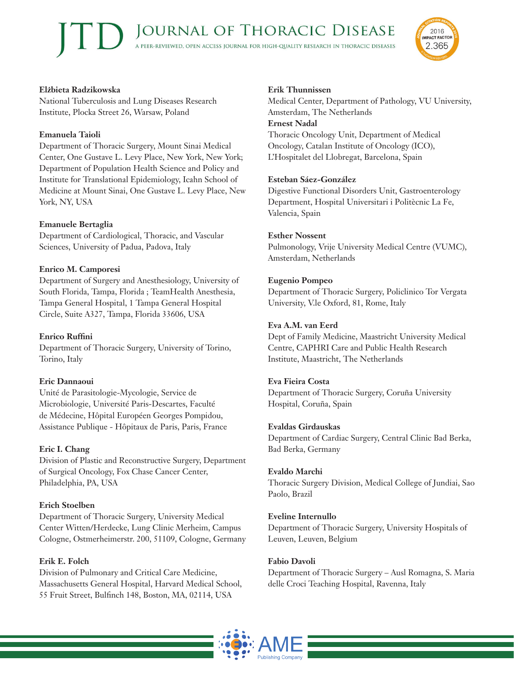

## **Elżbieta Radzikowska**

National Tuberculosis and Lung Diseases Research Institute, Plocka Street 26, Warsaw, Poland

## **Emanuela Taioli**

Department of Thoracic Surgery, Mount Sinai Medical Center, One Gustave L. Levy Place, New York, New York; Department of Population Health Science and Policy and Institute for Translational Epidemiology, Icahn School of Medicine at Mount Sinai, One Gustave L. Levy Place, New York, NY, USA

# **Emanuele Bertaglia**

Department of Cardiological, Thoracic, and Vascular Sciences, University of Padua, Padova, Italy

## **Enrico M. Camporesi**

Department of Surgery and Anesthesiology, University of South Florida, Tampa, Florida ; TeamHealth Anesthesia, Tampa General Hospital, 1 Tampa General Hospital Circle, Suite A327, Tampa, Florida 33606, USA

# **Enrico Ruffini**

Department of Thoracic Surgery, University of Torino, Torino, Italy

#### **Eric Dannaoui**

Unité de Parasitologie-Mycologie, Service de Microbiologie, Université Paris-Descartes, Faculté de Médecine, Hôpital Européen Georges Pompidou, Assistance Publique - Hôpitaux de Paris, Paris, France

# **Eric I. Chang**

Division of Plastic and Reconstructive Surgery, Department of Surgical Oncology, Fox Chase Cancer Center, Philadelphia, PA, USA

# **Erich Stoelben**

Department of Thoracic Surgery, University Medical Center Witten/Herdecke, Lung Clinic Merheim, Campus Cologne, Ostmerheimerstr. 200, 51109, Cologne, Germany

#### **Erik E. Folch**

Division of Pulmonary and Critical Care Medicine, Massachusetts General Hospital, Harvard Medical School, 55 Fruit Street, Bulfinch 148, Boston, MA, 02114, USA

#### **Erik Thunnissen**

Medical Center, Department of Pathology, VU University, Amsterdam, The Netherlands **Ernest Nadal** Thoracic Oncology Unit, Department of Medical Oncology, Catalan Institute of Oncology (ICO), L'Hospitalet del Llobregat, Barcelona, Spain

## **Esteban Sáez-González**

Digestive Functional Disorders Unit, Gastroenterology Department, Hospital Universitari i Politècnic La Fe, Valencia, Spain

## **Esther Nossent**

Pulmonology, Vrije University Medical Centre (VUMC), Amsterdam, Netherlands

## **Eugenio Pompeo**

Department of Thoracic Surgery, Policlinico Tor Vergata University, V.le Oxford, 81, Rome, Italy

## **Eva A.M. van Eerd**

Dept of Family Medicine, Maastricht University Medical Centre, CAPHRI Care and Public Health Research Institute, Maastricht, The Netherlands

#### **Eva Fieira Costa**

Department of Thoracic Surgery, Coruña University Hospital, Coruña, Spain

#### **Evaldas Girdauskas**

Department of Cardiac Surgery, Central Clinic Bad Berka, Bad Berka, Germany

#### **Evaldo Marchi**

Thoracic Surgery Division, Medical College of Jundiai, Sao Paolo, Brazil

#### **Eveline Internullo**

Department of Thoracic Surgery, University Hospitals of Leuven, Leuven, Belgium

#### **Fabio Davoli**

Department of Thoracic Surgery – Ausl Romagna, S. Maria delle Croci Teaching Hospital, Ravenna, Italy

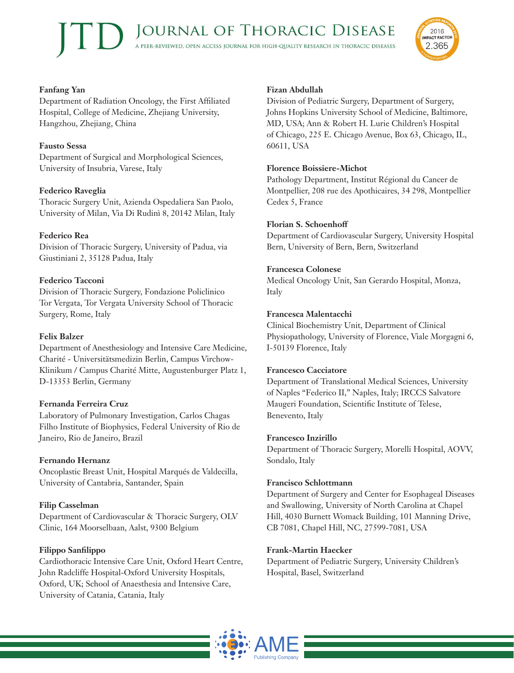

## **Fanfang Yan**

Department of Radiation Oncology, the First Affiliated Hospital, College of Medicine, Zhejiang University, Hangzhou, Zhejiang, China

# **Fausto Sessa**

Department of Surgical and Morphological Sciences, University of Insubria, Varese, Italy

# **Federico Raveglia**

Thoracic Surgery Unit, Azienda Ospedaliera San Paolo, University of Milan, Via Di Rudinì 8, 20142 Milan, Italy

# **Federico Rea**

Division of Thoracic Surgery, University of Padua, via Giustiniani 2, 35128 Padua, Italy

# **Federico Tacconi**

Division of Thoracic Surgery, Fondazione Policlinico Tor Vergata, Tor Vergata University School of Thoracic Surgery, Rome, Italy

# **Felix Balzer**

Department of Anesthesiology and Intensive Care Medicine, Charité - Universitätsmedizin Berlin, Campus Virchow-Klinikum / Campus Charité Mitte, Augustenburger Platz 1, D-13353 Berlin, Germany

# **Fernanda Ferreira Cruz**

Laboratory of Pulmonary Investigation, Carlos Chagas Filho Institute of Biophysics, Federal University of Rio de Janeiro, Rio de Janeiro, Brazil

# **Fernando Hernanz**

Oncoplastic Breast Unit, Hospital Marqués de Valdecilla, University of Cantabria, Santander, Spain

# **Filip Casselman**

Department of Cardiovascular & Thoracic Surgery, OLV Clinic, 164 Moorselbaan, Aalst, 9300 Belgium

# **Filippo Sanfilippo**

Cardiothoracic Intensive Care Unit, Oxford Heart Centre, John Radcliffe Hospital-Oxford University Hospitals, Oxford, UK; School of Anaesthesia and Intensive Care, University of Catania, Catania, Italy

# **Fizan Abdullah**

Division of Pediatric Surgery, Department of Surgery, Johns Hopkins University School of Medicine, Baltimore, MD, USA; Ann & Robert H. Lurie Children's Hospital of Chicago, 225 E. Chicago Avenue, Box 63, Chicago, IL, 60611, USA

# **Florence Boissiere-Michot**

Pathology Department, Institut Régional du Cancer de Montpellier, 208 rue des Apothicaires, 34 298, Montpellier Cedex 5, France

## **Florian S. Schoenhoff**

Department of Cardiovascular Surgery, University Hospital Bern, University of Bern, Bern, Switzerland

## **Francesca Colonese**

Medical Oncology Unit, San Gerardo Hospital, Monza, Italy

# **Francesca Malentacchi**

Clinical Biochemistry Unit, Department of Clinical Physiopathology, University of Florence, Viale Morgagni 6, I-50139 Florence, Italy

#### **Francesco Cacciatore**

Department of Translational Medical Sciences, University of Naples "Federico II," Naples, Italy; IRCCS Salvatore Maugeri Foundation, Scientific Institute of Telese, Benevento, Italy

#### **Francesco Inzirillo**

Department of Thoracic Surgery, Morelli Hospital, AOVV, Sondalo, Italy

# **Francisco Schlottmann**

Department of Surgery and Center for Esophageal Diseases and Swallowing, University of North Carolina at Chapel Hill, 4030 Burnett Womack Building, 101 Manning Drive, CB 7081, Chapel Hill, NC, 27599-7081, USA

# **Frank-Martin Haecker**

Department of Pediatric Surgery, University Children's Hospital, Basel, Switzerland

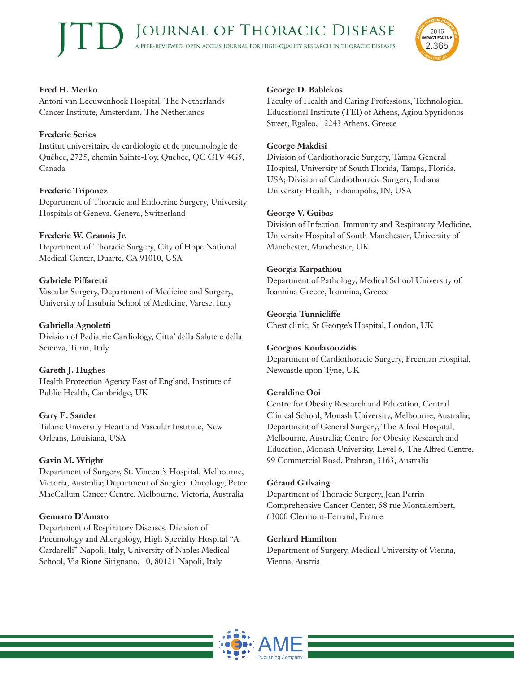

# **Fred H. Menko**

Antoni van Leeuwenhoek Hospital, The Netherlands Cancer Institute, Amsterdam, The Netherlands

# **Frederic Series**

Institut universitaire de cardiologie et de pneumologie de Québec, 2725, chemin Sainte-Foy, Quebec, QC G1V 4G5, Canada

## **Frederic Triponez**

Department of Thoracic and Endocrine Surgery, University Hospitals of Geneva, Geneva, Switzerland

## **Frederic W. Grannis Jr.**

Department of Thoracic Surgery, City of Hope National Medical Center, Duarte, CA 91010, USA

# **Gabriele Piffaretti**

Vascular Surgery, Department of Medicine and Surgery, University of Insubria School of Medicine, Varese, Italy

## **Gabriella Agnoletti**

Division of Pediatric Cardiology, Citta' della Salute e della Scienza, Turin, Italy

# **Gareth J. Hughes**

Health Protection Agency East of England, Institute of Public Health, Cambridge, UK

#### **Gary E. Sander**

Tulane University Heart and Vascular Institute, New Orleans, Louisiana, USA

#### **Gavin M. Wright**

Department of Surgery, St. Vincent's Hospital, Melbourne, Victoria, Australia; Department of Surgical Oncology, Peter MacCallum Cancer Centre, Melbourne, Victoria, Australia

#### **Gennaro D'Amato**

Department of Respiratory Diseases, Division of Pneumology and Allergology, High Specialty Hospital "A. Cardarelli" Napoli, Italy, University of Naples Medical School, Via Rione Sirignano, 10, 80121 Napoli, Italy

## **George D. Bablekos**

Faculty of Health and Caring Professions, Technological Educational Institute (TEI) of Athens, Agiou Spyridonos Street, Egaleo, 12243 Athens, Greece

#### **George Makdisi**

Division of Cardiothoracic Surgery, Tampa General Hospital, University of South Florida, Tampa, Florida, USA; Division of Cardiothoracic Surgery, Indiana University Health, Indianapolis, IN, USA

#### **George V. Guibas**

Division of Infection, Immunity and Respiratory Medicine, University Hospital of South Manchester, University of Manchester, Manchester, UK

## **Georgia Karpathiou**

Department of Pathology, Medical School University of Ioannina Greece, Ioannina, Greece

## **Georgia Tunnicliffe**

Chest clinic, St George's Hospital, London, UK

#### **Georgios Koulaxouzidis**

Department of Cardiothoracic Surgery, Freeman Hospital, Newcastle upon Tyne, UK

# **Geraldine Ooi**

Centre for Obesity Research and Education, Central Clinical School, Monash University, Melbourne, Australia; Department of General Surgery, The Alfred Hospital, Melbourne, Australia; Centre for Obesity Research and Education, Monash University, Level 6, The Alfred Centre, 99 Commercial Road, Prahran, 3163, Australia

#### **Géraud Galvaing**

Department of Thoracic Surgery, Jean Perrin Comprehensive Cancer Center, 58 rue Montalembert, 63000 Clermont-Ferrand, France

# **Gerhard Hamilton**

Department of Surgery, Medical University of Vienna, Vienna, Austria

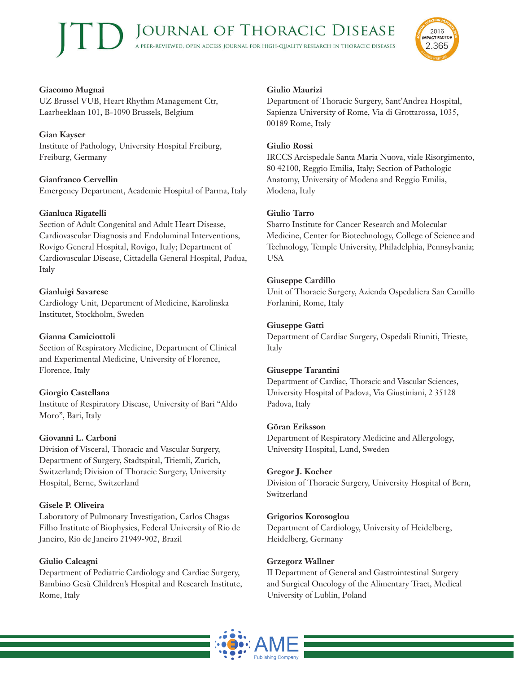

## **Giacomo Mugnai**

UZ Brussel VUB, Heart Rhythm Management Ctr, Laarbeeklaan 101, B-1090 Brussels, Belgium

**Gian Kayser** Institute of Pathology, University Hospital Freiburg, Freiburg, Germany

## **Gianfranco Cervellin**

Emergency Department, Academic Hospital of Parma, Italy

#### **Gianluca Rigatelli**

Section of Adult Congenital and Adult Heart Disease, Cardiovascular Diagnosis and Endoluminal Interventions, Rovigo General Hospital, Rovigo, Italy; Department of Cardiovascular Disease, Cittadella General Hospital, Padua, Italy

## **Gianluigi Savarese**

Cardiology Unit, Department of Medicine, Karolinska Institutet, Stockholm, Sweden

#### **Gianna Camiciottoli**

Section of Respiratory Medicine, Department of Clinical and Experimental Medicine, University of Florence, Florence, Italy

#### **Giorgio Castellana**

Institute of Respiratory Disease, University of Bari "Aldo Moro", Bari, Italy

#### **Giovanni L. Carboni**

Division of Visceral, Thoracic and Vascular Surgery, Department of Surgery, Stadtspital, Triemli, Zurich, Switzerland; Division of Thoracic Surgery, University Hospital, Berne, Switzerland

#### **Gisele P. Oliveira**

Laboratory of Pulmonary Investigation, Carlos Chagas Filho Institute of Biophysics, Federal University of Rio de Janeiro, Rio de Janeiro 21949-902, Brazil

# **Giulio Calcagni**

Department of Pediatric Cardiology and Cardiac Surgery, Bambino Gesù Children's Hospital and Research Institute, Rome, Italy

#### **Giulio Maurizi**

Department of Thoracic Surgery, Sant'Andrea Hospital, Sapienza University of Rome, Via di Grottarossa, 1035, 00189 Rome, Italy

#### **Giulio Rossi**

IRCCS Arcispedale Santa Maria Nuova, viale Risorgimento, 80 42100, Reggio Emilia, Italy; Section of Pathologic Anatomy, University of Modena and Reggio Emilia, Modena, Italy

## **Giulio Tarro**

Sbarro Institute for Cancer Research and Molecular Medicine, Center for Biotechnology, College of Science and Technology, Temple University, Philadelphia, Pennsylvania; USA

#### **Giuseppe Cardillo**

Unit of Thoracic Surgery, Azienda Ospedaliera San Camillo Forlanini, Rome, Italy

## **Giuseppe Gatti**

Department of Cardiac Surgery, Ospedali Riuniti, Trieste, Italy

#### **Giuseppe Tarantini**

Department of Cardiac, Thoracic and Vascular Sciences, University Hospital of Padova, Via Giustiniani, 2 35128 Padova, Italy

#### **Göran Eriksson**

Department of Respiratory Medicine and Allergology, University Hospital, Lund, Sweden

#### **Gregor J. Kocher**

Division of Thoracic Surgery, University Hospital of Bern, Switzerland

# **Grigorios Korosoglou**

Department of Cardiology, University of Heidelberg, Heidelberg, Germany

# **Grzegorz Wallner**

II Department of General and Gastrointestinal Surgery and Surgical Oncology of the Alimentary Tract, Medical University of Lublin, Poland

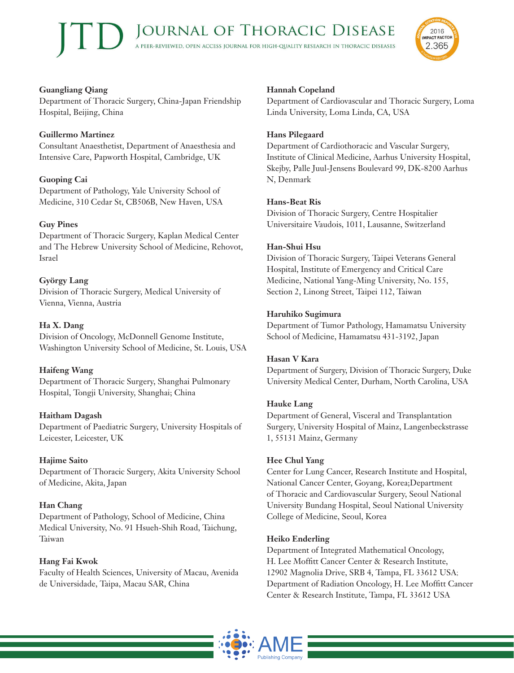

# **Guangliang Qiang**

Department of Thoracic Surgery, China-Japan Friendship Hospital, Beijing, China

## **Guillermo Martinez**

Consultant Anaesthetist, Department of Anaesthesia and Intensive Care, Papworth Hospital, Cambridge, UK

# **Guoping Cai**

Department of Pathology, Yale University School of Medicine, 310 Cedar St, CB506B, New Haven, USA

# **Guy Pines**

Department of Thoracic Surgery, Kaplan Medical Center and The Hebrew University School of Medicine, Rehovot, Israel

# **György Lang**

Division of Thoracic Surgery, Medical University of Vienna, Vienna, Austria

# **Ha X. Dang**

Division of Oncology, McDonnell Genome Institute, Washington University School of Medicine, St. Louis, USA

# **Haifeng Wang**

Department of Thoracic Surgery, Shanghai Pulmonary Hospital, Tongji University, Shanghai; China

# **Haitham Dagash**

Department of Paediatric Surgery, University Hospitals of Leicester, Leicester, UK

#### **Hajime Saito**

Department of Thoracic Surgery, Akita University School of Medicine, Akita, Japan

#### **Han Chang**

Department of Pathology, School of Medicine, China Medical University, No. 91 Hsueh-Shih Road, Taichung, Taiwan

#### **Hang Fai Kwok**

Faculty of Health Sciences, University of Macau, Avenida de Universidade, Taipa, Macau SAR, China

# **Hannah Copeland**

Department of Cardiovascular and Thoracic Surgery, Loma Linda University, Loma Linda, CA, USA

#### **Hans Pilegaard**

Department of Cardiothoracic and Vascular Surgery, Institute of Clinical Medicine, Aarhus University Hospital, Skejby, Palle Juul-Jensens Boulevard 99, DK-8200 Aarhus N, Denmark

## **Hans-Beat Ris**

Division of Thoracic Surgery, Centre Hospitalier Universitaire Vaudois, 1011, Lausanne, Switzerland

#### **Han-Shui Hsu**

Division of Thoracic Surgery, Taipei Veterans General Hospital, Institute of Emergency and Critical Care Medicine, National Yang-Ming University, No. 155, Section 2, Linong Street, Taipei 112, Taiwan

## **Haruhiko Sugimura**

Department of Tumor Pathology, Hamamatsu University School of Medicine, Hamamatsu 431-3192, Japan

#### **Hasan V Kara**

Department of Surgery, Division of Thoracic Surgery, Duke University Medical Center, Durham, North Carolina, USA

#### **Hauke Lang**

Department of General, Visceral and Transplantation Surgery, University Hospital of Mainz, Langenbeckstrasse 1, 55131 Mainz, Germany

#### **Hee Chul Yang**

Center for Lung Cancer, Research Institute and Hospital, National Cancer Center, Goyang, Korea;Department of Thoracic and Cardiovascular Surgery, Seoul National University Bundang Hospital, Seoul National University College of Medicine, Seoul, Korea

#### **Heiko Enderling**

Department of Integrated Mathematical Oncology, H. Lee Moffitt Cancer Center & Research Institute, 12902 Magnolia Drive, SRB 4, Tampa, FL 33612 USA; Department of Radiation Oncology, H. Lee Moffitt Cancer Center & Research Institute, Tampa, FL 33612 USA

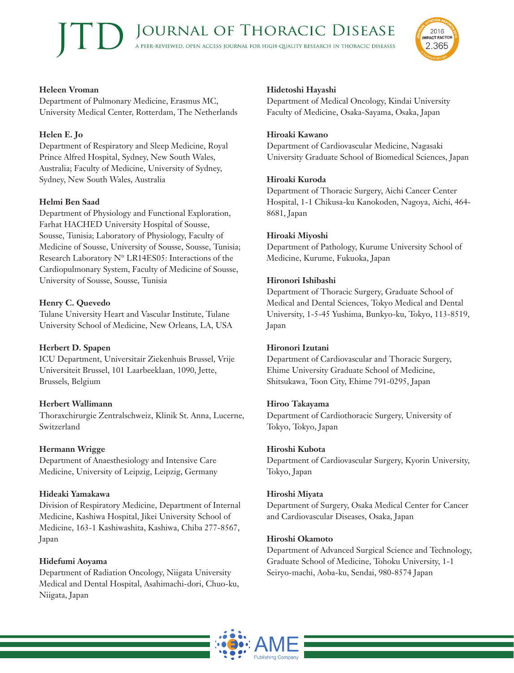

## **Heleen Vroman**

Department of Pulmonary Medicine, Erasmus MC, University Medical Center, Rotterdam, The Netherlands

# **Helen E. Jo**

Department of Respiratory and Sleep Medicine, Royal Prince Alfred Hospital, Sydney, New South Wales, Australia; Faculty of Medicine, University of Sydney, Sydney, New South Wales, Australia

# **Helmi Ben Saad**

Department of Physiology and Functional Exploration, Farhat HACHED University Hospital of Sousse, Sousse, Tunisia; Laboratory of Physiology, Faculty of Medicine of Sousse, University of Sousse, Sousse, Tunisia; Research Laboratory N° LR14ES05: Interactions of the Cardiopulmonary System, Faculty of Medicine of Sousse, University of Sousse, Sousse, Tunisia

# **Henry C. Quevedo**

Tulane University Heart and Vascular Institute, Tulane University School of Medicine, New Orleans, LA, USA

# **Herbert D. Spapen**

ICU Department, Universitair Ziekenhuis Brussel, Vrije Universiteit Brussel, 101 Laarbeeklaan, 1090, Jette, Brussels, Belgium

# **Herbert Wallimann**

Thoraxchirurgie Zentralschweiz, Klinik St. Anna, Lucerne, Switzerland

# **Hermann Wrigge**

Department of Anaesthesiology and Intensive Care Medicine, University of Leipzig, Leipzig, Germany

# **Hideaki Yamakawa**

Division of Respiratory Medicine, Department of Internal Medicine, Kashiwa Hospital, Jikei University School of Medicine, 163-1 Kashiwashita, Kashiwa, Chiba 277-8567, Japan

# **Hidefumi Aoyama**

Department of Radiation Oncology, Niigata University Medical and Dental Hospital, Asahimachi-dori, Chuo-ku, Niigata, Japan

# **Hidetoshi Hayashi**

Department of Medical Oncology, Kindai University Faculty of Medicine, Osaka-Sayama, Osaka, Japan

#### **Hiroaki Kawano**

Department of Cardiovascular Medicine, Nagasaki University Graduate School of Biomedical Sciences, Japan

# **Hiroaki Kuroda**

Department of Thoracic Surgery, Aichi Cancer Center Hospital, 1-1 Chikusa-ku Kanokoden, Nagoya, Aichi, 464- 8681, Japan

# **Hiroaki Miyoshi**

Department of Pathology, Kurume University School of Medicine, Kurume, Fukuoka, Japan

# **Hironori Ishibashi**

Department of Thoracic Surgery, Graduate School of Medical and Dental Sciences, Tokyo Medical and Dental University, 1-5-45 Yushima, Bunkyo-ku, Tokyo, 113-8519, Japan

# **Hironori Izutani**

Department of Cardiovascular and Thoracic Surgery, Ehime University Graduate School of Medicine, Shitsukawa, Toon City, Ehime 791-0295, Japan

#### **Hiroo Takayama**

Department of Cardiothoracic Surgery, University of Tokyo, Tokyo, Japan

# **Hiroshi Kubota**

Department of Cardiovascular Surgery, Kyorin University, Tokyo, Japan

# **Hiroshi Miyata**

Department of Surgery, Osaka Medical Center for Cancer and Cardiovascular Diseases, Osaka, Japan

# **Hiroshi Okamoto**

Department of Advanced Surgical Science and Technology, Graduate School of Medicine, Tohoku University, 1-1 Seiryo-machi, Aoba-ku, Sendai, 980-8574 Japan

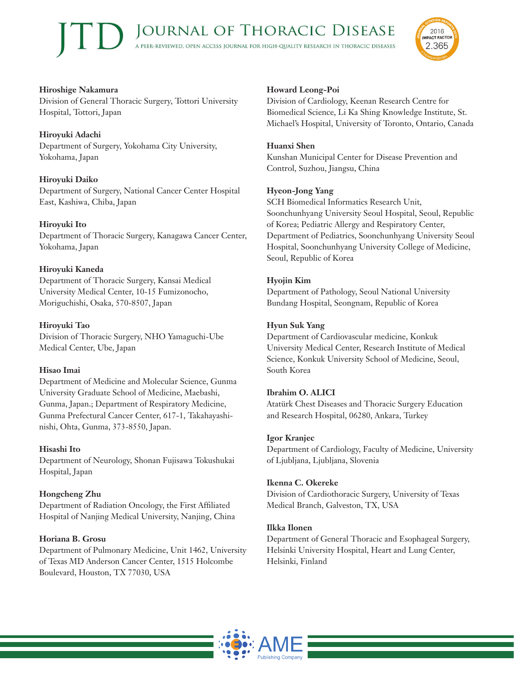

#### **Hiroshige Nakamura** Division of General Thoracic Surgery, Tottori University Hospital, Tottori, Japan

# **Hiroyuki Adachi**

Department of Surgery, Yokohama City University, Yokohama, Japan

# **Hiroyuki Daiko**

Department of Surgery, National Cancer Center Hospital East, Kashiwa, Chiba, Japan

# **Hiroyuki Ito**

Department of Thoracic Surgery, Kanagawa Cancer Center, Yokohama, Japan

# **Hiroyuki Kaneda**

Department of Thoracic Surgery, Kansai Medical University Medical Center, 10-15 Fumizonocho, Moriguchishi, Osaka, 570-8507, Japan

# **Hiroyuki Tao**

Division of Thoracic Surgery, NHO Yamaguchi-Ube Medical Center, Ube, Japan

# **Hisao Imai**

Department of Medicine and Molecular Science, Gunma University Graduate School of Medicine, Maebashi, Gunma, Japan.; Department of Respiratory Medicine, Gunma Prefectural Cancer Center, 617-1, Takahayashinishi, Ohta, Gunma, 373-8550, Japan.

# **Hisashi Ito**

Department of Neurology, Shonan Fujisawa Tokushukai Hospital, Japan

# **Hongcheng Zhu**

Department of Radiation Oncology, the First Affiliated Hospital of Nanjing Medical University, Nanjing, China

# **Horiana B. Grosu**

Department of Pulmonary Medicine, Unit 1462, University of Texas MD Anderson Cancer Center, 1515 Holcombe Boulevard, Houston, TX 77030, USA

# **Howard Leong-Poi**

Division of Cardiology, Keenan Research Centre for Biomedical Science, Li Ka Shing Knowledge Institute, St. Michael's Hospital, University of Toronto, Ontario, Canada

# **Huanxi Shen**

Kunshan Municipal Center for Disease Prevention and Control, Suzhou, Jiangsu, China

# **Hyeon-Jong Yang**

SCH Biomedical Informatics Research Unit, Soonchunhyang University Seoul Hospital, Seoul, Republic of Korea; Pediatric Allergy and Respiratory Center, Department of Pediatrics, Soonchunhyang University Seoul Hospital, Soonchunhyang University College of Medicine, Seoul, Republic of Korea

# **Hyojin Kim**

Department of Pathology, Seoul National University Bundang Hospital, Seongnam, Republic of Korea

# **Hyun Suk Yang**

Department of Cardiovascular medicine, Konkuk University Medical Center, Research Institute of Medical Science, Konkuk University School of Medicine, Seoul, South Korea

# **Ibrahim O. ALICI**

Atatürk Chest Diseases and Thoracic Surgery Education and Research Hospital, 06280, Ankara, Turkey

# **Igor Kranjec**

Department of Cardiology, Faculty of Medicine, University of Ljubljana, Ljubljana, Slovenia

# **Ikenna C. Okereke**

Division of Cardiothoracic Surgery, University of Texas Medical Branch, Galveston, TX, USA

# **Ilkka Ilonen**

Department of General Thoracic and Esophageal Surgery, Helsinki University Hospital, Heart and Lung Center, Helsinki, Finland

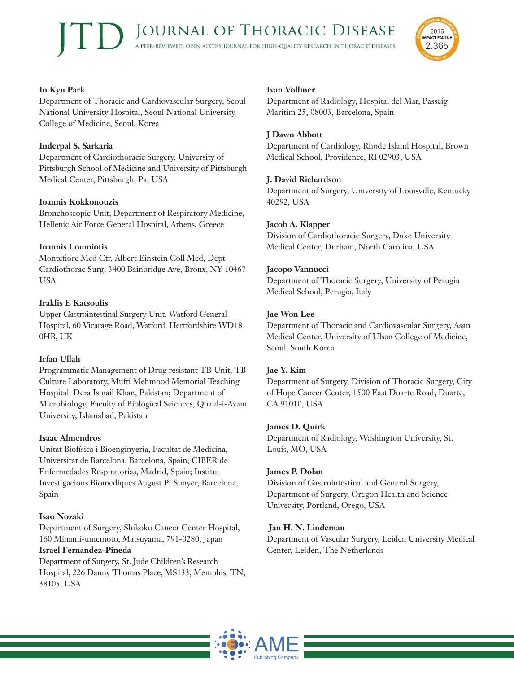

# **In Kyu Park**

Department of Thoracic and Cardiovascular Surgery, Seoul National University Hospital, Seoul National University College of Medicine, Seoul, Korea

# **Inderpal S. Sarkaria**

Department of Cardiothoracic Surgery, University of Pittsburgh School of Medicine and University of Pittsburgh Medical Center, Pittsburgh, Pa, USA

# **Ioannis Kokkonouzis**

Bronchoscopic Unit, Department of Respiratory Medicine, Hellenic Air Force General Hospital, Athens, Greece

# **Ioannis Loumiotis**

Montefiore Med Ctr, Albert Einstein Coll Med, Dept Cardiothorac Surg, 3400 Bainbridge Ave, Bronx, NY 10467 USA

# **Iraklis E Katsoulis**

Upper Gastrointestinal Surgery Unit, Watford General Hospital, 60 Vicarage Road, Watford, Hertfordshire WD18 0HB, UK

# **Irfan Ullah**

Programmatic Management of Drug resistant TB Unit, TB Culture Laboratory, Mufti Mehmood Memorial Teaching Hospital, Dera Ismail Khan, Pakistan; Department of Microbiology, Faculty of Biological Sciences, Quaid-i-Azam University, Islamabad, Pakistan

# **Isaac Almendros**

Unitat Biofísica i Bioenginyeria, Facultat de Medicina, Universitat de Barcelona, Barcelona, Spain; CIBER de Enfermedades Respiratorias, Madrid, Spain; Institut Investigacions Biomediques August Pi Sunyer, Barcelona, Spain

# **Isao Nozaki**

Department of Surgery, Shikoku Cancer Center Hospital, 160 Minami-umemoto, Matsuyama, 791-0280, Japan

# **Israel Fernandez-Pineda**

Department of Surgery, St. Jude Children's Research Hospital, 226 Danny Thomas Place, MS133, Memphis, TN, 38105, USA

# **Ivan Vollmer**

Department of Radiology, Hospital del Mar, Passeig Maritim 25, 08003, Barcelona, Spain

# **J Dawn Abbott**

Department of Cardiology, Rhode Island Hospital, Brown Medical School, Providence, RI 02903, USA

# **J. David Richardson**

Department of Surgery, University of Louisville, Kentucky 40292, USA

# **Jacob A. Klapper**

Division of Cardiothoracic Surgery, Duke University Medical Center, Durham, North Carolina, USA

# **Jacopo Vannucci**

Department of Thoracic Surgery, University of Perugia Medical School, Perugia, Italy

# **Jae Won Lee**

Department of Thoracic and Cardiovascular Surgery, Asan Medical Center, University of Ulsan College of Medicine, Seoul, South Korea

# **Jae Y. Kim**

Department of Surgery, Division of Thoracic Surgery, City of Hope Cancer Center, 1500 East Duarte Road, Duarte, CA 91010, USA

# **James D. Quirk**

Department of Radiology, Washington University, St. Louis, MO, USA

# **James P. Dolan**

Division of Gastrointestinal and General Surgery, Department of Surgery, Oregon Health and Science University, Portland, Orego, USA

# **Jan H. N. Lindeman**

Department of Vascular Surgery, Leiden University Medical Center, Leiden, The Netherlands

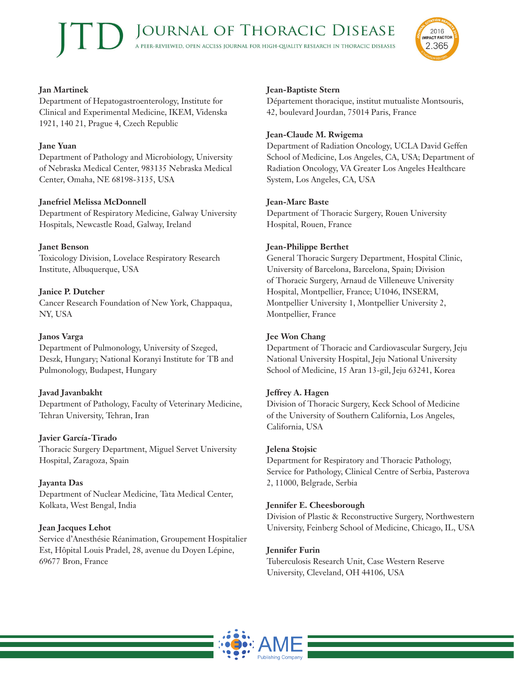

# **Jan Martinek**

Department of Hepatogastroenterology, Institute for Clinical and Experimental Medicine, IKEM, Videnska 1921, 140 21, Prague 4, Czech Republic

## **Jane Yuan**

Department of Pathology and Microbiology, University of Nebraska Medical Center, 983135 Nebraska Medical Center, Omaha, NE 68198-3135, USA

# **Janefriel Melissa McDonnell**

Department of Respiratory Medicine, Galway University Hospitals, Newcastle Road, Galway, Ireland

## **Janet Benson**

Toxicology Division, Lovelace Respiratory Research Institute, Albuquerque, USA

# **Janice P. Dutcher**

Cancer Research Foundation of New York, Chappaqua, NY, USA

#### **Janos Varga**

Department of Pulmonology, University of Szeged, Deszk, Hungary; National Koranyi Institute for TB and Pulmonology, Budapest, Hungary

#### **Javad Javanbakht**

Department of Pathology, Faculty of Veterinary Medicine, Tehran University, Tehran, Iran

#### **Javier García-Tirado**

Thoracic Surgery Department, Miguel Servet University Hospital, Zaragoza, Spain

# **Jayanta Das**

Department of Nuclear Medicine, Tata Medical Center, Kolkata, West Bengal, India

#### **Jean Jacques Lehot**

Service d'Anesthésie Réanimation, Groupement Hospitalier Est, Hôpital Louis Pradel, 28, avenue du Doyen Lépine, 69677 Bron, France

## **Jean-Baptiste Stern**

Département thoracique, institut mutualiste Montsouris, 42, boulevard Jourdan, 75014 Paris, France

#### **Jean-Claude M. Rwigema**

Department of Radiation Oncology, UCLA David Geffen School of Medicine, Los Angeles, CA, USA; Department of Radiation Oncology, VA Greater Los Angeles Healthcare System, Los Angeles, CA, USA

#### **Jean-Marc Baste**

Department of Thoracic Surgery, Rouen University Hospital, Rouen, France

## **Jean-Philippe Berthet**

General Thoracic Surgery Department, Hospital Clinic, University of Barcelona, Barcelona, Spain; Division of Thoracic Surgery, Arnaud de Villeneuve University Hospital, Montpellier, France; U1046, INSERM, Montpellier University 1, Montpellier University 2, Montpellier, France

# **Jee Won Chang**

Department of Thoracic and Cardiovascular Surgery, Jeju National University Hospital, Jeju National University School of Medicine, 15 Aran 13-gil, Jeju 63241, Korea

#### **Jeffrey A. Hagen**

Division of Thoracic Surgery, Keck School of Medicine of the University of Southern California, Los Angeles, California, USA

#### **Jelena Stojsic**

Department for Respiratory and Thoracic Pathology, Service for Pathology, Clinical Centre of Serbia, Pasterova 2, 11000, Belgrade, Serbia

#### **Jennifer E. Cheesborough**

Division of Plastic & Reconstructive Surgery, Northwestern University, Feinberg School of Medicine, Chicago, IL, USA

# **Jennifer Furin**

Tuberculosis Research Unit, Case Western Reserve University, Cleveland, OH 44106, USA

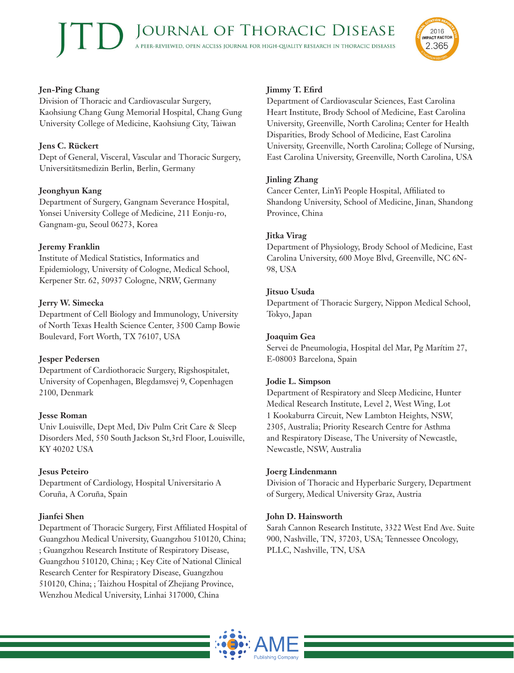## **Jen-Ping Chang**

Division of Thoracic and Cardiovascular Surgery, Kaohsiung Chang Gung Memorial Hospital, Chang Gung University College of Medicine, Kaohsiung City, Taiwan

# **Jens C. Rückert**

Dept of General, Visceral, Vascular and Thoracic Surgery, Universitätsmedizin Berlin, Berlin, Germany

#### **Jeonghyun Kang**

Department of Surgery, Gangnam Severance Hospital, Yonsei University College of Medicine, 211 Eonju-ro, Gangnam-gu, Seoul 06273, Korea

#### **Jeremy Franklin**

Institute of Medical Statistics, Informatics and Epidemiology, University of Cologne, Medical School, Kerpener Str. 62, 50937 Cologne, NRW, Germany

#### **Jerry W. Simecka**

Department of Cell Biology and Immunology, University of North Texas Health Science Center, 3500 Camp Bowie Boulevard, Fort Worth, TX 76107, USA

#### **Jesper Pedersen**

Department of Cardiothoracic Surgery, Rigshospitalet, University of Copenhagen, Blegdamsvej 9, Copenhagen 2100, Denmark

#### **Jesse Roman**

Univ Louisville, Dept Med, Div Pulm Crit Care & Sleep Disorders Med, 550 South Jackson St,3rd Floor, Louisville, KY 40202 USA

#### **Jesus Peteiro**

Department of Cardiology, Hospital Universitario A Coruña, A Coruña, Spain

#### **Jianfei Shen**

Department of Thoracic Surgery, First Affiliated Hospital of Guangzhou Medical University, Guangzhou 510120, China; ; Guangzhou Research Institute of Respiratory Disease, Guangzhou 510120, China; ; Key Cite of National Clinical Research Center for Respiratory Disease, Guangzhou 510120, China; ; Taizhou Hospital of Zhejiang Province, Wenzhou Medical University, Linhai 317000, China

## **Jimmy T. Efird**

Department of Cardiovascular Sciences, East Carolina Heart Institute, Brody School of Medicine, East Carolina University, Greenville, North Carolina; Center for Health Disparities, Brody School of Medicine, East Carolina University, Greenville, North Carolina; College of Nursing, East Carolina University, Greenville, North Carolina, USA

#### **Jinling Zhang**

Cancer Center, LinYi People Hospital, Affiliated to Shandong University, School of Medicine, Jinan, Shandong Province, China

#### **Jitka Virag**

Department of Physiology, Brody School of Medicine, East Carolina University, 600 Moye Blvd, Greenville, NC 6N-98, USA

#### **Jitsuo Usuda**

Department of Thoracic Surgery, Nippon Medical School, Tokyo, Japan

#### **Joaquim Gea**

Servei de Pneumologia, Hospital del Mar, Pg Marítim 27, E-08003 Barcelona, Spain

#### **Jodie L. Simpson**

Department of Respiratory and Sleep Medicine, Hunter Medical Research Institute, Level 2, West Wing, Lot 1 Kookaburra Circuit, New Lambton Heights, NSW, 2305, Australia; Priority Research Centre for Asthma and Respiratory Disease, The University of Newcastle, Newcastle, NSW, Australia

#### **Joerg Lindenmann**

Division of Thoracic and Hyperbaric Surgery, Department of Surgery, Medical University Graz, Austria

#### **John D. Hainsworth**

Sarah Cannon Research Institute, 3322 West End Ave. Suite 900, Nashville, TN, 37203, USA; Tennessee Oncology, PLLC, Nashville, TN, USA



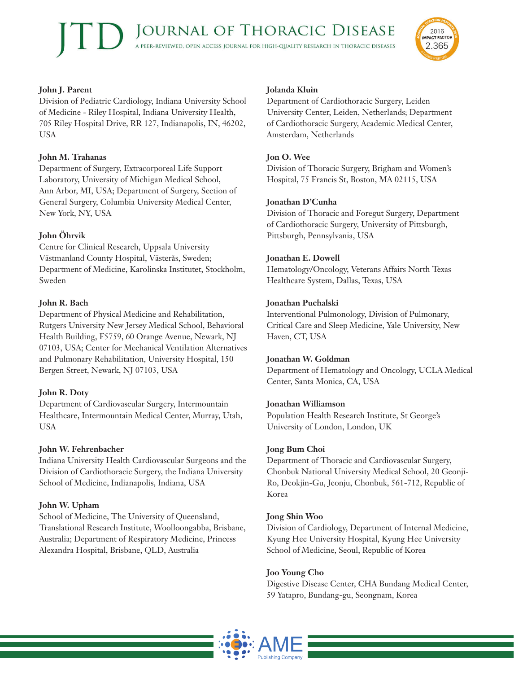

# **John J. Parent**

Division of Pediatric Cardiology, Indiana University School of Medicine - Riley Hospital, Indiana University Health, 705 Riley Hospital Drive, RR 127, Indianapolis, IN, 46202, USA

# **John M. Trahanas**

Department of Surgery, Extracorporeal Life Support Laboratory, University of Michigan Medical School, Ann Arbor, MI, USA; Department of Surgery, Section of General Surgery, Columbia University Medical Center, New York, NY, USA

# **John Öhrvik**

Centre for Clinical Research, Uppsala University Västmanland County Hospital, Västerås, Sweden; Department of Medicine, Karolinska Institutet, Stockholm, Sweden

# **John R. Bach**

Department of Physical Medicine and Rehabilitation, Rutgers University New Jersey Medical School, Behavioral Health Building, F5759, 60 Orange Avenue, Newark, NJ 07103, USA; Center for Mechanical Ventilation Alternatives and Pulmonary Rehabilitation, University Hospital, 150 Bergen Street, Newark, NJ 07103, USA

# **John R. Doty**

Department of Cardiovascular Surgery, Intermountain Healthcare, Intermountain Medical Center, Murray, Utah, USA

# **John W. Fehrenbacher**

Indiana University Health Cardiovascular Surgeons and the Division of Cardiothoracic Surgery, the Indiana University School of Medicine, Indianapolis, Indiana, USA

# **John W. Upham**

School of Medicine, The University of Queensland, Translational Research Institute, Woolloongabba, Brisbane, Australia; Department of Respiratory Medicine, Princess Alexandra Hospital, Brisbane, QLD, Australia

# **Jolanda Kluin**

Department of Cardiothoracic Surgery, Leiden University Center, Leiden, Netherlands; Department of Cardiothoracic Surgery, Academic Medical Center, Amsterdam, Netherlands

## **Jon O. Wee**

Division of Thoracic Surgery, Brigham and Women's Hospital, 75 Francis St, Boston, MA 02115, USA

## **Jonathan D'Cunha**

Division of Thoracic and Foregut Surgery, Department of Cardiothoracic Surgery, University of Pittsburgh, Pittsburgh, Pennsylvania, USA

## **Jonathan E. Dowell**

Hematology/Oncology, Veterans Affairs North Texas Healthcare System, Dallas, Texas, USA

## **Jonathan Puchalski**

Interventional Pulmonology, Division of Pulmonary, Critical Care and Sleep Medicine, Yale University, New Haven, CT, USA

#### **Jonathan W. Goldman**

Department of Hematology and Oncology, UCLA Medical Center, Santa Monica, CA, USA

#### **Jonathan Williamson**

Population Health Research Institute, St George's University of London, London, UK

# **Jong Bum Choi**

Department of Thoracic and Cardiovascular Surgery, Chonbuk National University Medical School, 20 Geonji-Ro, Deokjin-Gu, Jeonju, Chonbuk, 561-712, Republic of Korea

# **Jong Shin Woo**

Division of Cardiology, Department of Internal Medicine, Kyung Hee University Hospital, Kyung Hee University School of Medicine, Seoul, Republic of Korea

# **Joo Young Cho**

Digestive Disease Center, CHA Bundang Medical Center, 59 Yatapro, Bundang-gu, Seongnam, Korea

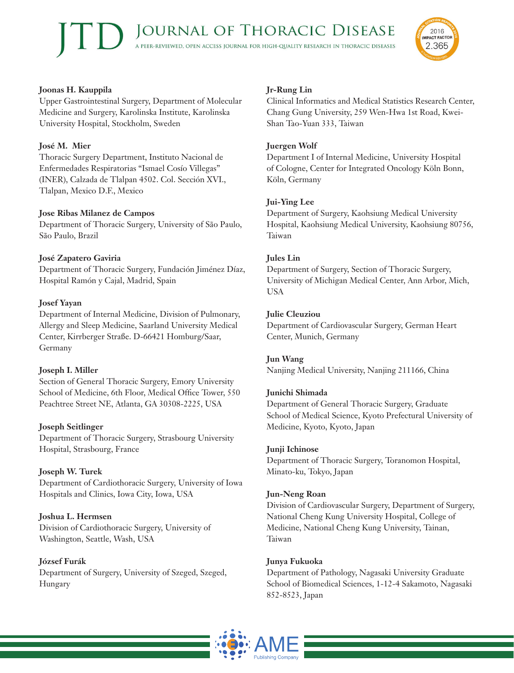

Upper Gastrointestinal Surgery, Department of Molecular Medicine and Surgery, Karolinska Institute, Karolinska University Hospital, Stockholm, Sweden

# **José M. Mier**

Thoracic Surgery Department, Instituto Nacional de Enfermedades Respiratorias "Ismael Cosío Villegas" (INER), Calzada de Tlalpan 4502. Col. Sección XVI., Tlalpan, Mexico D.F., Mexico

# **Jose Ribas Milanez de Campos**

Department of Thoracic Surgery, University of São Paulo, São Paulo, Brazil

# **José Zapatero Gaviria**

Department of Thoracic Surgery, Fundación Jiménez Díaz, Hospital Ramón y Cajal, Madrid, Spain

# **Josef Yayan**

Department of Internal Medicine, Division of Pulmonary, Allergy and Sleep Medicine, Saarland University Medical Center, Kirrberger Straße. D-66421 Homburg/Saar, Germany

# **Joseph I. Miller**

Section of General Thoracic Surgery, Emory University School of Medicine, 6th Floor, Medical Office Tower, 550 Peachtree Street NE, Atlanta, GA 30308-2225, USA

# **Joseph Seitlinger**

Department of Thoracic Surgery, Strasbourg University Hospital, Strasbourg, France

# **Joseph W. Turek**

Department of Cardiothoracic Surgery, University of Iowa Hospitals and Clinics, Iowa City, Iowa, USA

# **Joshua L. Hermsen**

Division of Cardiothoracic Surgery, University of Washington, Seattle, Wash, USA

# **József Furák**

Department of Surgery, University of Szeged, Szeged, Hungary

# **Jr-Rung Lin**

Clinical Informatics and Medical Statistics Research Center, Chang Gung University, 259 Wen-Hwa 1st Road, Kwei-Shan Tao-Yuan 333, Taiwan

# **Juergen Wolf**

Department I of Internal Medicine, University Hospital of Cologne, Center for Integrated Oncology Köln Bonn, Köln, Germany

# **Jui-Ying Lee**

Department of Surgery, Kaohsiung Medical University Hospital, Kaohsiung Medical University, Kaohsiung 80756, Taiwan

# **Jules Lin**

Department of Surgery, Section of Thoracic Surgery, University of Michigan Medical Center, Ann Arbor, Mich, USA

# **Julie Cleuziou**

Department of Cardiovascular Surgery, German Heart Center, Munich, Germany

# **Jun Wang**

Nanjing Medical University, Nanjing 211166, China

# **Junichi Shimada**

Department of General Thoracic Surgery, Graduate School of Medical Science, Kyoto Prefectural University of Medicine, Kyoto, Kyoto, Japan

# **Junji Ichinose**

Department of Thoracic Surgery, Toranomon Hospital, Minato-ku, Tokyo, Japan

# **Jun-Neng Roan**

Division of Cardiovascular Surgery, Department of Surgery, National Cheng Kung University Hospital, College of Medicine, National Cheng Kung University, Tainan, Taiwan

# **Junya Fukuoka**

Department of Pathology, Nagasaki University Graduate School of Biomedical Sciences, 1-12-4 Sakamoto, Nagasaki 852-8523, Japan



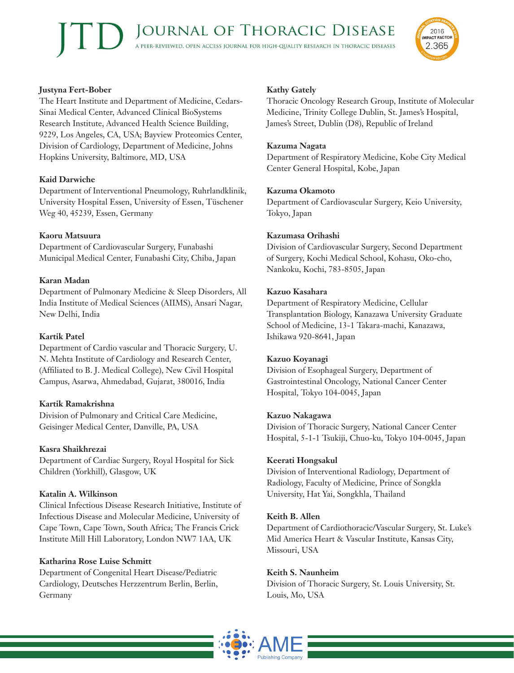

## **Justyna Fert-Bober**

The Heart Institute and Department of Medicine, Cedars-Sinai Medical Center, Advanced Clinical BioSystems Research Institute, Advanced Health Science Building, 9229, Los Angeles, CA, USA; Bayview Proteomics Center, Division of Cardiology, Department of Medicine, Johns Hopkins University, Baltimore, MD, USA

# **Kaid Darwiche**

Department of Interventional Pneumology, Ruhrlandklinik, University Hospital Essen, University of Essen, Tüschener Weg 40, 45239, Essen, Germany

# **Kaoru Matsuura**

Department of Cardiovascular Surgery, Funabashi Municipal Medical Center, Funabashi City, Chiba, Japan

# **Karan Madan**

Department of Pulmonary Medicine & Sleep Disorders, All India Institute of Medical Sciences (AIIMS), Ansari Nagar, New Delhi, India

# **Kartik Patel**

Department of Cardio vascular and Thoracic Surgery, U. N. Mehta Institute of Cardiology and Research Center, (Affiliated to B. J. Medical College), New Civil Hospital Campus, Asarwa, Ahmedabad, Gujarat, 380016, India

# **Kartik Ramakrishna**

Division of Pulmonary and Critical Care Medicine, Geisinger Medical Center, Danville, PA, USA

# **Kasra Shaikhrezai**

Department of Cardiac Surgery, Royal Hospital for Sick Children (Yorkhill), Glasgow, UK

# **Katalin A. Wilkinson**

Clinical Infectious Disease Research Initiative, Institute of Infectious Disease and Molecular Medicine, University of Cape Town, Cape Town, South Africa; The Francis Crick Institute Mill Hill Laboratory, London NW7 1AA, UK

# **Katharina Rose Luise Schmitt**

Department of Congenital Heart Disease/Pediatric Cardiology, Deutsches Herzzentrum Berlin, Berlin, Germany

#### **Kathy Gately**

Thoracic Oncology Research Group, Institute of Molecular Medicine, Trinity College Dublin, St. James's Hospital, James's Street, Dublin (D8), Republic of Ireland

#### **Kazuma Nagata**

Department of Respiratory Medicine, Kobe City Medical Center General Hospital, Kobe, Japan

#### **Kazuma Okamoto**

Department of Cardiovascular Surgery, Keio University, Tokyo, Japan

## **Kazumasa Orihashi**

Division of Cardiovascular Surgery, Second Department of Surgery, Kochi Medical School, Kohasu, Oko-cho, Nankoku, Kochi, 783-8505, Japan

## **Kazuo Kasahara**

Department of Respiratory Medicine, Cellular Transplantation Biology, Kanazawa University Graduate School of Medicine, 13-1 Takara-machi, Kanazawa, Ishikawa 920-8641, Japan

#### **Kazuo Koyanagi**

Division of Esophageal Surgery, Department of Gastrointestinal Oncology, National Cancer Center Hospital, Tokyo 104-0045, Japan

#### **Kazuo Nakagawa**

Division of Thoracic Surgery, National Cancer Center Hospital, 5-1-1 Tsukiji, Chuo-ku, Tokyo 104-0045, Japan

#### **Keerati Hongsakul**

Division of Interventional Radiology, Department of Radiology, Faculty of Medicine, Prince of Songkla University, Hat Yai, Songkhla, Thailand

# **Keith B. Allen**

Department of Cardiothoracic/Vascular Surgery, St. Luke's Mid America Heart & Vascular Institute, Kansas City, Missouri, USA

# **Keith S. Naunheim**

Division of Thoracic Surgery, St. Louis University, St. Louis, Mo, USA

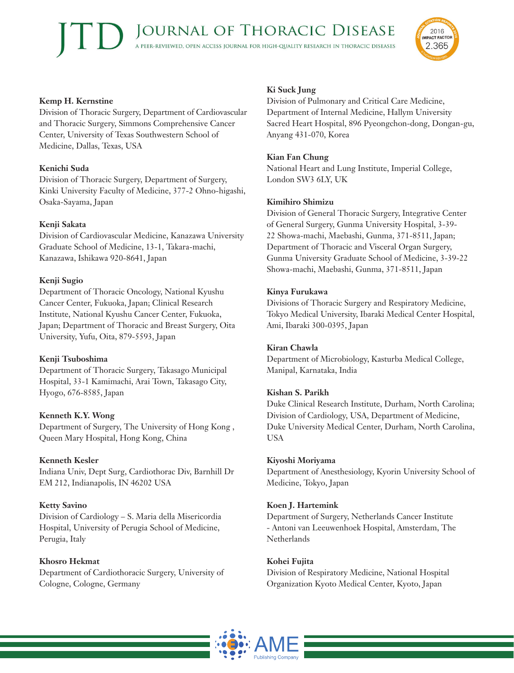

#### **Kemp H. Kernstine**

Division of Thoracic Surgery, Department of Cardiovascular and Thoracic Surgery, Simmons Comprehensive Cancer Center, University of Texas Southwestern School of Medicine, Dallas, Texas, USA

# **Kenichi Suda**

Division of Thoracic Surgery, Department of Surgery, Kinki University Faculty of Medicine, 377-2 Ohno-higashi, Osaka-Sayama, Japan

# **Kenji Sakata**

Division of Cardiovascular Medicine, Kanazawa University Graduate School of Medicine, 13-1, Takara-machi, Kanazawa, Ishikawa 920-8641, Japan

# **Kenji Sugio**

Department of Thoracic Oncology, National Kyushu Cancer Center, Fukuoka, Japan; Clinical Research Institute, National Kyushu Cancer Center, Fukuoka, Japan; Department of Thoracic and Breast Surgery, Oita University, Yufu, Oita, 879-5593, Japan

# **Kenji Tsuboshima**

Department of Thoracic Surgery, Takasago Municipal Hospital, 33-1 Kamimachi, Arai Town, Takasago City, Hyogo, 676-8585, Japan

# **Kenneth K.Y. Wong**

Department of Surgery, The University of Hong Kong , Queen Mary Hospital, Hong Kong, China

# **Kenneth Kesler**

Indiana Univ, Dept Surg, Cardiothorac Div, Barnhill Dr EM 212, Indianapolis, IN 46202 USA

# **Ketty Savino**

Division of Cardiology – S. Maria della Misericordia Hospital, University of Perugia School of Medicine, Perugia, Italy

**Khosro Hekmat** Department of Cardiothoracic Surgery, University of Cologne, Cologne, Germany

# **Ki Suck Jung**

Division of Pulmonary and Critical Care Medicine, Department of Internal Medicine, Hallym University Sacred Heart Hospital, 896 Pyeongchon-dong, Dongan-gu, Anyang 431-070, Korea

# **Kian Fan Chung**

National Heart and Lung Institute, Imperial College, London SW3 6LY, UK

# **Kimihiro Shimizu**

Division of General Thoracic Surgery, Integrative Center of General Surgery, Gunma University Hospital, 3-39- 22 Showa-machi, Maebashi, Gunma, 371-8511, Japan; Department of Thoracic and Visceral Organ Surgery, Gunma University Graduate School of Medicine, 3-39-22 Showa-machi, Maebashi, Gunma, 371-8511, Japan

# **Kinya Furukawa**

Divisions of Thoracic Surgery and Respiratory Medicine, Tokyo Medical University, Ibaraki Medical Center Hospital, Ami, Ibaraki 300-0395, Japan

# **Kiran Chawla**

Department of Microbiology, Kasturba Medical College, Manipal, Karnataka, India

# **Kishan S. Parikh**

Duke Clinical Research Institute, Durham, North Carolina; Division of Cardiology, USA, Department of Medicine, Duke University Medical Center, Durham, North Carolina, USA

# **Kiyoshi Moriyama**

Department of Anesthesiology, Kyorin University School of Medicine, Tokyo, Japan

# **Koen J. Hartemink**

Department of Surgery, Netherlands Cancer Institute - Antoni van Leeuwenhoek Hospital, Amsterdam, The Netherlands

# **Kohei Fujita**

Division of Respiratory Medicine, National Hospital Organization Kyoto Medical Center, Kyoto, Japan

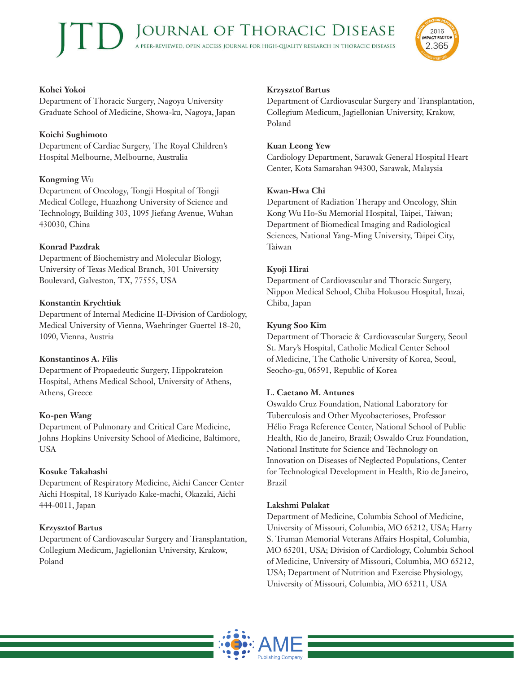

## **Kohei Yokoi**

Department of Thoracic Surgery, Nagoya University Graduate School of Medicine, Showa-ku, Nagoya, Japan

#### **Koichi Sughimoto**

Department of Cardiac Surgery, The Royal Children's Hospital Melbourne, Melbourne, Australia

# **Kongming** Wu

Department of Oncology, Tongji Hospital of Tongji Medical College, Huazhong University of Science and Technology, Building 303, 1095 Jiefang Avenue, Wuhan 430030, China

# **Konrad Pazdrak**

Department of Biochemistry and Molecular Biology, University of Texas Medical Branch, 301 University Boulevard, Galveston, TX, 77555, USA

# **Konstantin Krychtiuk**

Department of Internal Medicine II-Division of Cardiology, Medical University of Vienna, Waehringer Guertel 18-20, 1090, Vienna, Austria

# **Konstantinos A. Filis**

Department of Propaedeutic Surgery, Hippokrateion Hospital, Athens Medical School, University of Athens, Athens, Greece

# **Ko-pen Wang**

Department of Pulmonary and Critical Care Medicine, Johns Hopkins University School of Medicine, Baltimore, USA

# **Kosuke Takahashi**

Department of Respiratory Medicine, Aichi Cancer Center Aichi Hospital, 18 Kuriyado Kake-machi, Okazaki, Aichi 444-0011, Japan

# **Krzysztof Bartus**

Department of Cardiovascular Surgery and Transplantation, Collegium Medicum, Jagiellonian University, Krakow, Poland

# **Krzysztof Bartus**

Department of Cardiovascular Surgery and Transplantation, Collegium Medicum, Jagiellonian University, Krakow, Poland

## **Kuan Leong Yew**

Cardiology Department, Sarawak General Hospital Heart Center, Kota Samarahan 94300, Sarawak, Malaysia

## **Kwan-Hwa Chi**

Department of Radiation Therapy and Oncology, Shin Kong Wu Ho-Su Memorial Hospital, Taipei, Taiwan; Department of Biomedical Imaging and Radiological Sciences, National Yang-Ming University, Taipei City, Taiwan

## **Kyoji Hirai**

Department of Cardiovascular and Thoracic Surgery, Nippon Medical School, Chiba Hokusou Hospital, Inzai, Chiba, Japan

## **Kyung Soo Kim**

Department of Thoracic & Cardiovascular Surgery, Seoul St. Mary's Hospital, Catholic Medical Center School of Medicine, The Catholic University of Korea, Seoul, Seocho-gu, 06591, Republic of Korea

# **L. Caetano M. Antunes**

Oswaldo Cruz Foundation, National Laboratory for Tuberculosis and Other Mycobacterioses, Professor Hélio Fraga Reference Center, National School of Public Health, Rio de Janeiro, Brazil; Oswaldo Cruz Foundation, National Institute for Science and Technology on Innovation on Diseases of Neglected Populations, Center for Technological Development in Health, Rio de Janeiro, Brazil

#### **Lakshmi Pulakat**

Department of Medicine, Columbia School of Medicine, University of Missouri, Columbia, MO 65212, USA; Harry S. Truman Memorial Veterans Affairs Hospital, Columbia, MO 65201, USA; Division of Cardiology, Columbia School of Medicine, University of Missouri, Columbia, MO 65212, USA; Department of Nutrition and Exercise Physiology, University of Missouri, Columbia, MO 65211, USA

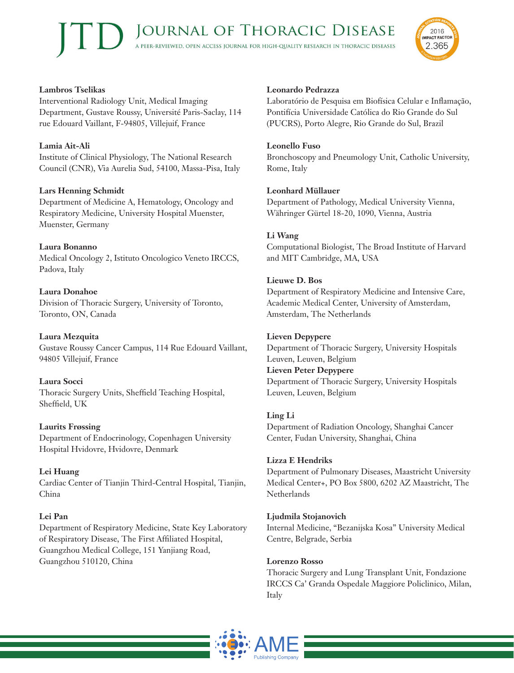#### **Lambros Tselikas**

Interventional Radiology Unit, Medical Imaging Department, Gustave Roussy, Université Paris-Saclay, 114 rue Edouard Vaillant, F-94805, Villejuif, France

#### **Lamia Ait-Ali**

Institute of Clinical Physiology, The National Research Council (CNR), Via Aurelia Sud, 54100, Massa-Pisa, Italy

#### **Lars Henning Schmidt**

Department of Medicine A, Hematology, Oncology and Respiratory Medicine, University Hospital Muenster, Muenster, Germany

#### **Laura Bonanno**

Medical Oncology 2, Istituto Oncologico Veneto IRCCS, Padova, Italy

#### **Laura Donahoe**

Division of Thoracic Surgery, University of Toronto, Toronto, ON, Canada

**Laura Mezquita** Gustave Roussy Cancer Campus, 114 Rue Edouard Vaillant, 94805 Villejuif, France

#### **Laura Socci**

Thoracic Surgery Units, Sheffield Teaching Hospital, Sheffield, UK

#### **Laurits Frøssing**

Department of Endocrinology, Copenhagen University Hospital Hvidovre, Hvidovre, Denmark

**Lei Huang** Cardiac Center of Tianjin Third-Central Hospital, Tianjin, China

#### **Lei Pan**

Department of Respiratory Medicine, State Key Laboratory of Respiratory Disease, The First Affiliated Hospital, Guangzhou Medical College, 151 Yanjiang Road, Guangzhou 510120, China

#### **Leonardo Pedrazza**

Laboratório de Pesquisa em Biofísica Celular e Inflamação, Pontifícia Universidade Católica do Rio Grande do Sul (PUCRS), Porto Alegre, Rio Grande do Sul, Brazil

2016 **IMPACT FACTOR** 

2.365

#### **Leonello Fuso**

Bronchoscopy and Pneumology Unit, Catholic University, Rome, Italy

#### **Leonhard Müllauer**

Department of Pathology, Medical University Vienna, Währinger Gürtel 18-20, 1090, Vienna, Austria

#### **Li Wang**

Computational Biologist, The Broad Institute of Harvard and MIT Cambridge, MA, USA

#### **Lieuwe D. Bos**

Department of Respiratory Medicine and Intensive Care, Academic Medical Center, University of Amsterdam, Amsterdam, The Netherlands

#### **Lieven Depypere**

Department of Thoracic Surgery, University Hospitals Leuven, Leuven, Belgium

#### **Lieven Peter Depypere**

Department of Thoracic Surgery, University Hospitals Leuven, Leuven, Belgium

#### **Ling Li**

Department of Radiation Oncology, Shanghai Cancer Center, Fudan University, Shanghai, China

#### **Lizza E Hendriks**

Department of Pulmonary Diseases, Maastricht University Medical Center+, PO Box 5800, 6202 AZ Maastricht, The **Netherlands** 

#### **Ljudmila Stojanovich**

Internal Medicine, "Bezanijska Kosa" University Medical Centre, Belgrade, Serbia

#### **Lorenzo Rosso**

Thoracic Surgery and Lung Transplant Unit, Fondazione IRCCS Ca' Granda Ospedale Maggiore Policlinico, Milan, Italy

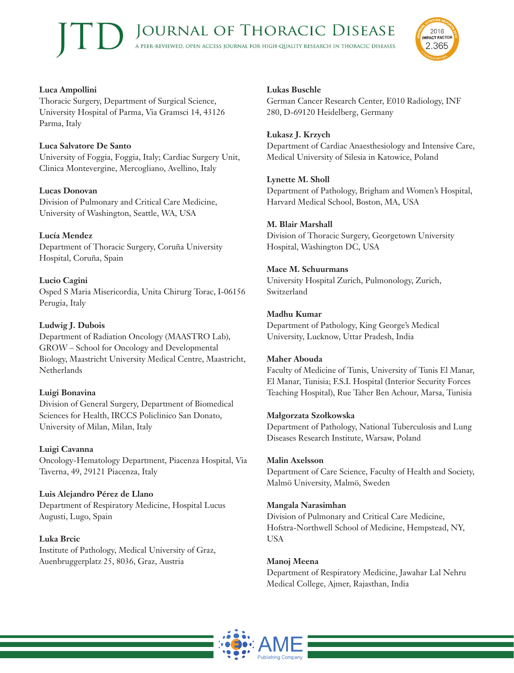

# **Luca Ampollini**

Thoracic Surgery, Department of Surgical Science, University Hospital of Parma, Via Gramsci 14, 43126 Parma, Italy

## **Luca Salvatore De Santo**

University of Foggia, Foggia, Italy; Cardiac Surgery Unit, Clinica Montevergine, Mercogliano, Avellino, Italy

## **Lucas Donovan**

Division of Pulmonary and Critical Care Medicine, University of Washington, Seattle, WA, USA

## **Lucía Mendez**

Department of Thoracic Surgery, Coruña University Hospital, Coruña, Spain

# **Lucio Cagini**

Osped S Maria Misericordia, Unita Chirurg Torac, I-06156 Perugia, Italy

## **Ludwig J. Dubois**

Department of Radiation Oncology (MAASTRO Lab), GROW – School for Oncology and Developmental Biology, Maastricht University Medical Centre, Maastricht, Netherlands

# **Luigi Bonavina**

Division of General Surgery, Department of Biomedical Sciences for Health, IRCCS Policlinico San Donato, University of Milan, Milan, Italy

**Luigi Cavanna** Oncology-Hematology Department, Piacenza Hospital, Via Taverna, 49, 29121 Piacenza, Italy

**Luis Alejandro Pérez de Llano** Department of Respiratory Medicine, Hospital Lucus Augusti, Lugo, Spain

# **Luka Brcic**

Institute of Pathology, Medical University of Graz, Auenbruggerplatz 25, 8036, Graz, Austria

## **Lukas Buschle**

German Cancer Research Center, E010 Radiology, INF 280, D-69120 Heidelberg, Germany

#### **Łukasz J. Krzych**

Department of Cardiac Anaesthesiology and Intensive Care, Medical University of Silesia in Katowice, Poland

## **Lynette M. Sholl**

Department of Pathology, Brigham and Women's Hospital, Harvard Medical School, Boston, MA, USA

## **M. Blair Marshall**

Division of Thoracic Surgery, Georgetown University Hospital, Washington DC, USA

## **Mace M. Schuurmans**

University Hospital Zurich, Pulmonology, Zurich, Switzerland

## **Madhu Kumar**

Department of Pathology, King George's Medical University, Lucknow, Uttar Pradesh, India

#### **Maher Abouda**

Faculty of Medicine of Tunis, University of Tunis El Manar, El Manar, Tunisia; F.S.I. Hospital (Interior Security Forces Teaching Hospital), Rue Taher Ben Achour, Marsa, Tunisia

#### **Małgorzata Szołkowska**

Department of Pathology, National Tuberculosis and Lung Diseases Research Institute, Warsaw, Poland

#### **Malin Axelsson**

Department of Care Science, Faculty of Health and Society, Malmö University, Malmö, Sweden

#### **Mangala Narasimhan**

Division of Pulmonary and Critical Care Medicine, Hofstra-Northwell School of Medicine, Hempstead, NY, USA

#### **Manoj Meena**

Department of Respiratory Medicine, Jawahar Lal Nehru Medical College, Ajmer, Rajasthan, India

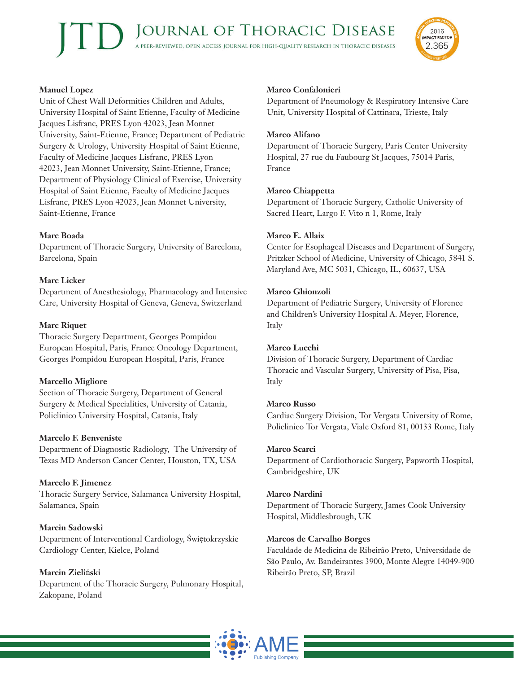

# **Manuel Lopez**

Unit of Chest Wall Deformities Children and Adults, University Hospital of Saint Etienne, Faculty of Medicine Jacques Lisfranc, PRES Lyon 42023, Jean Monnet University, Saint-Etienne, France; Department of Pediatric Surgery & Urology, University Hospital of Saint Etienne, Faculty of Medicine Jacques Lisfranc, PRES Lyon 42023, Jean Monnet University, Saint-Etienne, France; Department of Physiology Clinical of Exercise, University Hospital of Saint Etienne, Faculty of Medicine Jacques Lisfranc, PRES Lyon 42023, Jean Monnet University, Saint-Etienne, France

## **Marc Boada**

Department of Thoracic Surgery, University of Barcelona, Barcelona, Spain

## **Marc Licker**

Department of Anesthesiology, Pharmacology and Intensive Care, University Hospital of Geneva, Geneva, Switzerland

## **Marc Riquet**

Thoracic Surgery Department, Georges Pompidou European Hospital, Paris, France Oncology Department, Georges Pompidou European Hospital, Paris, France

# **Marcello Migliore**

Section of Thoracic Surgery, Department of General Surgery & Medical Specialities, University of Catania, Policlinico University Hospital, Catania, Italy

#### **Marcelo F. Benveniste**

Department of Diagnostic Radiology, The University of Texas MD Anderson Cancer Center, Houston, TX, USA

# **Marcelo F. Jimenez**

Thoracic Surgery Service, Salamanca University Hospital, Salamanca, Spain

# **Marcin Sadowski**

Department of Interventional Cardiology, Świętokrzyskie Cardiology Center, Kielce, Poland

# **Marcin Zieli**ń**ski**

Department of the Thoracic Surgery, Pulmonary Hospital, Zakopane, Poland

# **Marco Confalonieri**

Department of Pneumology & Respiratory Intensive Care Unit, University Hospital of Cattinara, Trieste, Italy

#### **Marco Alifano**

Department of Thoracic Surgery, Paris Center University Hospital, 27 rue du Faubourg St Jacques, 75014 Paris, France

#### **Marco Chiappetta**

Department of Thoracic Surgery, Catholic University of Sacred Heart, Largo F. Vito n 1, Rome, Italy

#### **Marco E. Allaix**

Center for Esophageal Diseases and Department of Surgery, Pritzker School of Medicine, University of Chicago, 5841 S. Maryland Ave, MC 5031, Chicago, IL, 60637, USA

#### **Marco Ghionzoli**

Department of Pediatric Surgery, University of Florence and Children's University Hospital A. Meyer, Florence, Italy

#### **Marco Lucchi**

Division of Thoracic Surgery, Department of Cardiac Thoracic and Vascular Surgery, University of Pisa, Pisa, Italy

#### **Marco Russo**

Cardiac Surgery Division, Tor Vergata University of Rome, Policlinico Tor Vergata, Viale Oxford 81, 00133 Rome, Italy

#### **Marco Scarci**

Department of Cardiothoracic Surgery, Papworth Hospital, Cambridgeshire, UK

#### **Marco Nardini**

Department of Thoracic Surgery, James Cook University Hospital, Middlesbrough, UK

#### **Marcos de Carvalho Borges**

Faculdade de Medicina de Ribeirão Preto, Universidade de São Paulo, Av. Bandeirantes 3900, Monte Alegre 14049-900 Ribeirão Preto, SP, Brazil

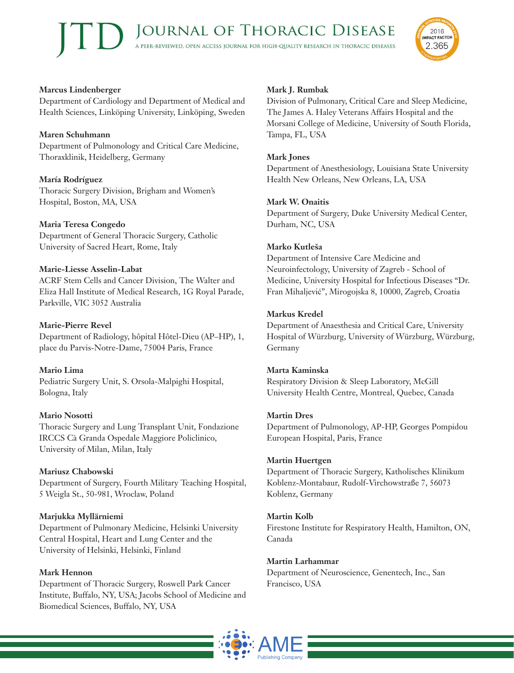

Department of Cardiology and Department of Medical and Health Sciences, Linköping University, Linköping, Sweden

#### **Maren Schuhmann**

Department of Pulmonology and Critical Care Medicine, Thoraxklinik, Heidelberg, Germany

# **María Rodríguez**

Thoracic Surgery Division, Brigham and Women's Hospital, Boston, MA, USA

## **Maria Teresa Congedo**

Department of General Thoracic Surgery, Catholic University of Sacred Heart, Rome, Italy

## **Marie-Liesse Asselin-Labat**

ACRF Stem Cells and Cancer Division, The Walter and Eliza Hall Institute of Medical Research, 1G Royal Parade, Parkville, VIC 3052 Australia

## **Marie-Pierre Revel**

Department of Radiology, hôpital Hôtel-Dieu (AP–HP), 1, place du Parvis-Notre-Dame, 75004 Paris, France

# **Mario Lima**

Pediatric Surgery Unit, S. Orsola-Malpighi Hospital, Bologna, Italy

# **Mario Nosotti**

Thoracic Surgery and Lung Transplant Unit, Fondazione IRCCS Cà Granda Ospedale Maggiore Policlinico, University of Milan, Milan, Italy

#### **Mariusz Chabowski**

Department of Surgery, Fourth Military Teaching Hospital, 5 Weigla St., 50-981, Wroclaw, Poland

# **Marjukka Myllärniemi**

Department of Pulmonary Medicine, Helsinki University Central Hospital, Heart and Lung Center and the University of Helsinki, Helsinki, Finland

#### **Mark Hennon**

Department of Thoracic Surgery, Roswell Park Cancer Institute, Buffalo, NY, USA; Jacobs School of Medicine and Biomedical Sciences, Buffalo, NY, USA

# **Mark J. Rumbak**

Division of Pulmonary, Critical Care and Sleep Medicine, The James A. Haley Veterans Affairs Hospital and the Morsani College of Medicine, University of South Florida, Tampa, FL, USA

2016 **IMPACT FACTOR** 

2.365

#### **Mark Jones**

Department of Anesthesiology, Louisiana State University Health New Orleans, New Orleans, LA, USA

## **Mark W. Onaitis**

Department of Surgery, Duke University Medical Center, Durham, NC, USA

## **Marko Kutleša**

Department of Intensive Care Medicine and Neuroinfectology, University of Zagreb - School of Medicine, University Hospital for Infectious Diseases "Dr. Fran Mihaljević", Mirogojska 8, 10000, Zagreb, Croatia

## **Markus Kredel**

Department of Anaesthesia and Critical Care, University Hospital of Würzburg, University of Würzburg, Würzburg, Germany

#### **Marta Kaminska**

Respiratory Division & Sleep Laboratory, McGill University Health Centre, Montreal, Quebec, Canada

#### **Martin Dres**

Department of Pulmonology, AP-HP, Georges Pompidou European Hospital, Paris, France

#### **Martin Huertgen**

Department of Thoracic Surgery, Katholisches Klinikum Koblenz-Montabaur, Rudolf-Virchowstraße 7, 56073 Koblenz, Germany

#### **Martin Kolb**

Firestone Institute for Respiratory Health, Hamilton, ON, Canada

#### **Martin Larhammar**

Department of Neuroscience, Genentech, Inc., San Francisco, USA

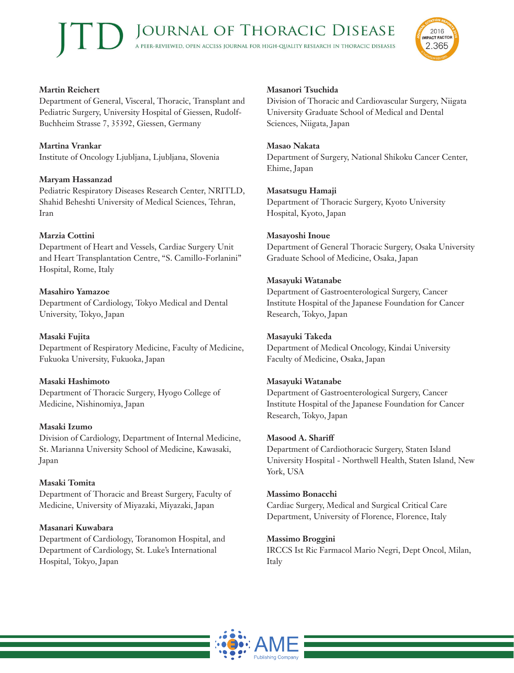

# **Martin Reichert**

Department of General, Visceral, Thoracic, Transplant and Pediatric Surgery, University Hospital of Giessen, Rudolf-Buchheim Strasse 7, 35392, Giessen, Germany

**Martina Vrankar** Institute of Oncology Ljubljana, Ljubljana, Slovenia

## **Maryam Hassanzad**

Pediatric Respiratory Diseases Research Center, NRITLD, Shahid Beheshti University of Medical Sciences, Tehran, Iran

## **Marzia Cottini**

Department of Heart and Vessels, Cardiac Surgery Unit and Heart Transplantation Centre, "S. Camillo-Forlanini" Hospital, Rome, Italy

## **Masahiro Yamazoe**

Department of Cardiology, Tokyo Medical and Dental University, Tokyo, Japan

#### **Masaki Fujita** Department of Respiratory Medicine, Faculty of Medicine, Fukuoka University, Fukuoka, Japan

**Masaki Hashimoto** Department of Thoracic Surgery, Hyogo College of Medicine, Nishinomiya, Japan

#### **Masaki Izumo**

Division of Cardiology, Department of Internal Medicine, St. Marianna University School of Medicine, Kawasaki, Japan

#### **Masaki Tomita**

Department of Thoracic and Breast Surgery, Faculty of Medicine, University of Miyazaki, Miyazaki, Japan

#### **Masanari Kuwabara**

Department of Cardiology, Toranomon Hospital, and Department of Cardiology, St. Luke's International Hospital, Tokyo, Japan

# **Masanori Tsuchida**

Division of Thoracic and Cardiovascular Surgery, Niigata University Graduate School of Medical and Dental Sciences, Niigata, Japan

#### **Masao Nakata**

Department of Surgery, National Shikoku Cancer Center, Ehime, Japan

#### **Masatsugu Hamaji**

Department of Thoracic Surgery, Kyoto University Hospital, Kyoto, Japan

#### **Masayoshi Inoue**

Department of General Thoracic Surgery, Osaka University Graduate School of Medicine, Osaka, Japan

#### **Masayuki Watanabe**

Department of Gastroenterological Surgery, Cancer Institute Hospital of the Japanese Foundation for Cancer Research, Tokyo, Japan

#### **Masayuki Takeda**

Department of Medical Oncology, Kindai University Faculty of Medicine, Osaka, Japan

#### **Masayuki Watanabe**

Department of Gastroenterological Surgery, Cancer Institute Hospital of the Japanese Foundation for Cancer Research, Tokyo, Japan

#### **Masood A. Shariff**

Department of Cardiothoracic Surgery, Staten Island University Hospital - Northwell Health, Staten Island, New York, USA

#### **Massimo Bonacchi**

Cardiac Surgery, Medical and Surgical Critical Care Department, University of Florence, Florence, Italy

#### **Massimo Broggini**

IRCCS Ist Ric Farmacol Mario Negri, Dept Oncol, Milan, Italy

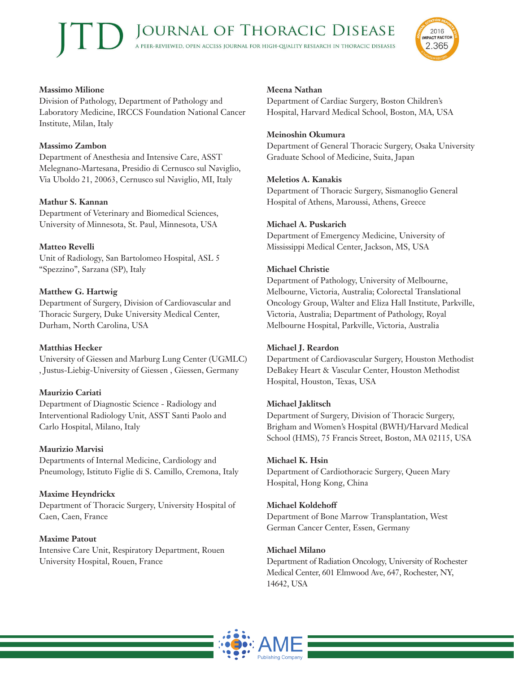#### **Massimo Milione**

Division of Pathology, Department of Pathology and Laboratory Medicine, IRCCS Foundation National Cancer Institute, Milan, Italy

#### **Massimo Zambon**

Department of Anesthesia and Intensive Care, ASST Melegnano-Martesana, Presidio di Cernusco sul Naviglio, Via Uboldo 21, 20063, Cernusco sul Naviglio, MI, Italy

#### **Mathur S. Kannan**

Department of Veterinary and Biomedical Sciences, University of Minnesota, St. Paul, Minnesota, USA

#### **Matteo Revelli**

Unit of Radiology, San Bartolomeo Hospital, ASL 5 "Spezzino", Sarzana (SP), Italy

#### **Matthew G. Hartwig**

Department of Surgery, Division of Cardiovascular and Thoracic Surgery, Duke University Medical Center, Durham, North Carolina, USA

#### **Matthias Hecker**

University of Giessen and Marburg Lung Center (UGMLC) , Justus-Liebig-University of Giessen , Giessen, Germany

#### **Maurizio Cariati**

Department of Diagnostic Science - Radiology and Interventional Radiology Unit, ASST Santi Paolo and Carlo Hospital, Milano, Italy

#### **Maurizio Marvisi**

Departments of Internal Medicine, Cardiology and Pneumology, Istituto Figlie di S. Camillo, Cremona, Italy

**Maxime Heyndrickx** Department of Thoracic Surgery, University Hospital of Caen, Caen, France

**Maxime Patout** Intensive Care Unit, Respiratory Department, Rouen University Hospital, Rouen, France

#### **Meena Nathan**

Department of Cardiac Surgery, Boston Children's Hospital, Harvard Medical School, Boston, MA, USA

#### **Meinoshin Okumura**

Department of General Thoracic Surgery, Osaka University Graduate School of Medicine, Suita, Japan

2016 **IMPACT FACTOR** 

2.365

#### **Meletios A. Kanakis**

Department of Thoracic Surgery, Sismanoglio General Hospital of Athens, Maroussi, Athens, Greece

#### **Michael A. Puskarich**

Department of Emergency Medicine, University of Mississippi Medical Center, Jackson, MS, USA

#### **Michael Christie**

Department of Pathology, University of Melbourne, Melbourne, Victoria, Australia; Colorectal Translational Oncology Group, Walter and Eliza Hall Institute, Parkville, Victoria, Australia; Department of Pathology, Royal Melbourne Hospital, Parkville, Victoria, Australia

#### **Michael J. Reardon**

Department of Cardiovascular Surgery, Houston Methodist DeBakey Heart & Vascular Center, Houston Methodist Hospital, Houston, Texas, USA

#### **Michael Jaklitsch**

Department of Surgery, Division of Thoracic Surgery, Brigham and Women's Hospital (BWH)/Harvard Medical School (HMS), 75 Francis Street, Boston, MA 02115, USA

#### **Michael K. Hsin**

Department of Cardiothoracic Surgery, Queen Mary Hospital, Hong Kong, China

#### **Michael Koldehoff**

Department of Bone Marrow Transplantation, West German Cancer Center, Essen, Germany

#### **Michael Milano**

Department of Radiation Oncology, University of Rochester Medical Center, 601 Elmwood Ave, 647, Rochester, NY, 14642, USA

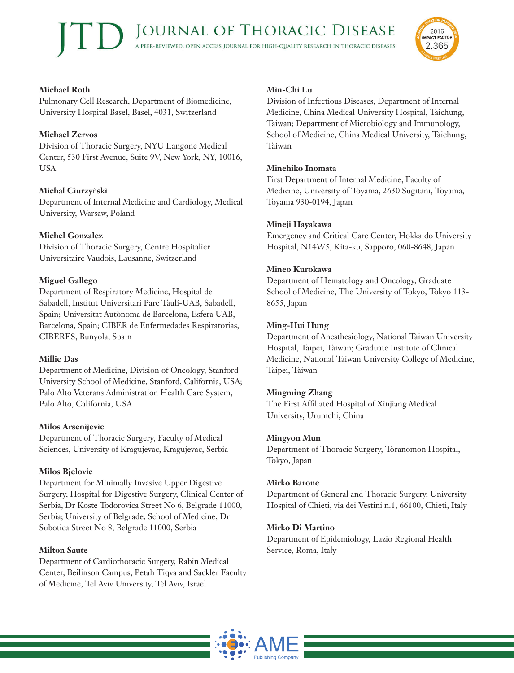

# **Michael Roth**

Pulmonary Cell Research, Department of Biomedicine, University Hospital Basel, Basel, 4031, Switzerland

# **Michael Zervos**

Division of Thoracic Surgery, NYU Langone Medical Center, 530 First Avenue, Suite 9V, New York, NY, 10016, USA

# **Michał Ciurzy**ń**ski**

Department of Internal Medicine and Cardiology, Medical University, Warsaw, Poland

# **Michel Gonzalez**

Division of Thoracic Surgery, Centre Hospitalier Universitaire Vaudois, Lausanne, Switzerland

# **Miguel Gallego**

Department of Respiratory Medicine, Hospital de Sabadell, Institut Universitari Parc Taulí-UAB, Sabadell, Spain; Universitat Autònoma de Barcelona, Esfera UAB, Barcelona, Spain; CIBER de Enfermedades Respiratorias, CIBERES, Bunyola, Spain

# **Millie Das**

Department of Medicine, Division of Oncology, Stanford University School of Medicine, Stanford, California, USA; Palo Alto Veterans Administration Health Care System, Palo Alto, California, USA

# **Milos Arsenijevic**

Department of Thoracic Surgery, Faculty of Medical Sciences, University of Kragujevac, Kragujevac, Serbia

# **Milos Bjelovic**

Department for Minimally Invasive Upper Digestive Surgery, Hospital for Digestive Surgery, Clinical Center of Serbia, Dr Koste Todorovica Street No 6, Belgrade 11000, Serbia; University of Belgrade, School of Medicine, Dr Subotica Street No 8, Belgrade 11000, Serbia

# **Milton Saute**

Department of Cardiothoracic Surgery, Rabin Medical Center, Beilinson Campus, Petah Tiqva and Sackler Faculty of Medicine, Tel Aviv University, Tel Aviv, Israel

# **Min-Chi Lu**

Division of Infectious Diseases, Department of Internal Medicine, China Medical University Hospital, Taichung, Taiwan; Department of Microbiology and Immunology, School of Medicine, China Medical University, Taichung, Taiwan

# **Minehiko Inomata**

First Department of Internal Medicine, Faculty of Medicine, University of Toyama, 2630 Sugitani, Toyama, Toyama 930-0194, Japan

# **Mineji Hayakawa**

Emergency and Critical Care Center, Hokkaido University Hospital, N14W5, Kita-ku, Sapporo, 060-8648, Japan

# **Mineo Kurokawa**

Department of Hematology and Oncology, Graduate School of Medicine, The University of Tokyo, Tokyo 113- 8655, Japan

# **Ming-Hui Hung**

Department of Anesthesiology, National Taiwan University Hospital, Taipei, Taiwan; Graduate Institute of Clinical Medicine, National Taiwan University College of Medicine, Taipei, Taiwan

# **Mingming Zhang**

The First Affiliated Hospital of Xinjiang Medical University, Urumchi, China

# **Mingyon Mun**

Department of Thoracic Surgery, Toranomon Hospital, Tokyo, Japan

# **Mirko Barone**

Department of General and Thoracic Surgery, University Hospital of Chieti, via dei Vestini n.1, 66100, Chieti, Italy

# **Mirko Di Martino**

Department of Epidemiology, Lazio Regional Health Service, Roma, Italy

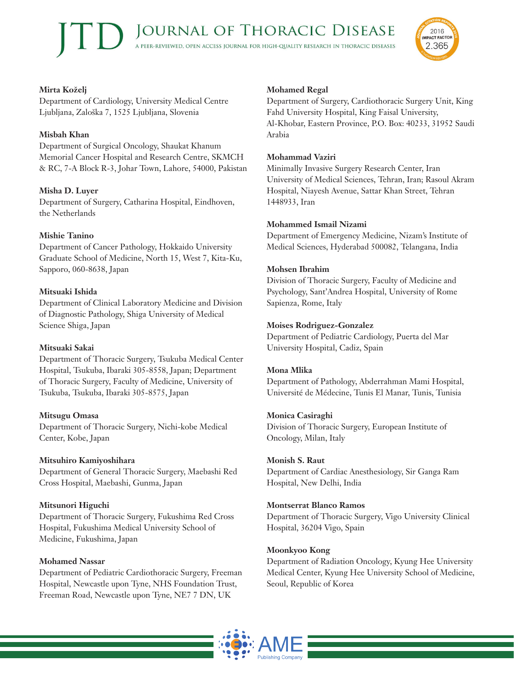

# **Mirta Koželj**

Department of Cardiology, University Medical Centre Ljubljana, Zaloška 7, 1525 Ljubljana, Slovenia

# **Misbah Khan**

Department of Surgical Oncology, Shaukat Khanum Memorial Cancer Hospital and Research Centre, SKMCH & RC, 7-A Block R-3, Johar Town, Lahore, 54000, Pakistan

# **Misha D. Luyer**

Department of Surgery, Catharina Hospital, Eindhoven, the Netherlands

# **Mishie Tanino**

Department of Cancer Pathology, Hokkaido University Graduate School of Medicine, North 15, West 7, Kita-Ku, Sapporo, 060-8638, Japan

## **Mitsuaki Ishida**

Department of Clinical Laboratory Medicine and Division of Diagnostic Pathology, Shiga University of Medical Science Shiga, Japan

#### **Mitsuaki Sakai**

Department of Thoracic Surgery, Tsukuba Medical Center Hospital, Tsukuba, Ibaraki 305-8558, Japan; Department of Thoracic Surgery, Faculty of Medicine, University of Tsukuba, Tsukuba, Ibaraki 305-8575, Japan

# **Mitsugu Omasa**

Department of Thoracic Surgery, Nichi-kobe Medical Center, Kobe, Japan

# **Mitsuhiro Kamiyoshihara**

Department of General Thoracic Surgery, Maebashi Red Cross Hospital, Maebashi, Gunma, Japan

# **Mitsunori Higuchi**

Department of Thoracic Surgery, Fukushima Red Cross Hospital, Fukushima Medical University School of Medicine, Fukushima, Japan

#### **Mohamed Nassar**

Department of Pediatric Cardiothoracic Surgery, Freeman Hospital, Newcastle upon Tyne, NHS Foundation Trust, Freeman Road, Newcastle upon Tyne, NE7 7 DN, UK

## **Mohamed Regal**

Department of Surgery, Cardiothoracic Surgery Unit, King Fahd University Hospital, King Faisal University, Al-Khobar, Eastern Province, P.O. Box: 40233, 31952 Saudi Arabia

#### **Mohammad Vaziri**

Minimally Invasive Surgery Research Center, Iran University of Medical Sciences, Tehran, Iran; Rasoul Akram Hospital, Niayesh Avenue, Sattar Khan Street, Tehran 1448933, Iran

#### **Mohammed Ismail Nizami**

Department of Emergency Medicine, Nizam's Institute of Medical Sciences, Hyderabad 500082, Telangana, India

## **Mohsen Ibrahim**

Division of Thoracic Surgery, Faculty of Medicine and Psychology, Sant'Andrea Hospital, University of Rome Sapienza, Rome, Italy

## **Moises Rodriguez-Gonzalez**

Department of Pediatric Cardiology, Puerta del Mar University Hospital, Cadiz, Spain

# **Mona Mlika**

Department of Pathology, Abderrahman Mami Hospital, Université de Médecine, Tunis El Manar, Tunis, Tunisia

#### **Monica Casiraghi**

Division of Thoracic Surgery, European Institute of Oncology, Milan, Italy

# **Monish S. Raut**

Department of Cardiac Anesthesiology, Sir Ganga Ram Hospital, New Delhi, India

#### **Montserrat Blanco Ramos**

Department of Thoracic Surgery, Vigo University Clinical Hospital, 36204 Vigo, Spain

# **Moonkyoo Kong**

Department of Radiation Oncology, Kyung Hee University Medical Center, Kyung Hee University School of Medicine, Seoul, Republic of Korea

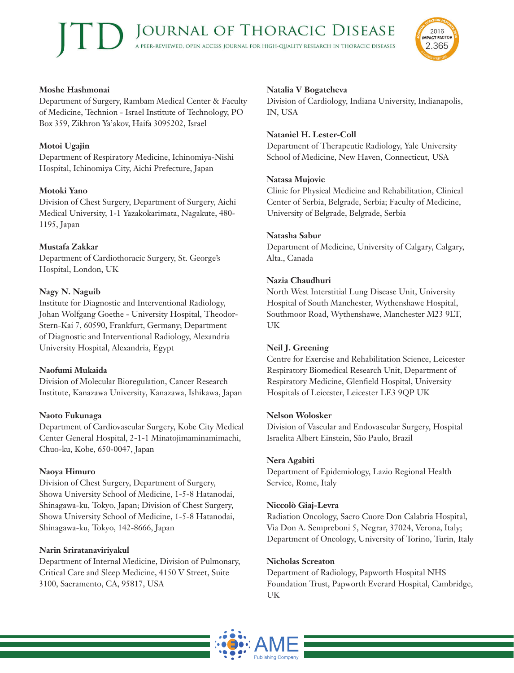#### **Moshe Hashmonai**

Department of Surgery, Rambam Medical Center & Faculty of Medicine, Technion - Israel Institute of Technology, PO Box 359, Zikhron Ya'akov, Haifa 3095202, Israel

#### **Motoi Ugajin**

Department of Respiratory Medicine, Ichinomiya-Nishi Hospital, Ichinomiya City, Aichi Prefecture, Japan

#### **Motoki Yano**

Division of Chest Surgery, Department of Surgery, Aichi Medical University, 1-1 Yazakokarimata, Nagakute, 480- 1195, Japan

#### **Mustafa Zakkar**

Department of Cardiothoracic Surgery, St. George's Hospital, London, UK

#### **Nagy N. Naguib**

Institute for Diagnostic and Interventional Radiology, Johan Wolfgang Goethe - University Hospital, Theodor-Stern-Kai 7, 60590, Frankfurt, Germany; Department of Diagnostic and Interventional Radiology, Alexandria University Hospital, Alexandria, Egypt

#### **Naofumi Mukaida**

Division of Molecular Bioregulation, Cancer Research Institute, Kanazawa University, Kanazawa, Ishikawa, Japan

#### **Naoto Fukunaga**

Department of Cardiovascular Surgery, Kobe City Medical Center General Hospital, 2-1-1 Minatojimaminamimachi, Chuo-ku, Kobe, 650-0047, Japan

#### **Naoya Himuro**

Division of Chest Surgery, Department of Surgery, Showa University School of Medicine, 1-5-8 Hatanodai, Shinagawa-ku, Tokyo, Japan; Division of Chest Surgery, Showa University School of Medicine, 1-5-8 Hatanodai, Shinagawa-ku, Tokyo, 142-8666, Japan

#### **Narin Sriratanaviriyakul**

Department of Internal Medicine, Division of Pulmonary, Critical Care and Sleep Medicine, 4150 V Street, Suite 3100, Sacramento, CA, 95817, USA

#### **Natalia V Bogatcheva**

Division of Cardiology, Indiana University, Indianapolis, IN, USA

2016 **IMPACT FACTOR** 

2.365

#### **Nataniel H. Lester-Coll**

Department of Therapeutic Radiology, Yale University School of Medicine, New Haven, Connecticut, USA

#### **Natasa Mujovic**

Clinic for Physical Medicine and Rehabilitation, Clinical Center of Serbia, Belgrade, Serbia; Faculty of Medicine, University of Belgrade, Belgrade, Serbia

#### **Natasha Sabur**

Department of Medicine, University of Calgary, Calgary, Alta., Canada

#### **Nazia Chaudhuri**

North West Interstitial Lung Disease Unit, University Hospital of South Manchester, Wythenshawe Hospital, Southmoor Road, Wythenshawe, Manchester M23 9LT, UK

#### **Neil J. Greening**

Centre for Exercise and Rehabilitation Science, Leicester Respiratory Biomedical Research Unit, Department of Respiratory Medicine, Glenfield Hospital, University Hospitals of Leicester, Leicester LE3 9QP UK

#### **Nelson Wolosker**

Division of Vascular and Endovascular Surgery, Hospital Israelita Albert Einstein, São Paulo, Brazil

#### **Nera Agabiti**

Department of Epidemiology, Lazio Regional Health Service, Rome, Italy

#### **Niccolò Giaj-Levra**

Radiation Oncology, Sacro Cuore Don Calabria Hospital, Via Don A. Sempreboni 5, Negrar, 37024, Verona, Italy; Department of Oncology, University of Torino, Turin, Italy

#### **Nicholas Screaton**

Department of Radiology, Papworth Hospital NHS Foundation Trust, Papworth Everard Hospital, Cambridge, UK

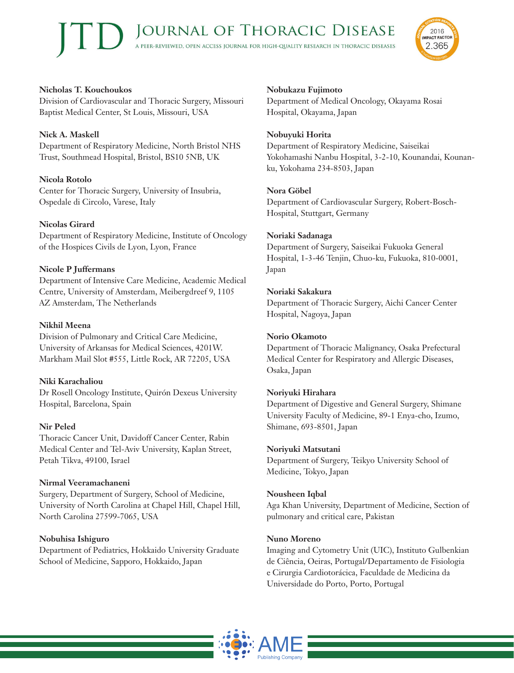

# **Nicholas T. Kouchoukos**

Division of Cardiovascular and Thoracic Surgery, Missouri Baptist Medical Center, St Louis, Missouri, USA

# **Nick A. Maskell**

Department of Respiratory Medicine, North Bristol NHS Trust, Southmead Hospital, Bristol, BS10 5NB, UK

# **Nicola Rotolo**

Center for Thoracic Surgery, University of Insubria, Ospedale di Circolo, Varese, Italy

# **Nicolas Girard**

Department of Respiratory Medicine, Institute of Oncology of the Hospices Civils de Lyon, Lyon, France

# **Nicole P Juffermans**

Department of Intensive Care Medicine, Academic Medical Centre, University of Amsterdam, Meibergdreef 9, 1105 AZ Amsterdam, The Netherlands

# **Nikhil Meena**

Division of Pulmonary and Critical Care Medicine, University of Arkansas for Medical Sciences, 4201W. Markham Mail Slot #555, Little Rock, AR 72205, USA

# **Niki Karachaliou**

Dr Rosell Oncology Institute, Quirón Dexeus University Hospital, Barcelona, Spain

# **Nir Peled**

Thoracic Cancer Unit, Davidoff Cancer Center, Rabin Medical Center and Tel-Aviv University, Kaplan Street, Petah Tikva, 49100, Israel

# **Nirmal Veeramachaneni**

Surgery, Department of Surgery, School of Medicine, University of North Carolina at Chapel Hill, Chapel Hill, North Carolina 27599-7065, USA

# **Nobuhisa Ishiguro**

Department of Pediatrics, Hokkaido University Graduate School of Medicine, Sapporo, Hokkaido, Japan

# **Nobukazu Fujimoto**

Department of Medical Oncology, Okayama Rosai Hospital, Okayama, Japan

# **Nobuyuki Horita**

Department of Respiratory Medicine, Saiseikai Yokohamashi Nanbu Hospital, 3-2-10, Kounandai, Kounanku, Yokohama 234-8503, Japan

# **Nora Göbel**

Department of Cardiovascular Surgery, Robert-Bosch-Hospital, Stuttgart, Germany

# **Noriaki Sadanaga**

Department of Surgery, Saiseikai Fukuoka General Hospital, 1-3-46 Tenjin, Chuo-ku, Fukuoka, 810-0001, Japan

# **Noriaki Sakakura**

Department of Thoracic Surgery, Aichi Cancer Center Hospital, Nagoya, Japan

# **Norio Okamoto**

Department of Thoracic Malignancy, Osaka Prefectural Medical Center for Respiratory and Allergic Diseases, Osaka, Japan

# **Noriyuki Hirahara**

Department of Digestive and General Surgery, Shimane University Faculty of Medicine, 89-1 Enya-cho, Izumo, Shimane, 693-8501, Japan

# **Noriyuki Matsutani**

Department of Surgery, Teikyo University School of Medicine, Tokyo, Japan

# **Nousheen Iqbal**

Aga Khan University, Department of Medicine, Section of pulmonary and critical care, Pakistan

# **Nuno Moreno**

Imaging and Cytometry Unit (UIC), Instituto Gulbenkian de Ciência, Oeiras, Portugal/Departamento de Fisiologia e Cirurgia Cardiotorácica, Faculdade de Medicina da Universidade do Porto, Porto, Portugal

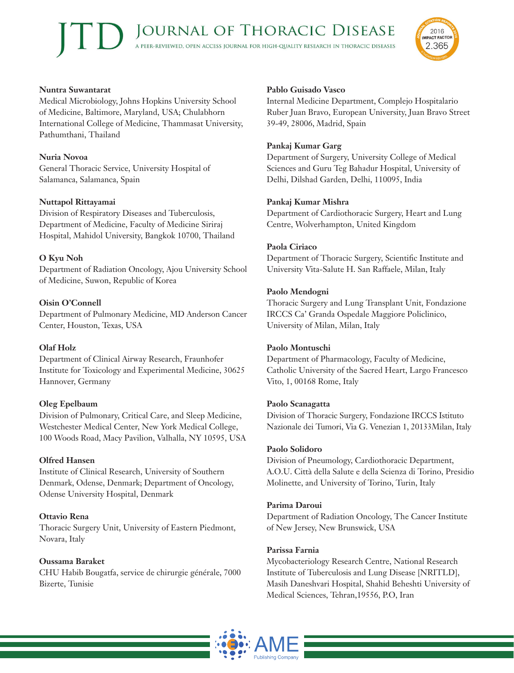#### **Nuntra Suwantarat**

Medical Microbiology, Johns Hopkins University School of Medicine, Baltimore, Maryland, USA; Chulabhorn International College of Medicine, Thammasat University, Pathumthani, Thailand

#### **Nuria Novoa**

General Thoracic Service, University Hospital of Salamanca, Salamanca, Spain

#### **Nuttapol Rittayamai**

Division of Respiratory Diseases and Tuberculosis, Department of Medicine, Faculty of Medicine Siriraj Hospital, Mahidol University, Bangkok 10700, Thailand

#### **O Kyu Noh**

Department of Radiation Oncology, Ajou University School of Medicine, Suwon, Republic of Korea

#### **Oisin O'Connell**

Department of Pulmonary Medicine, MD Anderson Cancer Center, Houston, Texas, USA

#### **Olaf Holz**

Department of Clinical Airway Research, Fraunhofer Institute for Toxicology and Experimental Medicine, 30625 Hannover, Germany

#### **Oleg Epelbaum**

Division of Pulmonary, Critical Care, and Sleep Medicine, Westchester Medical Center, New York Medical College, 100 Woods Road, Macy Pavilion, Valhalla, NY 10595, USA

#### **Olfred Hansen**

Institute of Clinical Research, University of Southern Denmark, Odense, Denmark; Department of Oncology, Odense University Hospital, Denmark

#### **Ottavio Rena**

Thoracic Surgery Unit, University of Eastern Piedmont, Novara, Italy

#### **Oussama Baraket**

CHU Habib Bougatfa, service de chirurgie générale, 7000 Bizerte, Tunisie

#### **Pablo Guisado Vasco**

Internal Medicine Department, Complejo Hospitalario Ruber Juan Bravo, European University, Juan Bravo Street 39-49, 28006, Madrid, Spain

#### **Pankaj Kumar Garg**

Department of Surgery, University College of Medical Sciences and Guru Teg Bahadur Hospital, University of Delhi, Dilshad Garden, Delhi, 110095, India

#### **Pankaj Kumar Mishra**

Department of Cardiothoracic Surgery, Heart and Lung Centre, Wolverhampton, United Kingdom

#### **Paola Ciriaco**

Department of Thoracic Surgery, Scientific Institute and University Vita-Salute H. San Raffaele, Milan, Italy

#### **Paolo Mendogni**

Thoracic Surgery and Lung Transplant Unit, Fondazione IRCCS Ca' Granda Ospedale Maggiore Policlinico, University of Milan, Milan, Italy

#### **Paolo Montuschi**

Department of Pharmacology, Faculty of Medicine, Catholic University of the Sacred Heart, Largo Francesco Vito, 1, 00168 Rome, Italy

#### **Paolo Scanagatta**

Division of Thoracic Surgery, Fondazione IRCCS Istituto Nazionale dei Tumori, Via G. Venezian 1, 20133Milan, Italy

#### **Paolo Solidoro**

Division of Pneumology, Cardiothoracic Department, A.O.U. Città della Salute e della Scienza di Torino, Presidio Molinette, and University of Torino, Turin, Italy

#### **Parima Daroui**

Department of Radiation Oncology, The Cancer Institute of New Jersey, New Brunswick, USA

#### **Parissa Farnia**

Mycobacteriology Research Centre, National Research Institute of Tuberculosis and Lung Disease [NRITLD], Masih Daneshvari Hospital, Shahid Beheshti University of Medical Sciences, Tehran,19556, P.O, Iran



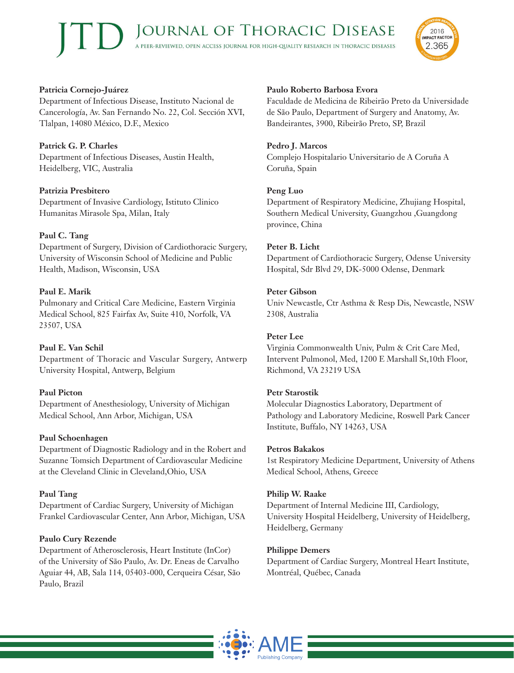## **Patricia Cornejo-Juárez**

Department of Infectious Disease, Instituto Nacional de Cancerología, Av. San Fernando No. 22, Col. Sección XVI, Tlalpan, 14080 México, D.F., Mexico

# **Patrick G. P. Charles**

Department of Infectious Diseases, Austin Health, Heidelberg, VIC, Australia

#### **Patrizia Presbitero**

Department of Invasive Cardiology, Istituto Clinico Humanitas Mirasole Spa, Milan, Italy

#### **Paul C. Tang**

Department of Surgery, Division of Cardiothoracic Surgery, University of Wisconsin School of Medicine and Public Health, Madison, Wisconsin, USA

## **Paul E. Marik**

Pulmonary and Critical Care Medicine, Eastern Virginia Medical School, 825 Fairfax Av, Suite 410, Norfolk, VA 23507, USA

#### **Paul E. Van Schil**

Department of Thoracic and Vascular Surgery, Antwerp University Hospital, Antwerp, Belgium

#### **Paul Picton**

Department of Anesthesiology, University of Michigan Medical School, Ann Arbor, Michigan, USA

#### **Paul Schoenhagen**

Department of Diagnostic Radiology and in the Robert and Suzanne Tomsich Department of Cardiovascular Medicine at the Cleveland Clinic in Cleveland,Ohio, USA

#### **Paul Tang**

Department of Cardiac Surgery, University of Michigan Frankel Cardiovascular Center, Ann Arbor, Michigan, USA

#### **Paulo Cury Rezende**

Department of Atherosclerosis, Heart Institute (InCor) of the University of São Paulo, Av. Dr. Eneas de Carvalho Aguiar 44, AB, Sala 114, 05403-000, Cerqueira César, São Paulo, Brazil

#### **Paulo Roberto Barbosa Evora**

Faculdade de Medicina de Ribeirão Preto da Universidade de São Paulo, Department of Surgery and Anatomy, Av. Bandeirantes, 3900, Ribeirão Preto, SP, Brazil

#### **Pedro J. Marcos**

Complejo Hospitalario Universitario de A Coruña A Coruña, Spain

#### **Peng Luo**

Department of Respiratory Medicine, Zhujiang Hospital, Southern Medical University, Guangzhou ,Guangdong province, China

#### **Peter B. Licht**

Department of Cardiothoracic Surgery, Odense University Hospital, Sdr Blvd 29, DK-5000 Odense, Denmark

#### **Peter Gibson**

Univ Newcastle, Ctr Asthma & Resp Dis, Newcastle, NSW 2308, Australia

#### **Peter Lee**

Virginia Commonwealth Univ, Pulm & Crit Care Med, Intervent Pulmonol, Med, 1200 E Marshall St,10th Floor, Richmond, VA 23219 USA

#### **Petr Starostik**

Molecular Diagnostics Laboratory, Department of Pathology and Laboratory Medicine, Roswell Park Cancer Institute, Buffalo, NY 14263, USA

#### **Petros Bakakos**

1st Respiratory Medicine Department, University of Athens Medical School, Athens, Greece

#### **Philip W. Raake**

Department of Internal Medicine III, Cardiology, University Hospital Heidelberg, University of Heidelberg, Heidelberg, Germany

#### **Philippe Demers**

Department of Cardiac Surgery, Montreal Heart Institute, Montréal, Québec, Canada



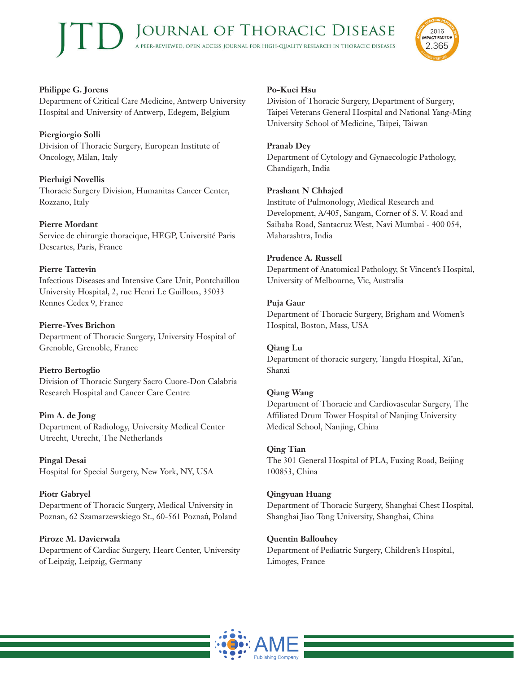

# **Philippe G. Jorens**

Department of Critical Care Medicine, Antwerp University Hospital and University of Antwerp, Edegem, Belgium

# **Piergiorgio Solli**

Division of Thoracic Surgery, European Institute of Oncology, Milan, Italy

# **Pierluigi Novellis**

Thoracic Surgery Division, Humanitas Cancer Center, Rozzano, Italy

# **Pierre Mordant**

Service de chirurgie thoracique, HEGP, Université Paris Descartes, Paris, France

# **Pierre Tattevin**

Infectious Diseases and Intensive Care Unit, Pontchaillou University Hospital, 2, rue Henri Le Guilloux, 35033 Rennes Cedex 9, France

# **Pierre-Yves Brichon**

Department of Thoracic Surgery, University Hospital of Grenoble, Grenoble, France

# **Pietro Bertoglio**

Division of Thoracic Surgery Sacro Cuore-Don Calabria Research Hospital and Cancer Care Centre

# **Pim A. de Jong**

Department of Radiology, University Medical Center Utrecht, Utrecht, The Netherlands

**Pingal Desai** Hospital for Special Surgery, New York, NY, USA

# **Piotr Gabryel**

Department of Thoracic Surgery, Medical University in Poznan, 62 Szamarzewskiego St., 60-561 Poznań, Poland

**Piroze M. Davierwala** Department of Cardiac Surgery, Heart Center, University of Leipzig, Leipzig, Germany

# **Po-Kuei Hsu**

Division of Thoracic Surgery, Department of Surgery, Taipei Veterans General Hospital and National Yang-Ming University School of Medicine, Taipei, Taiwan

# **Pranab Dey**

Department of Cytology and Gynaecologic Pathology, Chandigarh, India

# **Prashant N Chhajed**

Institute of Pulmonology, Medical Research and Development, A/405, Sangam, Corner of S. V. Road and Saibaba Road, Santacruz West, Navi Mumbai - 400 054, Maharashtra, India

# **Prudence A. Russell**

Department of Anatomical Pathology, St Vincent's Hospital, University of Melbourne, Vic, Australia

# **Puja Gaur**

Department of Thoracic Surgery, Brigham and Women's Hospital, Boston, Mass, USA

# **Qiang Lu**

Department of thoracic surgery, Tangdu Hospital, Xi'an, Shanxi

# **Qiang Wang**

Department of Thoracic and Cardiovascular Surgery, The Affiliated Drum Tower Hospital of Nanjing University Medical School, Nanjing, China

# **Qing Tian**

The 301 General Hospital of PLA, Fuxing Road, Beijing 100853, China

# **Qingyuan Huang**

Department of Thoracic Surgery, Shanghai Chest Hospital, Shanghai Jiao Tong University, Shanghai, China

# **Quentin Ballouhey**

Department of Pediatric Surgery, Children's Hospital, Limoges, France

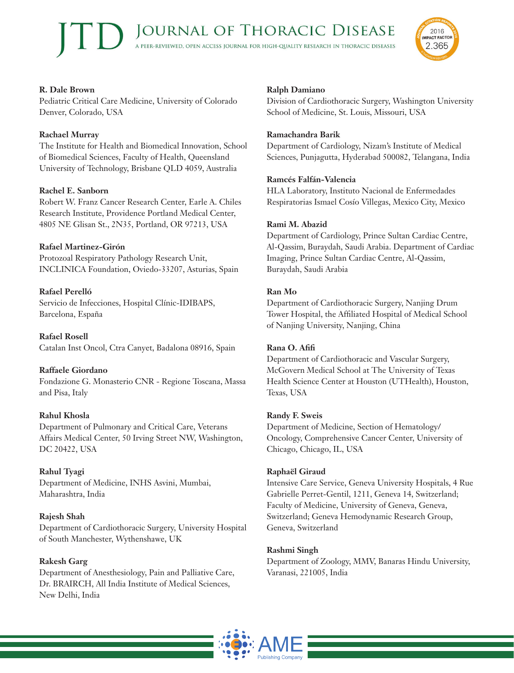

# **R. Dale Brown**

Pediatric Critical Care Medicine, University of Colorado Denver, Colorado, USA

## **Rachael Murray**

The Institute for Health and Biomedical Innovation, School of Biomedical Sciences, Faculty of Health, Queensland University of Technology, Brisbane QLD 4059, Australia

## **Rachel E. Sanborn**

Robert W. Franz Cancer Research Center, Earle A. Chiles Research Institute, Providence Portland Medical Center, 4805 NE Glisan St., 2N35, Portland, OR 97213, USA

## **Rafael Martinez-Girón**

Protozoal Respiratory Pathology Research Unit, INCLINICA Foundation, Oviedo-33207, Asturias, Spain

## **Rafael Perelló**

Servicio de Infecciones, Hospital Clínic-IDIBAPS, Barcelona, España

**Rafael Rosell** Catalan Inst Oncol, Ctra Canyet, Badalona 08916, Spain

# **Raffaele Giordano**

Fondazione G. Monasterio CNR - Regione Toscana, Massa and Pisa, Italy

# **Rahul Khosla**

Department of Pulmonary and Critical Care, Veterans Affairs Medical Center, 50 Irving Street NW, Washington, DC 20422, USA

#### **Rahul Tyagi**

Department of Medicine, INHS Asvini, Mumbai, Maharashtra, India

#### **Rajesh Shah**

Department of Cardiothoracic Surgery, University Hospital of South Manchester, Wythenshawe, UK

#### **Rakesh Garg**

Department of Anesthesiology, Pain and Palliative Care, Dr. BRAIRCH, All India Institute of Medical Sciences, New Delhi, India

#### **Ralph Damiano**

Division of Cardiothoracic Surgery, Washington University School of Medicine, St. Louis, Missouri, USA

#### **Ramachandra Barik**

Department of Cardiology, Nizam's Institute of Medical Sciences, Punjagutta, Hyderabad 500082, Telangana, India

#### **Ramcés Falfán-Valencia**

HLA Laboratory, Instituto Nacional de Enfermedades Respiratorias Ismael Cosío Villegas, Mexico City, Mexico

#### **Rami M. Abazid**

Department of Cardiology, Prince Sultan Cardiac Centre, Al-Qassim, Buraydah, Saudi Arabia. Department of Cardiac Imaging, Prince Sultan Cardiac Centre, Al-Qassim, Buraydah, Saudi Arabia

#### **Ran Mo**

Department of Cardiothoracic Surgery, Nanjing Drum Tower Hospital, the Affiliated Hospital of Medical School of Nanjing University, Nanjing, China

#### **Rana O. Afifi**

Department of Cardiothoracic and Vascular Surgery, McGovern Medical School at The University of Texas Health Science Center at Houston (UTHealth), Houston, Texas, USA

#### **Randy F. Sweis**

Department of Medicine, Section of Hematology/ Oncology, Comprehensive Cancer Center, University of Chicago, Chicago, IL, USA

#### **Raphaël Giraud**

Intensive Care Service, Geneva University Hospitals, 4 Rue Gabrielle Perret-Gentil, 1211, Geneva 14, Switzerland; Faculty of Medicine, University of Geneva, Geneva, Switzerland; Geneva Hemodynamic Research Group, Geneva, Switzerland

#### **Rashmi Singh**

Department of Zoology, MMV, Banaras Hindu University, Varanasi, 221005, India

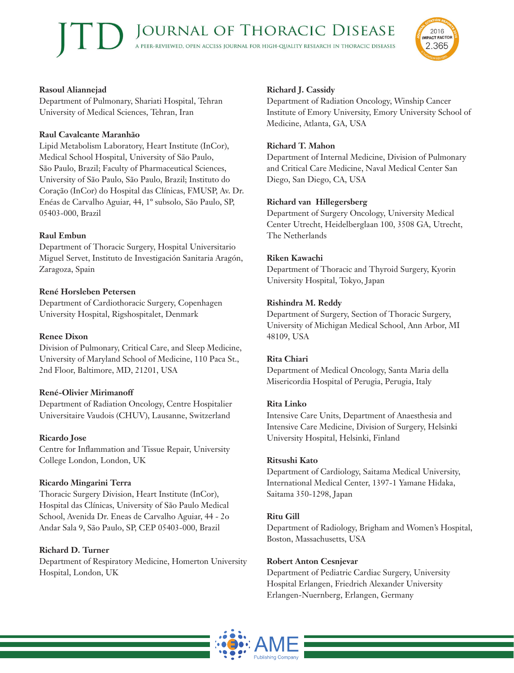

## **Rasoul Aliannejad**

Department of Pulmonary, Shariati Hospital, Tehran University of Medical Sciences, Tehran, Iran

#### **Raul Cavalcante Maranhão**

Lipid Metabolism Laboratory, Heart Institute (InCor), Medical School Hospital, University of São Paulo, São Paulo, Brazil; Faculty of Pharmaceutical Sciences, University of São Paulo, São Paulo, Brazil; Instituto do Coração (InCor) do Hospital das Clínicas, FMUSP, Av. Dr. Enéas de Carvalho Aguiar, 44, 1º subsolo, São Paulo, SP, 05403-000, Brazil

## **Raul Embun**

Department of Thoracic Surgery, Hospital Universitario Miguel Servet, Instituto de Investigación Sanitaria Aragón, Zaragoza, Spain

# **René Horsleben Petersen**

Department of Cardiothoracic Surgery, Copenhagen University Hospital, Rigshospitalet, Denmark

#### **Renee Dixon**

Division of Pulmonary, Critical Care, and Sleep Medicine, University of Maryland School of Medicine, 110 Paca St., 2nd Floor, Baltimore, MD, 21201, USA

#### **René-Olivier Mirimanoff**

Department of Radiation Oncology, Centre Hospitalier Universitaire Vaudois (CHUV), Lausanne, Switzerland

#### **Ricardo Jose**

Centre for Inflammation and Tissue Repair, University College London, London, UK

# **Ricardo Mingarini Terra**

Thoracic Surgery Division, Heart Institute (InCor), Hospital das Clínicas, University of São Paulo Medical School, Avenida Dr. Eneas de Carvalho Aguiar, 44 - 2o Andar Sala 9, São Paulo, SP, CEP 05403-000, Brazil

#### **Richard D. Turner**

Department of Respiratory Medicine, Homerton University Hospital, London, UK

## **Richard J. Cassidy**

Department of Radiation Oncology, Winship Cancer Institute of Emory University, Emory University School of Medicine, Atlanta, GA, USA

#### **Richard T. Mahon**

Department of Internal Medicine, Division of Pulmonary and Critical Care Medicine, Naval Medical Center San Diego, San Diego, CA, USA

## **Richard van Hillegersberg**

Department of Surgery Oncology, University Medical Center Utrecht, Heidelberglaan 100, 3508 GA, Utrecht, The Netherlands

## **Riken Kawachi**

Department of Thoracic and Thyroid Surgery, Kyorin University Hospital, Tokyo, Japan

#### **Rishindra M. Reddy**

Department of Surgery, Section of Thoracic Surgery, University of Michigan Medical School, Ann Arbor, MI 48109, USA

#### **Rita Chiari**

Department of Medical Oncology, Santa Maria della Misericordia Hospital of Perugia, Perugia, Italy

#### **Rita Linko**

Intensive Care Units, Department of Anaesthesia and Intensive Care Medicine, Division of Surgery, Helsinki University Hospital, Helsinki, Finland

#### **Ritsushi Kato**

Department of Cardiology, Saitama Medical University, International Medical Center, 1397-1 Yamane Hidaka, Saitama 350-1298, Japan

#### **Ritu Gill**

Department of Radiology, Brigham and Women's Hospital, Boston, Massachusetts, USA

#### **Robert Anton Cesnjevar**

Department of Pediatric Cardiac Surgery, University Hospital Erlangen, Friedrich Alexander University Erlangen-Nuernberg, Erlangen, Germany

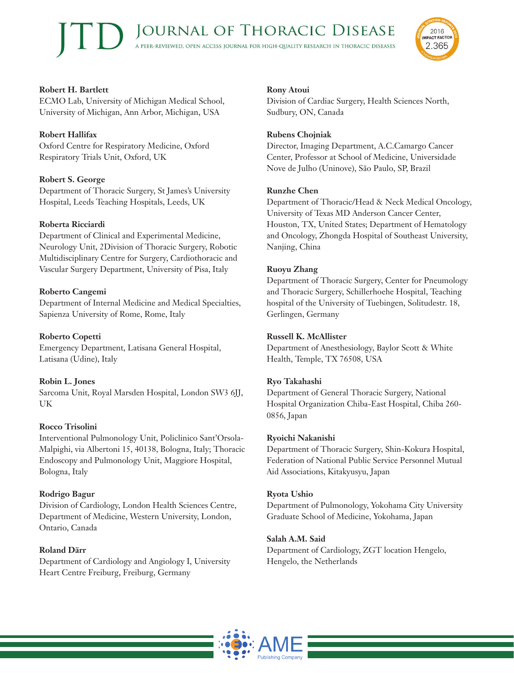

# **Robert H. Bartlett**

ECMO Lab, University of Michigan Medical School, University of Michigan, Ann Arbor, Michigan, USA

# **Robert Hallifax**

Oxford Centre for Respiratory Medicine, Oxford Respiratory Trials Unit, Oxford, UK

# **Robert S. George**

Department of Thoracic Surgery, St James's University Hospital, Leeds Teaching Hospitals, Leeds, UK

## **Roberta Ricciardi**

Department of Clinical and Experimental Medicine, Neurology Unit, 2Division of Thoracic Surgery, Robotic Multidisciplinary Centre for Surgery, Cardiothoracic and Vascular Surgery Department, University of Pisa, Italy

## **Roberto Cangemi**

Department of Internal Medicine and Medical Specialties, Sapienza University of Rome, Rome, Italy

#### **Roberto Copetti** Emergency Department, Latisana General Hospital, Latisana (Udine), Italy

# **Robin L. Jones**

Sarcoma Unit, Royal Marsden Hospital, London SW3 6JJ, UK

#### **Rocco Trisolini**

Interventional Pulmonology Unit, Policlinico Sant'Orsola-Malpighi, via Albertoni 15, 40138, Bologna, Italy; Thoracic Endoscopy and Pulmonology Unit, Maggiore Hospital, Bologna, Italy

#### **Rodrigo Bagur**

Division of Cardiology, London Health Sciences Centre, Department of Medicine, Western University, London, Ontario, Canada

#### **Roland Därr**

Department of Cardiology and Angiology I, University Heart Centre Freiburg, Freiburg, Germany

#### **Rony Atoui**

Division of Cardiac Surgery, Health Sciences North, Sudbury, ON, Canada

#### **Rubens Chojniak**

Director, Imaging Department, A.C.Camargo Cancer Center, Professor at School of Medicine, Universidade Nove de Julho (Uninove), São Paulo, SP, Brazil

#### **Runzhe Chen**

Department of Thoracic/Head & Neck Medical Oncology, University of Texas MD Anderson Cancer Center, Houston, TX, United States; Department of Hematology and Oncology, Zhongda Hospital of Southeast University, Nanjing, China

#### **Ruoyu Zhang**

Department of Thoracic Surgery, Center for Pneumology and Thoracic Surgery, Schillerhoehe Hospital, Teaching hospital of the University of Tuebingen, Solitudestr. 18, Gerlingen, Germany

#### **Russell K. McAllister**

Department of Anesthesiology, Baylor Scott & White Health, Temple, TX 76508, USA

#### **Ryo Takahashi**

Department of General Thoracic Surgery, National Hospital Organization Chiba-East Hospital, Chiba 260- 0856, Japan

#### **Ryoichi Nakanishi**

Department of Thoracic Surgery, Shin-Kokura Hospital, Federation of National Public Service Personnel Mutual Aid Associations, Kitakyusyu, Japan

#### **Ryota Ushio**

Department of Pulmonology, Yokohama City University Graduate School of Medicine, Yokohama, Japan

#### **Salah A.M. Said**

Department of Cardiology, ZGT location Hengelo, Hengelo, the Netherlands

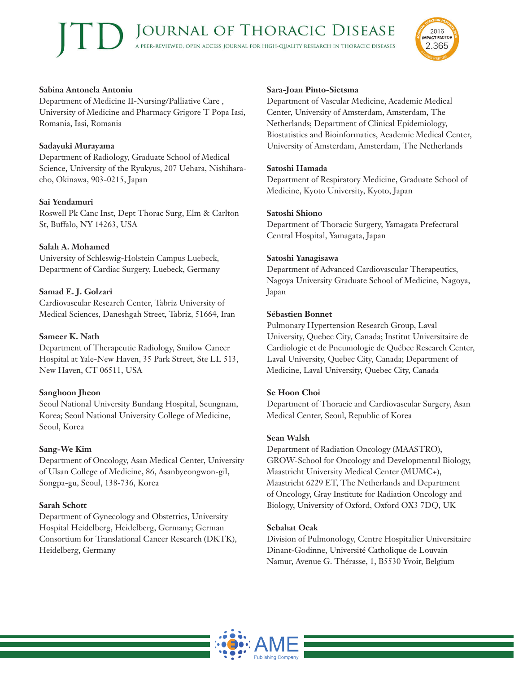#### **Sabina Antonela Antoniu**

Department of Medicine II-Nursing/Palliative Care , University of Medicine and Pharmacy Grigore T Popa Iasi, Romania, Iasi, Romania

#### **Sadayuki Murayama**

Department of Radiology, Graduate School of Medical Science, University of the Ryukyus, 207 Uehara, Nishiharacho, Okinawa, 903-0215, Japan

#### **Sai Yendamuri**

Roswell Pk Canc Inst, Dept Thorac Surg, Elm & Carlton St, Buffalo, NY 14263, USA

#### **Salah A. Mohamed**

University of Schleswig-Holstein Campus Luebeck, Department of Cardiac Surgery, Luebeck, Germany

#### **Samad E. J. Golzari**

Cardiovascular Research Center, Tabriz University of Medical Sciences, Daneshgah Street, Tabriz, 51664, Iran

#### **Sameer K. Nath**

Department of Therapeutic Radiology, Smilow Cancer Hospital at Yale-New Haven, 35 Park Street, Ste LL 513, New Haven, CT 06511, USA

#### **Sanghoon Jheon**

Seoul National University Bundang Hospital, Seungnam, Korea; Seoul National University College of Medicine, Seoul, Korea

#### **Sang-We Kim**

Department of Oncology, Asan Medical Center, University of Ulsan College of Medicine, 86, Asanbyeongwon-gil, Songpa-gu, Seoul, 138-736, Korea

#### **Sarah Schott**

Department of Gynecology and Obstetrics, University Hospital Heidelberg, Heidelberg, Germany; German Consortium for Translational Cancer Research (DKTK), Heidelberg, Germany

#### **Sara-Joan Pinto-Sietsma**

Department of Vascular Medicine, Academic Medical Center, University of Amsterdam, Amsterdam, The Netherlands; Department of Clinical Epidemiology, Biostatistics and Bioinformatics, Academic Medical Center, University of Amsterdam, Amsterdam, The Netherlands

#### **Satoshi Hamada**

Department of Respiratory Medicine, Graduate School of Medicine, Kyoto University, Kyoto, Japan

#### **Satoshi Shiono**

Department of Thoracic Surgery, Yamagata Prefectural Central Hospital, Yamagata, Japan

#### **Satoshi Yanagisawa**

Department of Advanced Cardiovascular Therapeutics, Nagoya University Graduate School of Medicine, Nagoya, Japan

#### **Sébastien Bonnet**

Pulmonary Hypertension Research Group, Laval University, Quebec City, Canada; Institut Universitaire de Cardiologie et de Pneumologie de Québec Research Center, Laval University, Quebec City, Canada; Department of Medicine, Laval University, Quebec City, Canada

#### **Se Hoon Choi**

Department of Thoracic and Cardiovascular Surgery, Asan Medical Center, Seoul, Republic of Korea

#### **Sean Walsh**

Department of Radiation Oncology (MAASTRO), GROW-School for Oncology and Developmental Biology, Maastricht University Medical Center (MUMC+), Maastricht 6229 ET, The Netherlands and Department of Oncology, Gray Institute for Radiation Oncology and Biology, University of Oxford, Oxford OX3 7DQ, UK

#### **Sebahat Ocak**

Division of Pulmonology, Centre Hospitalier Universitaire Dinant-Godinne, Université Catholique de Louvain Namur, Avenue G. Thérasse, 1, B5530 Yvoir, Belgium



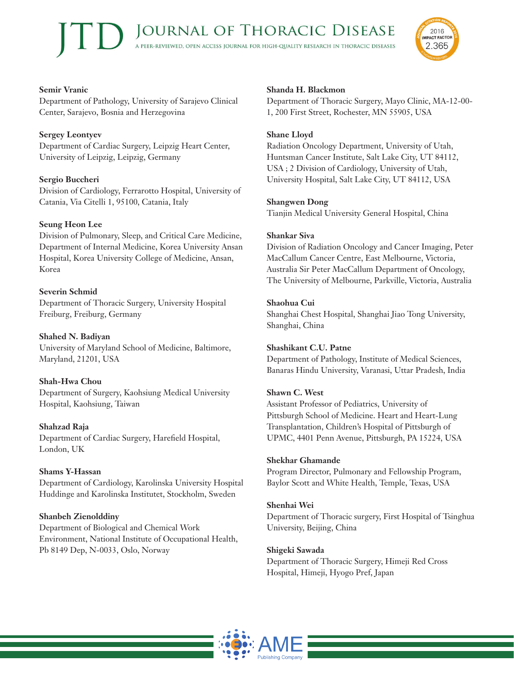

# **Semir Vranic**

Department of Pathology, University of Sarajevo Clinical Center, Sarajevo, Bosnia and Herzegovina

# **Sergey Leontyev**

Department of Cardiac Surgery, Leipzig Heart Center, University of Leipzig, Leipzig, Germany

# **Sergio Buccheri**

Division of Cardiology, Ferrarotto Hospital, University of Catania, Via Citelli 1, 95100, Catania, Italy

# **Seung Heon Lee**

Division of Pulmonary, Sleep, and Critical Care Medicine, Department of Internal Medicine, Korea University Ansan Hospital, Korea University College of Medicine, Ansan, Korea

# **Severin Schmid**

Department of Thoracic Surgery, University Hospital Freiburg, Freiburg, Germany

**Shahed N. Badiyan** University of Maryland School of Medicine, Baltimore, Maryland, 21201, USA

# **Shah-Hwa Chou**

Department of Surgery, Kaohsiung Medical University Hospital, Kaohsiung, Taiwan

# **Shahzad Raja**

Department of Cardiac Surgery, Harefield Hospital, London, UK

# **Shams Y-Hassan**

Department of Cardiology, Karolinska University Hospital Huddinge and Karolinska Institutet, Stockholm, Sweden

# **Shanbeh Zienolddiny**

Department of Biological and Chemical Work Environment, National Institute of Occupational Health, Pb 8149 Dep, N-0033, Oslo, Norway

# **Shanda H. Blackmon**

Department of Thoracic Surgery, Mayo Clinic, MA-12-00- 1, 200 First Street, Rochester, MN 55905, USA

## **Shane Lloyd**

Radiation Oncology Department, University of Utah, Huntsman Cancer Institute, Salt Lake City, UT 84112, USA ; 2 Division of Cardiology, University of Utah, University Hospital, Salt Lake City, UT 84112, USA

## **Shangwen Dong**

Tianjin Medical University General Hospital, China

#### **Shankar Siva**

Division of Radiation Oncology and Cancer Imaging, Peter MacCallum Cancer Centre, East Melbourne, Victoria, Australia Sir Peter MacCallum Department of Oncology, The University of Melbourne, Parkville, Victoria, Australia

#### **Shaohua Cui**

Shanghai Chest Hospital, Shanghai Jiao Tong University, Shanghai, China

# **Shashikant C.U. Patne**

Department of Pathology, Institute of Medical Sciences, Banaras Hindu University, Varanasi, Uttar Pradesh, India

# **Shawn C. West**

Assistant Professor of Pediatrics, University of Pittsburgh School of Medicine. Heart and Heart-Lung Transplantation, Children's Hospital of Pittsburgh of UPMC, 4401 Penn Avenue, Pittsburgh, PA 15224, USA

#### **Shekhar Ghamande**

Program Director, Pulmonary and Fellowship Program, Baylor Scott and White Health, Temple, Texas, USA

# **Shenhai Wei**

Department of Thoracic surgery, First Hospital of Tsinghua University, Beijing, China

# **Shigeki Sawada**

Department of Thoracic Surgery, Himeji Red Cross Hospital, Himeji, Hyogo Pref, Japan

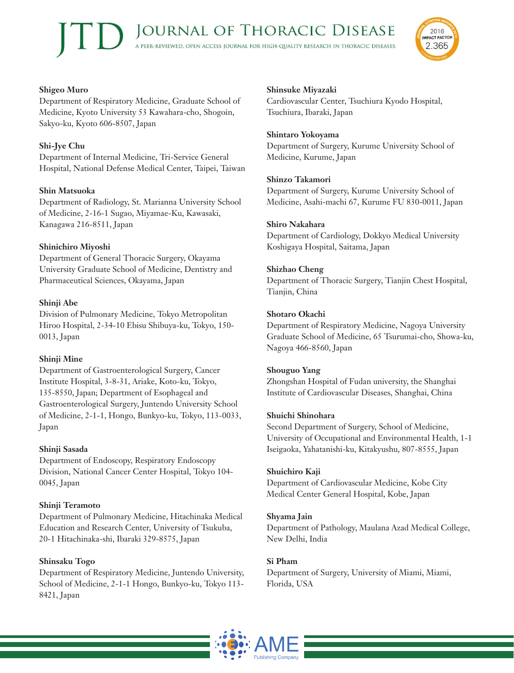

## **Shigeo Muro**

Department of Respiratory Medicine, Graduate School of Medicine, Kyoto University 53 Kawahara-cho, Shogoin, Sakyo-ku, Kyoto 606-8507, Japan

# **Shi-Jye Chu**

Department of Internal Medicine, Tri-Service General Hospital, National Defense Medical Center, Taipei, Taiwan

# **Shin Matsuoka**

Department of Radiology, St. Marianna University School of Medicine, 2-16-1 Sugao, Miyamae-Ku, Kawasaki, Kanagawa 216-8511, Japan

# **Shinichiro Miyoshi**

Department of General Thoracic Surgery, Okayama University Graduate School of Medicine, Dentistry and Pharmaceutical Sciences, Okayama, Japan

# **Shinji Abe**

Division of Pulmonary Medicine, Tokyo Metropolitan Hiroo Hospital, 2-34-10 Ebisu Shibuya-ku, Tokyo, 150- 0013, Japan

# **Shinji Mine**

Department of Gastroenterological Surgery, Cancer Institute Hospital, 3-8-31, Ariake, Koto-ku, Tokyo, 135-8550, Japan; Department of Esophageal and Gastroenterological Surgery, Juntendo University School of Medicine, 2-1-1, Hongo, Bunkyo-ku, Tokyo, 113-0033, Japan

# **Shinji Sasada**

Department of Endoscopy, Respiratory Endoscopy Division, National Cancer Center Hospital, Tokyo 104- 0045, Japan

# **Shinji Teramoto**

Department of Pulmonary Medicine, Hitachinaka Medical Education and Research Center, University of Tsukuba, 20-1 Hitachinaka-shi, Ibaraki 329-8575, Japan

# **Shinsaku Togo**

Department of Respiratory Medicine, Juntendo University, School of Medicine, 2-1-1 Hongo, Bunkyo-ku, Tokyo 113- 8421, Japan

# **Shinsuke Miyazaki**

Cardiovascular Center, Tsuchiura Kyodo Hospital, Tsuchiura, Ibaraki, Japan

#### **Shintaro Yokoyama**

Department of Surgery, Kurume University School of Medicine, Kurume, Japan

## **Shinzo Takamori**

Department of Surgery, Kurume University School of Medicine, Asahi-machi 67, Kurume FU 830-0011, Japan

## **Shiro Nakahara**

Department of Cardiology, Dokkyo Medical University Koshigaya Hospital, Saitama, Japan

# **Shizhao Cheng**

Department of Thoracic Surgery, Tianjin Chest Hospital, Tianjin, China

## **Shotaro Okachi**

Department of Respiratory Medicine, Nagoya University Graduate School of Medicine, 65 Tsurumai-cho, Showa-ku, Nagoya 466-8560, Japan

# **Shouguo Yang**

Zhongshan Hospital of Fudan university, the Shanghai Institute of Cardiovascular Diseases, Shanghai, China

#### **Shuichi Shinohara**

Second Department of Surgery, School of Medicine, University of Occupational and Environmental Health, 1-1 Iseigaoka, Yahatanishi-ku, Kitakyushu, 807-8555, Japan

#### **Shuichiro Kaji**

Department of Cardiovascular Medicine, Kobe City Medical Center General Hospital, Kobe, Japan

#### **Shyama Jain**

Department of Pathology, Maulana Azad Medical College, New Delhi, India

# **Si Pham**

Department of Surgery, University of Miami, Miami, Florida, USA

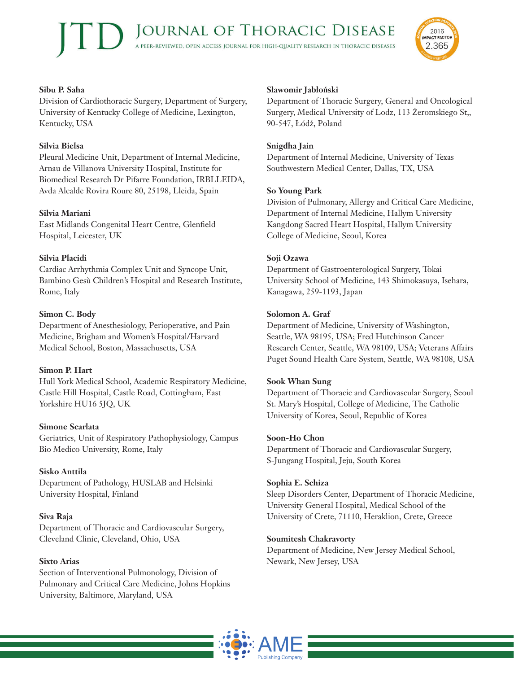

#### **Sibu P. Saha**

Division of Cardiothoracic Surgery, Department of Surgery, University of Kentucky College of Medicine, Lexington, Kentucky, USA

# **Silvia Bielsa**

Pleural Medicine Unit, Department of Internal Medicine, Arnau de Villanova University Hospital, Institute for Biomedical Research Dr Pifarre Foundation, IRBLLEIDA, Avda Alcalde Rovira Roure 80, 25198, Lleida, Spain

## **Silvia Mariani**

East Midlands Congenital Heart Centre, Glenfield Hospital, Leicester, UK

## **Silvia Placidi**

Cardiac Arrhythmia Complex Unit and Syncope Unit, Bambino Gesù Children's Hospital and Research Institute, Rome, Italy

## **Simon C. Body**

Department of Anesthesiology, Perioperative, and Pain Medicine, Brigham and Women's Hospital/Harvard Medical School, Boston, Massachusetts, USA

#### **Simon P. Hart**

Hull York Medical School, Academic Respiratory Medicine, Castle Hill Hospital, Castle Road, Cottingham, East Yorkshire HU16 5JQ, UK

#### **Simone Scarlata**

Geriatrics, Unit of Respiratory Pathophysiology, Campus Bio Medico University, Rome, Italy

# **Sisko Anttila**

Department of Pathology, HUSLAB and Helsinki University Hospital, Finland

#### **Siva Raja**

Department of Thoracic and Cardiovascular Surgery, Cleveland Clinic, Cleveland, Ohio, USA

#### **Sixto Arias**

Section of Interventional Pulmonology, Division of Pulmonary and Critical Care Medicine, Johns Hopkins University, Baltimore, Maryland, USA

#### **Sławomir Jabłoński**

Department of Thoracic Surgery, General and Oncological Surgery, Medical University of Lodz, 113 Żeromskiego St,, 90-547, Łódź, Poland

## **Snigdha Jain**

Department of Internal Medicine, University of Texas Southwestern Medical Center, Dallas, TX, USA

#### **So Young Park**

Division of Pulmonary, Allergy and Critical Care Medicine, Department of Internal Medicine, Hallym University Kangdong Sacred Heart Hospital, Hallym University College of Medicine, Seoul, Korea

## **Soji Ozawa**

Department of Gastroenterological Surgery, Tokai University School of Medicine, 143 Shimokasuya, Isehara, Kanagawa, 259-1193, Japan

## **Solomon A. Graf**

Department of Medicine, University of Washington, Seattle, WA 98195, USA; Fred Hutchinson Cancer Research Center, Seattle, WA 98109, USA; Veterans Affairs Puget Sound Health Care System, Seattle, WA 98108, USA

#### **Sook Whan Sung**

Department of Thoracic and Cardiovascular Surgery, Seoul St. Mary's Hospital, College of Medicine, The Catholic University of Korea, Seoul, Republic of Korea

#### **Soon-Ho Chon**

Department of Thoracic and Cardiovascular Surgery, S-Jungang Hospital, Jeju, South Korea

#### **Sophia E. Schiza**

Sleep Disorders Center, Department of Thoracic Medicine, University General Hospital, Medical School of the University of Crete, 71110, Heraklion, Crete, Greece

#### **Soumitesh Chakravorty**

Department of Medicine, New Jersey Medical School, Newark, New Jersey, USA

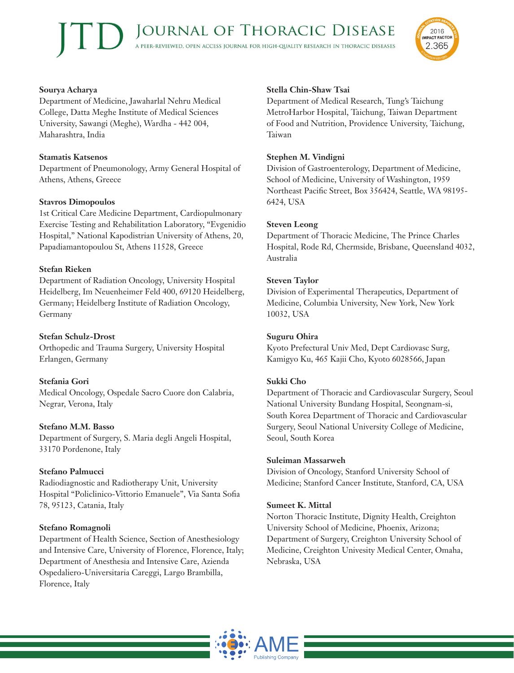

#### **Sourya Acharya**

Department of Medicine, Jawaharlal Nehru Medical College, Datta Meghe Institute of Medical Sciences University, Sawangi (Meghe), Wardha - 442 004, Maharashtra, India

#### **Stamatis Katsenos**

Department of Pneumonology, Army General Hospital of Athens, Athens, Greece

## **Stavros Dimopoulos**

1st Critical Care Medicine Department, Cardiopulmonary Exercise Testing and Rehabilitation Laboratory, "Evgenidio Hospital," National Kapodistrian University of Athens, 20, Papadiamantopoulou St, Athens 11528, Greece

## **Stefan Rieken**

Department of Radiation Oncology, University Hospital Heidelberg, Im Neuenheimer Feld 400, 69120 Heidelberg, Germany; Heidelberg Institute of Radiation Oncology, Germany

#### **Stefan Schulz-Drost**

Orthopedic and Trauma Surgery, University Hospital Erlangen, Germany

#### **Stefania Gori**

Medical Oncology, Ospedale Sacro Cuore don Calabria, Negrar, Verona, Italy

#### **Stefano M.M. Basso**

Department of Surgery, S. Maria degli Angeli Hospital, 33170 Pordenone, Italy

#### **Stefano Palmucci**

Radiodiagnostic and Radiotherapy Unit, University Hospital "Policlinico-Vittorio Emanuele", Via Santa Sofia 78, 95123, Catania, Italy

#### **Stefano Romagnoli**

Department of Health Science, Section of Anesthesiology and Intensive Care, University of Florence, Florence, Italy; Department of Anesthesia and Intensive Care, Azienda Ospedaliero-Universitaria Careggi, Largo Brambilla, Florence, Italy

## **Stella Chin-Shaw Tsai**

Department of Medical Research, Tung's Taichung MetroHarbor Hospital, Taichung, Taiwan Department of Food and Nutrition, Providence University, Taichung, Taiwan

#### **Stephen M. Vindigni**

Division of Gastroenterology, Department of Medicine, School of Medicine, University of Washington, 1959 Northeast Pacific Street, Box 356424, Seattle, WA 98195- 6424, USA

#### **Steven Leong**

Department of Thoracic Medicine, The Prince Charles Hospital, Rode Rd, Chermside, Brisbane, Queensland 4032, Australia

## **Steven Taylor**

Division of Experimental Therapeutics, Department of Medicine, Columbia University, New York, New York 10032, USA

#### **Suguru Ohira**

Kyoto Prefectural Univ Med, Dept Cardiovasc Surg, Kamigyo Ku, 465 Kajii Cho, Kyoto 6028566, Japan

#### **Sukki Cho**

Department of Thoracic and Cardiovascular Surgery, Seoul National University Bundang Hospital, Seongnam-si, South Korea Department of Thoracic and Cardiovascular Surgery, Seoul National University College of Medicine, Seoul, South Korea

#### **Suleiman Massarweh**

Division of Oncology, Stanford University School of Medicine; Stanford Cancer Institute, Stanford, CA, USA

#### **Sumeet K. Mittal**

Norton Thoracic Institute, Dignity Health, Creighton University School of Medicine, Phoenix, Arizona; Department of Surgery, Creighton University School of Medicine, Creighton Univesity Medical Center, Omaha, Nebraska, USA

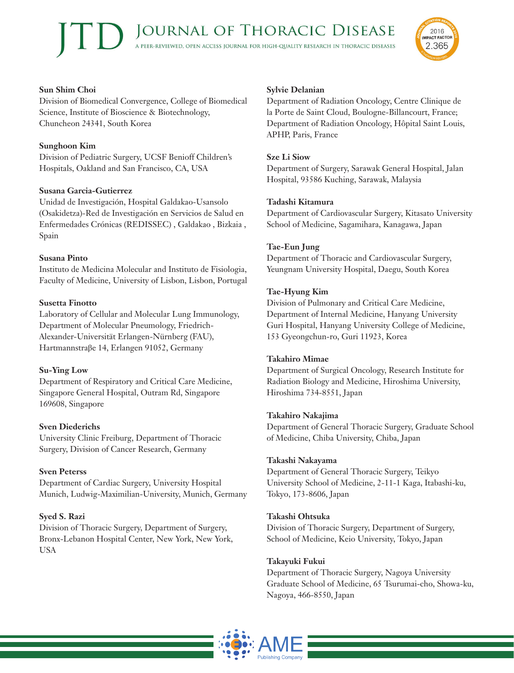

Division of Biomedical Convergence, College of Biomedical Science, Institute of Bioscience & Biotechnology, Chuncheon 24341, South Korea

#### **Sunghoon Kim**

Division of Pediatric Surgery, UCSF Benioff Children's Hospitals, Oakland and San Francisco, CA, USA

#### **Susana Garcia-Gutierrez**

Unidad de Investigación, Hospital Galdakao-Usansolo (Osakidetza)-Red de Investigación en Servicios de Salud en Enfermedades Crónicas (REDISSEC) , Galdakao , Bizkaia , Spain

#### **Susana Pinto**

Instituto de Medicina Molecular and Instituto de Fisiologia, Faculty of Medicine, University of Lisbon, Lisbon, Portugal

#### **Susetta Finotto**

Laboratory of Cellular and Molecular Lung Immunology, Department of Molecular Pneumology, Friedrich-Alexander-Universität Erlangen-Nürnberg (FAU), Hartmannstraβe 14, Erlangen 91052, Germany

#### **Su-Ying Low**

Department of Respiratory and Critical Care Medicine, Singapore General Hospital, Outram Rd, Singapore 169608, Singapore

#### **Sven Diederichs**

University Clinic Freiburg, Department of Thoracic Surgery, Division of Cancer Research, Germany

#### **Sven Peterss**

Department of Cardiac Surgery, University Hospital Munich, Ludwig-Maximilian-University, Munich, Germany

#### **Syed S. Razi**

Division of Thoracic Surgery, Department of Surgery, Bronx-Lebanon Hospital Center, New York, New York, USA

#### **Sylvie Delanian**

Department of Radiation Oncology, Centre Clinique de la Porte de Saint Cloud, Boulogne-Billancourt, France; Department of Radiation Oncology, Hôpital Saint Louis, APHP, Paris, France

2016 **IMPACT FACTOR** 

2.365

#### **Sze Li Siow**

Department of Surgery, Sarawak General Hospital, Jalan Hospital, 93586 Kuching, Sarawak, Malaysia

#### **Tadashi Kitamura**

Department of Cardiovascular Surgery, Kitasato University School of Medicine, Sagamihara, Kanagawa, Japan

#### **Tae-Eun Jung**

Department of Thoracic and Cardiovascular Surgery, Yeungnam University Hospital, Daegu, South Korea

#### **Tae-Hyung Kim**

Division of Pulmonary and Critical Care Medicine, Department of Internal Medicine, Hanyang University Guri Hospital, Hanyang University College of Medicine, 153 Gyeongchun-ro, Guri 11923, Korea

#### **Takahiro Mimae**

Department of Surgical Oncology, Research Institute for Radiation Biology and Medicine, Hiroshima University, Hiroshima 734-8551, Japan

#### **Takahiro Nakajima**

Department of General Thoracic Surgery, Graduate School of Medicine, Chiba University, Chiba, Japan

#### **Takashi Nakayama**

Department of General Thoracic Surgery, Teikyo University School of Medicine, 2-11-1 Kaga, Itabashi-ku, Tokyo, 173-8606, Japan

#### **Takashi Ohtsuka**

Division of Thoracic Surgery, Department of Surgery, School of Medicine, Keio University, Tokyo, Japan

#### **Takayuki Fukui**

Department of Thoracic Surgery, Nagoya University Graduate School of Medicine, 65 Tsurumai-cho, Showa-ku, Nagoya, 466-8550, Japan

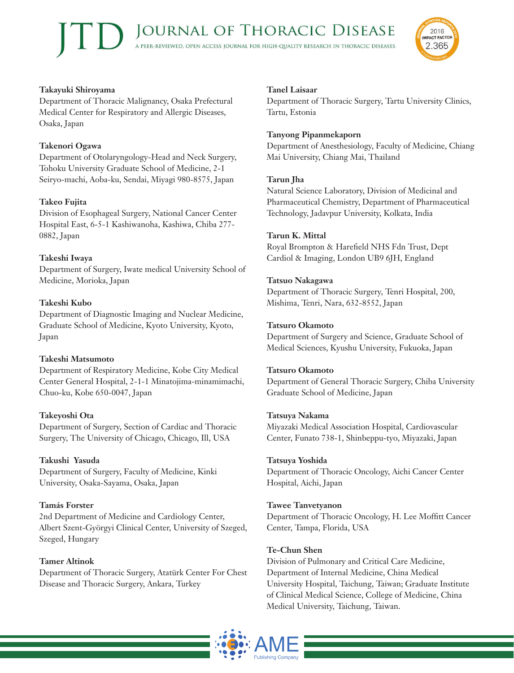#### **Takayuki Shiroyama**

Department of Thoracic Malignancy, Osaka Prefectural Medical Center for Respiratory and Allergic Diseases, Osaka, Japan

#### **Takenori Ogawa**

Department of Otolaryngology-Head and Neck Surgery, Tohoku University Graduate School of Medicine, 2-1 Seiryo-machi, Aoba-ku, Sendai, Miyagi 980-8575, Japan

## **Takeo Fujita**

Division of Esophageal Surgery, National Cancer Center Hospital East, 6-5-1 Kashiwanoha, Kashiwa, Chiba 277- 0882, Japan

## **Takeshi Iwaya**

Department of Surgery, Iwate medical University School of Medicine, Morioka, Japan

## **Takeshi Kubo**

Department of Diagnostic Imaging and Nuclear Medicine, Graduate School of Medicine, Kyoto University, Kyoto, Japan

#### **Takeshi Matsumoto**

Department of Respiratory Medicine, Kobe City Medical Center General Hospital, 2-1-1 Minatojima-minamimachi, Chuo-ku, Kobe 650-0047, Japan

#### **Takeyoshi Ota**

Department of Surgery, Section of Cardiac and Thoracic Surgery, The University of Chicago, Chicago, Ill, USA

#### **Takushi Yasuda**

Department of Surgery, Faculty of Medicine, Kinki University, Osaka-Sayama, Osaka, Japan

#### **Tamás Forster**

2nd Department of Medicine and Cardiology Center, Albert Szent-Györgyi Clinical Center, University of Szeged, Szeged, Hungary

#### **Tamer Altinok**

Department of Thoracic Surgery, Atatürk Center For Chest Disease and Thoracic Surgery, Ankara, Turkey

#### **Tanel Laisaar**

Department of Thoracic Surgery, Tartu University Clinics, Tartu, Estonia

2016 **IMPACT FACTOR** 

2.365

#### **Tanyong Pipanmekaporn**

Department of Anesthesiology, Faculty of Medicine, Chiang Mai University, Chiang Mai, Thailand

#### **Tarun Jha**

Natural Science Laboratory, Division of Medicinal and Pharmaceutical Chemistry, Department of Pharmaceutical Technology, Jadavpur University, Kolkata, India

#### **Tarun K. Mittal**

Royal Brompton & Harefield NHS Fdn Trust, Dept Cardiol & Imaging, London UB9 6JH, England

#### **Tatsuo Nakagawa**

Department of Thoracic Surgery, Tenri Hospital, 200, Mishima, Tenri, Nara, 632-8552, Japan

#### **Tatsuro Okamoto**

Department of Surgery and Science, Graduate School of Medical Sciences, Kyushu University, Fukuoka, Japan

#### **Tatsuro Okamoto**

Department of General Thoracic Surgery, Chiba University Graduate School of Medicine, Japan

#### **Tatsuya Nakama**

Miyazaki Medical Association Hospital, Cardiovascular Center, Funato 738-1, Shinbeppu-tyo, Miyazaki, Japan

#### **Tatsuya Yoshida**

Department of Thoracic Oncology, Aichi Cancer Center Hospital, Aichi, Japan

#### **Tawee Tanvetyanon**

Department of Thoracic Oncology, H. Lee Moffitt Cancer Center, Tampa, Florida, USA

#### **Te-Chun Shen**

Division of Pulmonary and Critical Care Medicine, Department of Internal Medicine, China Medical University Hospital, Taichung, Taiwan; Graduate Institute of Clinical Medical Science, College of Medicine, China Medical University, Taichung, Taiwan.

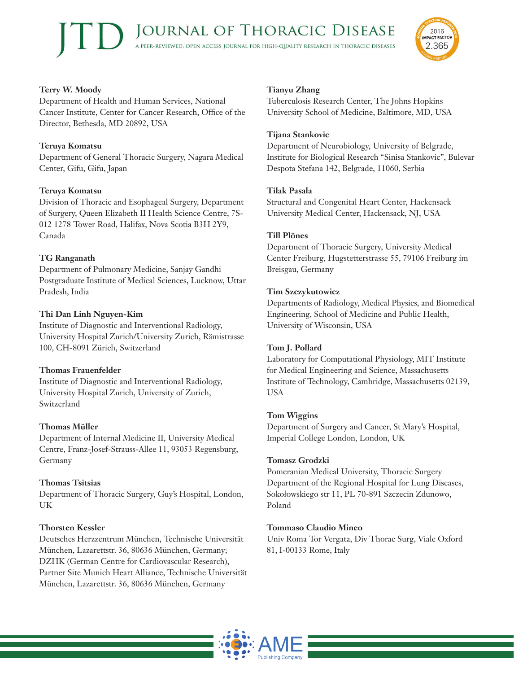## **Terry W. Moody**

Department of Health and Human Services, National Cancer Institute, Center for Cancer Research, Office of the Director, Bethesda, MD 20892, USA

## **Teruya Komatsu**

Department of General Thoracic Surgery, Nagara Medical Center, Gifu, Gifu, Japan

#### **Teruya Komatsu**

Division of Thoracic and Esophageal Surgery, Department of Surgery, Queen Elizabeth II Health Science Centre, 7S-012 1278 Tower Road, Halifax, Nova Scotia B3H 2Y9, Canada

#### **TG Ranganath**

Department of Pulmonary Medicine, Sanjay Gandhi Postgraduate Institute of Medical Sciences, Lucknow, Uttar Pradesh, India

## **Thi Dan Linh Nguyen-Kim**

Institute of Diagnostic and Interventional Radiology, University Hospital Zurich/University Zurich, Rämistrasse 100, CH-8091 Zürich, Switzerland

#### **Thomas Frauenfelder**

Institute of Diagnostic and Interventional Radiology, University Hospital Zurich, University of Zurich, Switzerland

#### **Thomas Müller**

Department of Internal Medicine II, University Medical Centre, Franz-Josef-Strauss-Allee 11, 93053 Regensburg, Germany

#### **Thomas Tsitsias**

Department of Thoracic Surgery, Guy's Hospital, London, UK

#### **Thorsten Kessler**

Deutsches Herzzentrum München, Technische Universität München, Lazarettstr. 36, 80636 München, Germany; DZHK (German Centre for Cardiovascular Research), Partner Site Munich Heart Alliance, Technische Universität München, Lazarettstr. 36, 80636 München, Germany

#### **Tianyu Zhang**

Tuberculosis Research Center, The Johns Hopkins University School of Medicine, Baltimore, MD, USA

#### **Tijana Stankovic**

Department of Neurobiology, University of Belgrade, Institute for Biological Research "Sinisa Stankovic", Bulevar Despota Stefana 142, Belgrade, 11060, Serbia

2016 **IMPACT FACTOR** 

2.365

#### **Tilak Pasala**

Structural and Congenital Heart Center, Hackensack University Medical Center, Hackensack, NJ, USA

#### **Till Plönes**

Department of Thoracic Surgery, University Medical Center Freiburg, Hugstetterstrasse 55, 79106 Freiburg im Breisgau, Germany

#### **Tim Szczykutowicz**

Departments of Radiology, Medical Physics, and Biomedical Engineering, School of Medicine and Public Health, University of Wisconsin, USA

#### **Tom J. Pollard**

Laboratory for Computational Physiology, MIT Institute for Medical Engineering and Science, Massachusetts Institute of Technology, Cambridge, Massachusetts 02139, USA

#### **Tom Wiggins**

Department of Surgery and Cancer, St Mary's Hospital, Imperial College London, London, UK

#### **Tomasz Grodzki**

Pomeranian Medical University, Thoracic Surgery Department of the Regional Hospital for Lung Diseases, Sokołowskiego str 11, PL 70-891 Szczecin Zdunowo, Poland

#### **Tommaso Claudio Mineo**

Univ Roma Tor Vergata, Div Thorac Surg, Viale Oxford 81, I-00133 Rome, Italy

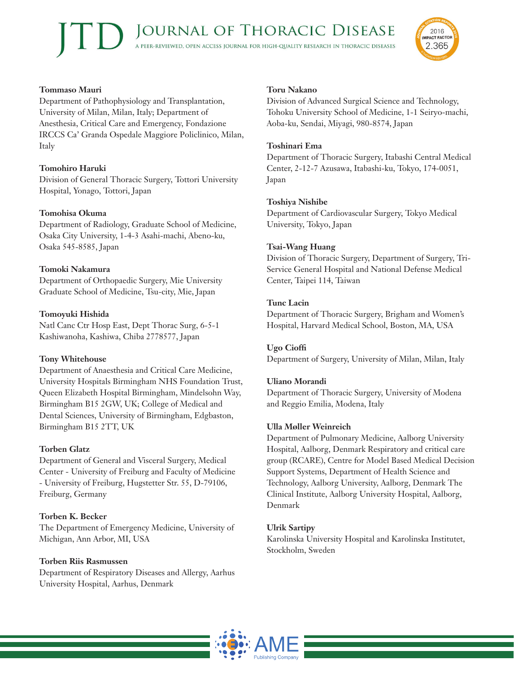

#### **Tommaso Mauri**

Department of Pathophysiology and Transplantation, University of Milan, Milan, Italy; Department of Anesthesia, Critical Care and Emergency, Fondazione IRCCS Ca' Granda Ospedale Maggiore Policlinico, Milan, Italy

# **Tomohiro Haruki**

Division of General Thoracic Surgery, Tottori University Hospital, Yonago, Tottori, Japan

#### **Tomohisa Okuma**

Department of Radiology, Graduate School of Medicine, Osaka City University, 1-4-3 Asahi-machi, Abeno-ku, Osaka 545-8585, Japan

## **Tomoki Nakamura**

Department of Orthopaedic Surgery, Mie University Graduate School of Medicine, Tsu-city, Mie, Japan

## **Tomoyuki Hishida**

Natl Canc Ctr Hosp East, Dept Thorac Surg, 6-5-1 Kashiwanoha, Kashiwa, Chiba 2778577, Japan

# **Tony Whitehouse**

Department of Anaesthesia and Critical Care Medicine, University Hospitals Birmingham NHS Foundation Trust, Queen Elizabeth Hospital Birmingham, Mindelsohn Way, Birmingham B15 2GW, UK; College of Medical and Dental Sciences, University of Birmingham, Edgbaston, Birmingham B15 2TT, UK

# **Torben Glatz**

Department of General and Visceral Surgery, Medical Center - University of Freiburg and Faculty of Medicine - University of Freiburg, Hugstetter Str. 55, D-79106, Freiburg, Germany

#### **Torben K. Becker**

The Department of Emergency Medicine, University of Michigan, Ann Arbor, MI, USA

#### **Torben Riis Rasmussen**

Department of Respiratory Diseases and Allergy, Aarhus University Hospital, Aarhus, Denmark

#### **Toru Nakano**

Division of Advanced Surgical Science and Technology, Tohoku University School of Medicine, 1-1 Seiryo-machi, Aoba-ku, Sendai, Miyagi, 980-8574, Japan

#### **Toshinari Ema**

Department of Thoracic Surgery, Itabashi Central Medical Center, 2-12-7 Azusawa, Itabashi-ku, Tokyo, 174-0051, Japan

#### **Toshiya Nishibe**

Department of Cardiovascular Surgery, Tokyo Medical University, Tokyo, Japan

#### **Tsai-Wang Huang**

Division of Thoracic Surgery, Department of Surgery, Tri-Service General Hospital and National Defense Medical Center, Taipei 114, Taiwan

#### **Tunc Lacin**

Department of Thoracic Surgery, Brigham and Women's Hospital, Harvard Medical School, Boston, MA, USA

#### **Ugo Cioffi**

Department of Surgery, University of Milan, Milan, Italy

#### **Uliano Morandi**

Department of Thoracic Surgery, University of Modena and Reggio Emilia, Modena, Italy

#### **Ulla Møller Weinreich**

Department of Pulmonary Medicine, Aalborg University Hospital, Aalborg, Denmark Respiratory and critical care group (RCARE), Centre for Model Based Medical Decision Support Systems, Department of Health Science and Technology, Aalborg University, Aalborg, Denmark The Clinical Institute, Aalborg University Hospital, Aalborg, Denmark

#### **Ulrik Sartipy**

Karolinska University Hospital and Karolinska Institutet, Stockholm, Sweden

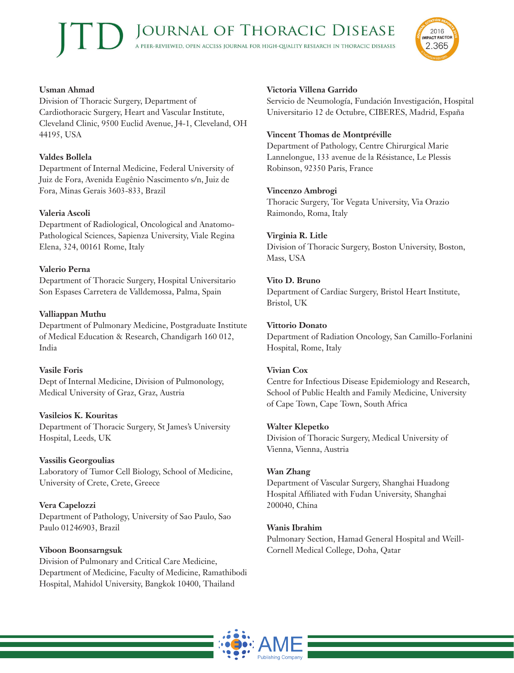

# **Usman Ahmad**

Division of Thoracic Surgery, Department of Cardiothoracic Surgery, Heart and Vascular Institute, Cleveland Clinic, 9500 Euclid Avenue, J4-1, Cleveland, OH 44195, USA

# **Valdes Bollela**

Department of Internal Medicine, Federal University of Juiz de Fora, Avenida Eugênio Nascimento s/n, Juiz de Fora, Minas Gerais 3603-833, Brazil

## **Valeria Ascoli**

Department of Radiological, Oncological and Anatomo-Pathological Sciences, Sapienza University, Viale Regina Elena, 324, 00161 Rome, Italy

## **Valerio Perna**

Department of Thoracic Surgery, Hospital Universitario Son Espases Carretera de Valldemossa, Palma, Spain

# **Valliappan Muthu**

Department of Pulmonary Medicine, Postgraduate Institute of Medical Education & Research, Chandigarh 160 012, India

#### **Vasile Foris**

Dept of Internal Medicine, Division of Pulmonology, Medical University of Graz, Graz, Austria

#### **Vasileios K. Kouritas**

Department of Thoracic Surgery, St James's University Hospital, Leeds, UK

# **Vassilis Georgoulias**

Laboratory of Tumor Cell Biology, School of Medicine, University of Crete, Crete, Greece

# **Vera Capelozzi**

Department of Pathology, University of Sao Paulo, Sao Paulo 01246903, Brazil

#### **Viboon Boonsarngsuk**

Division of Pulmonary and Critical Care Medicine, Department of Medicine, Faculty of Medicine, Ramathibodi Hospital, Mahidol University, Bangkok 10400, Thailand

## **Victoria Villena Garrido**

Servicio de Neumología, Fundación Investigación, Hospital Universitario 12 de Octubre, CIBERES, Madrid, España

#### **Vincent Thomas de Montpréville**

Department of Pathology, Centre Chirurgical Marie Lannelongue, 133 avenue de la Résistance, Le Plessis Robinson, 92350 Paris, France

#### **Vincenzo Ambrogi**

Thoracic Surgery, Tor Vegata University, Via Orazio Raimondo, Roma, Italy

## **Virginia R. Litle**

Division of Thoracic Surgery, Boston University, Boston, Mass, USA

## **Vito D. Bruno**

Department of Cardiac Surgery, Bristol Heart Institute, Bristol, UK

#### **Vittorio Donato**

Department of Radiation Oncology, San Camillo-Forlanini Hospital, Rome, Italy

#### **Vivian Cox**

Centre for Infectious Disease Epidemiology and Research, School of Public Health and Family Medicine, University of Cape Town, Cape Town, South Africa

#### **Walter Klepetko**

Division of Thoracic Surgery, Medical University of Vienna, Vienna, Austria

#### **Wan Zhang**

Department of Vascular Surgery, Shanghai Huadong Hospital Affiliated with Fudan University, Shanghai 200040, China

#### **Wanis Ibrahim**

Pulmonary Section, Hamad General Hospital and Weill-Cornell Medical College, Doha, Qatar

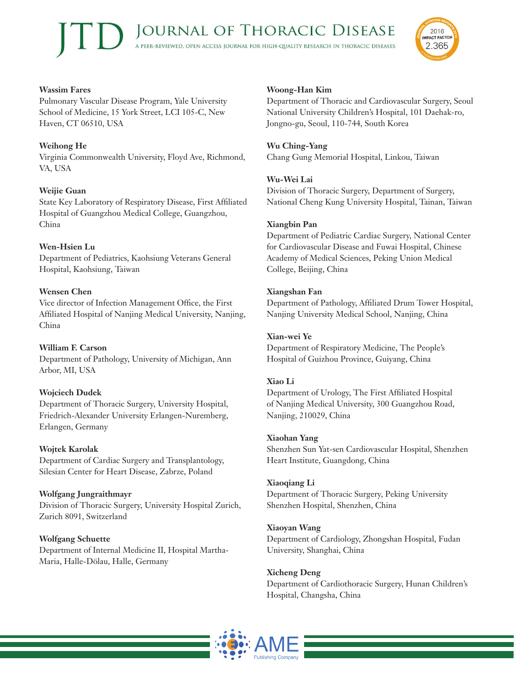

## **Wassim Fares**

Pulmonary Vascular Disease Program, Yale University School of Medicine, 15 York Street, LCI 105-C, New Haven, CT 06510, USA

# **Weihong He**

Virginia Commonwealth University, Floyd Ave, Richmond, VA, USA

# **Weijie Guan**

State Key Laboratory of Respiratory Disease, First Affiliated Hospital of Guangzhou Medical College, Guangzhou, China

## **Wen-Hsien Lu**

Department of Pediatrics, Kaohsiung Veterans General Hospital, Kaohsiung, Taiwan

## **Wensen Chen**

Vice director of Infection Management Office, the First Affiliated Hospital of Nanjing Medical University, Nanjing, China

# **William F. Carson**

Department of Pathology, University of Michigan, Ann Arbor, MI, USA

# **Wojciech Dudek**

Department of Thoracic Surgery, University Hospital, Friedrich-Alexander University Erlangen-Nuremberg, Erlangen, Germany

#### **Wojtek Karolak**

Department of Cardiac Surgery and Transplantology, Silesian Center for Heart Disease, Zabrze, Poland

# **Wolfgang Jungraithmayr**

Division of Thoracic Surgery, University Hospital Zurich, Zurich 8091, Switzerland

#### **Wolfgang Schuette**

Department of Internal Medicine II, Hospital Martha-Maria, Halle-Dölau, Halle, Germany

#### **Woong-Han Kim**

Department of Thoracic and Cardiovascular Surgery, Seoul National University Children's Hospital, 101 Daehak-ro, Jongno-gu, Seoul, 110-744, South Korea

#### **Wu Ching-Yang**

Chang Gung Memorial Hospital, Linkou, Taiwan

#### **Wu-Wei Lai**

Division of Thoracic Surgery, Department of Surgery, National Cheng Kung University Hospital, Tainan, Taiwan

#### **Xiangbin Pan**

Department of Pediatric Cardiac Surgery, National Center for Cardiovascular Disease and Fuwai Hospital, Chinese Academy of Medical Sciences, Peking Union Medical College, Beijing, China

#### **Xiangshan Fan**

Department of Pathology, Affiliated Drum Tower Hospital, Nanjing University Medical School, Nanjing, China

#### **Xian-wei Ye**

Department of Respiratory Medicine, The People's Hospital of Guizhou Province, Guiyang, China

#### **Xiao Li**

Department of Urology, The First Affiliated Hospital of Nanjing Medical University, 300 Guangzhou Road, Nanjing, 210029, China

#### **Xiaohan Yang**

Shenzhen Sun Yat-sen Cardiovascular Hospital, Shenzhen Heart Institute, Guangdong, China

#### **Xiaoqiang Li**

Department of Thoracic Surgery, Peking University Shenzhen Hospital, Shenzhen, China

#### **Xiaoyan Wang**

Department of Cardiology, Zhongshan Hospital, Fudan University, Shanghai, China

#### **Xicheng Deng**

Department of Cardiothoracic Surgery, Hunan Children's Hospital, Changsha, China

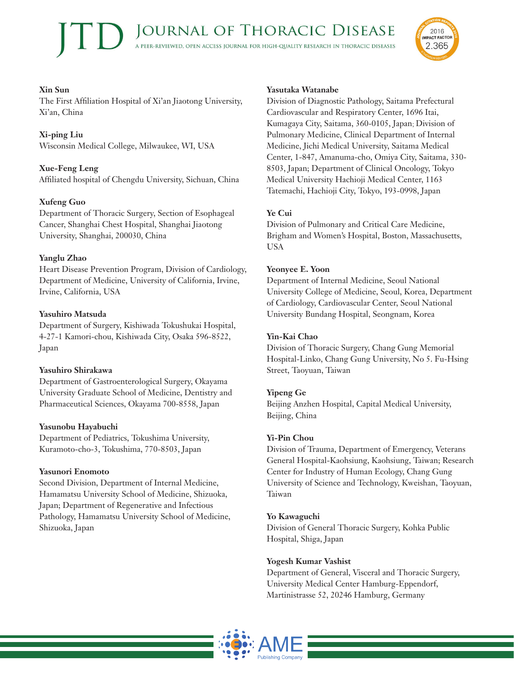#### **Xin Sun**

The First Affiliation Hospital of Xi'an Jiaotong University, Xi'an, China

## **Xi-ping Liu**

Wisconsin Medical College, Milwaukee, WI, USA

## **Xue-Feng Leng**

Affiliated hospital of Chengdu University, Sichuan, China

## **Xufeng Guo**

Department of Thoracic Surgery, Section of Esophageal Cancer, Shanghai Chest Hospital, Shanghai Jiaotong University, Shanghai, 200030, China

## **Yanglu Zhao**

Heart Disease Prevention Program, Division of Cardiology, Department of Medicine, University of California, Irvine, Irvine, California, USA

## **Yasuhiro Matsuda**

Department of Surgery, Kishiwada Tokushukai Hospital, 4-27-1 Kamori-chou, Kishiwada City, Osaka 596-8522, Japan

#### **Yasuhiro Shirakawa**

Department of Gastroenterological Surgery, Okayama University Graduate School of Medicine, Dentistry and Pharmaceutical Sciences, Okayama 700-8558, Japan

#### **Yasunobu Hayabuchi**

Department of Pediatrics, Tokushima University, Kuramoto-cho-3, Tokushima, 770-8503, Japan

#### **Yasunori Enomoto**

Second Division, Department of Internal Medicine, Hamamatsu University School of Medicine, Shizuoka, Japan; Department of Regenerative and Infectious Pathology, Hamamatsu University School of Medicine, Shizuoka, Japan

#### **Yasutaka Watanabe**

Division of Diagnostic Pathology, Saitama Prefectural Cardiovascular and Respiratory Center, 1696 Itai, Kumagaya City, Saitama, 360-0105, Japan; Division of Pulmonary Medicine, Clinical Department of Internal Medicine, Jichi Medical University, Saitama Medical Center, 1-847, Amanuma-cho, Omiya City, Saitama, 330- 8503, Japan; Department of Clinical Oncology, Tokyo Medical University Hachioji Medical Center, 1163 Tatemachi, Hachioji City, Tokyo, 193-0998, Japan

2016 **IMPACT FACTOR** 

2.365

## **Ye Cui**

Division of Pulmonary and Critical Care Medicine, Brigham and Women's Hospital, Boston, Massachusetts, USA

#### **Yeonyee E. Yoon**

Department of Internal Medicine, Seoul National University College of Medicine, Seoul, Korea, Department of Cardiology, Cardiovascular Center, Seoul National University Bundang Hospital, Seongnam, Korea

#### **Yin-Kai Chao**

Division of Thoracic Surgery, Chang Gung Memorial Hospital-Linko, Chang Gung University, No 5. Fu-Hsing Street, Taoyuan, Taiwan

# **Yipeng Ge**

Beijing Anzhen Hospital, Capital Medical University, Beijing, China

#### **Yi-Pin Chou**

Division of Trauma, Department of Emergency, Veterans General Hospital-Kaohsiung, Kaohsiung, Taiwan; Research Center for Industry of Human Ecology, Chang Gung University of Science and Technology, Kweishan, Taoyuan, Taiwan

#### **Yo Kawaguchi**

Division of General Thoracic Surgery, Kohka Public Hospital, Shiga, Japan

#### **Yogesh Kumar Vashist**

Department of General, Visceral and Thoracic Surgery, University Medical Center Hamburg-Eppendorf, Martinistrasse 52, 20246 Hamburg, Germany

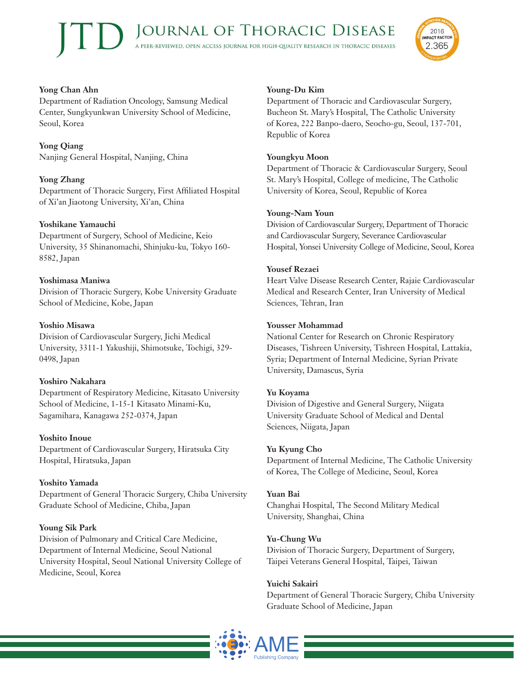

# **Yong Chan Ahn**

Department of Radiation Oncology, Samsung Medical Center, Sungkyunkwan University School of Medicine, Seoul, Korea

**Yong Qiang** Nanjing General Hospital, Nanjing, China

# **Yong Zhang**

Department of Thoracic Surgery, First Affiliated Hospital of Xi'an Jiaotong University, Xi'an, China

## **Yoshikane Yamauchi**

Department of Surgery, School of Medicine, Keio University, 35 Shinanomachi, Shinjuku-ku, Tokyo 160- 8582, Japan

## **Yoshimasa Maniwa**

Division of Thoracic Surgery, Kobe University Graduate School of Medicine, Kobe, Japan

## **Yoshio Misawa**

Division of Cardiovascular Surgery, Jichi Medical University, 3311-1 Yakushiji, Shimotsuke, Tochigi, 329- 0498, Japan

# **Yoshiro Nakahara**

Department of Respiratory Medicine, Kitasato University School of Medicine, 1-15-1 Kitasato Minami-Ku, Sagamihara, Kanagawa 252-0374, Japan

#### **Yoshito Inoue**

Department of Cardiovascular Surgery, Hiratsuka City Hospital, Hiratsuka, Japan

# **Yoshito Yamada**

Department of General Thoracic Surgery, Chiba University Graduate School of Medicine, Chiba, Japan

#### **Young Sik Park**

Division of Pulmonary and Critical Care Medicine, Department of Internal Medicine, Seoul National University Hospital, Seoul National University College of Medicine, Seoul, Korea

#### **Young-Du Kim**

Department of Thoracic and Cardiovascular Surgery, Bucheon St. Mary's Hospital, The Catholic University of Korea, 222 Banpo-daero, Seocho-gu, Seoul, 137-701, Republic of Korea

#### **Youngkyu Moon**

Department of Thoracic & Cardiovascular Surgery, Seoul St. Mary's Hospital, College of medicine, The Catholic University of Korea, Seoul, Republic of Korea

#### **Young-Nam Youn**

Division of Cardiovascular Surgery, Department of Thoracic and Cardiovascular Surgery, Severance Cardiovascular Hospital, Yonsei University College of Medicine, Seoul, Korea

#### **Yousef Rezaei**

Heart Valve Disease Research Center, Rajaie Cardiovascular Medical and Research Center, Iran University of Medical Sciences, Tehran, Iran

#### **Yousser Mohammad**

National Center for Research on Chronic Respiratory Diseases, Tishreen University, Tishreen Hospital, Lattakia, Syria; Department of Internal Medicine, Syrian Private University, Damascus, Syria

# **Yu Koyama**

Division of Digestive and General Surgery, Niigata University Graduate School of Medical and Dental Sciences, Niigata, Japan

#### **Yu Kyung Cho**

Department of Internal Medicine, The Catholic University of Korea, The College of Medicine, Seoul, Korea

#### **Yuan Bai**

Changhai Hospital, The Second Military Medical University, Shanghai, China

# **Yu-Chung Wu**

Division of Thoracic Surgery, Department of Surgery, Taipei Veterans General Hospital, Taipei, Taiwan

#### **Yuichi Sakairi**

Department of General Thoracic Surgery, Chiba University Graduate School of Medicine, Japan

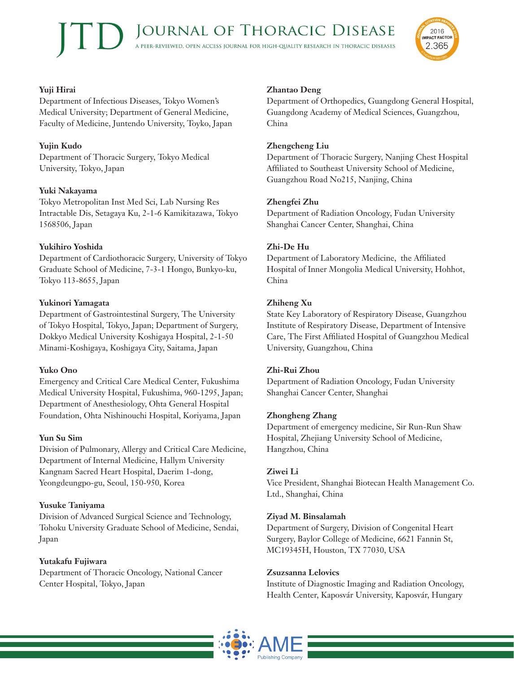

# **Yuji Hirai**

Department of Infectious Diseases, Tokyo Women's Medical University; Department of General Medicine, Faculty of Medicine, Juntendo University, Toyko, Japan

# **Yujin Kudo**

Department of Thoracic Surgery, Tokyo Medical University, Tokyo, Japan

# **Yuki Nakayama**

Tokyo Metropolitan Inst Med Sci, Lab Nursing Res Intractable Dis, Setagaya Ku, 2-1-6 Kamikitazawa, Tokyo 1568506, Japan

# **Yukihiro Yoshida**

Department of Cardiothoracic Surgery, University of Tokyo Graduate School of Medicine, 7-3-1 Hongo, Bunkyo-ku, Tokyo 113-8655, Japan

## **Yukinori Yamagata**

Department of Gastrointestinal Surgery, The University of Tokyo Hospital, Tokyo, Japan; Department of Surgery, Dokkyo Medical University Koshigaya Hospital, 2-1-50 Minami-Koshigaya, Koshigaya City, Saitama, Japan

# **Yuko Ono**

Emergency and Critical Care Medical Center, Fukushima Medical University Hospital, Fukushima, 960-1295, Japan; Department of Anesthesiology, Ohta General Hospital Foundation, Ohta Nishinouchi Hospital, Koriyama, Japan

# **Yun Su Sim**

Division of Pulmonary, Allergy and Critical Care Medicine, Department of Internal Medicine, Hallym University Kangnam Sacred Heart Hospital, Daerim 1-dong, Yeongdeungpo-gu, Seoul, 150-950, Korea

# **Yusuke Taniyama**

Division of Advanced Surgical Science and Technology, Tohoku University Graduate School of Medicine, Sendai, Japan

# **Yutakafu Fujiwara**

Department of Thoracic Oncology, National Cancer Center Hospital, Tokyo, Japan

## **Zhantao Deng**

Department of Orthopedics, Guangdong General Hospital, Guangdong Academy of Medical Sciences, Guangzhou, China

## **Zhengcheng Liu**

Department of Thoracic Surgery, Nanjing Chest Hospital Affiliated to Southeast University School of Medicine, Guangzhou Road No215, Nanjing, China

## **Zhengfei Zhu**

Department of Radiation Oncology, Fudan University Shanghai Cancer Center, Shanghai, China

# **Zhi-De Hu**

Department of Laboratory Medicine, the Affiliated Hospital of Inner Mongolia Medical University, Hohhot, China

## **Zhiheng Xu**

State Key Laboratory of Respiratory Disease, Guangzhou Institute of Respiratory Disease, Department of Intensive Care, The First Affiliated Hospital of Guangzhou Medical University, Guangzhou, China

#### **Zhi-Rui Zhou**

Department of Radiation Oncology, Fudan University Shanghai Cancer Center, Shanghai

#### **Zhongheng Zhang**

Department of emergency medicine, Sir Run-Run Shaw Hospital, Zhejiang University School of Medicine, Hangzhou, China

#### **Ziwei Li**

Vice President, Shanghai Biotecan Health Management Co. Ltd., Shanghai, China

# **Ziyad M. Binsalamah**

Department of Surgery, Division of Congenital Heart Surgery, Baylor College of Medicine, 6621 Fannin St, MC19345H, Houston, TX 77030, USA

#### **Zsuzsanna Lelovics**

Institute of Diagnostic Imaging and Radiation Oncology, Health Center, Kaposvár University, Kaposvár, Hungary